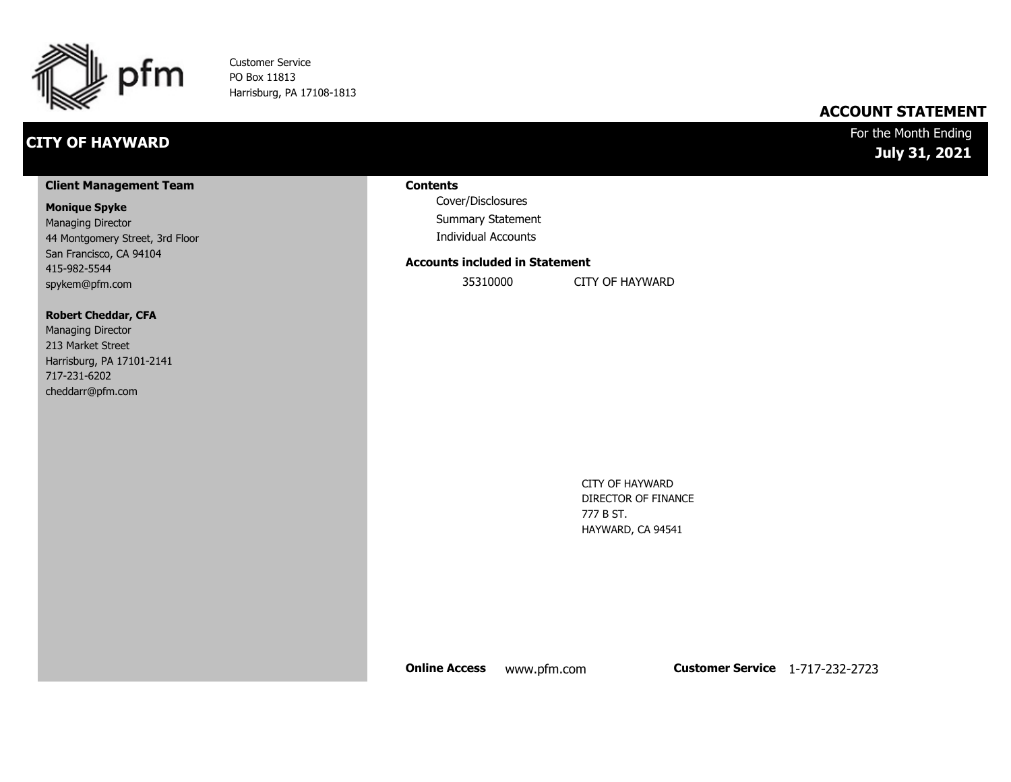

Customer Service PO Box 11813 Harrisburg, PA 17108-1813

### **CITY OF HAYWARD**

### **ACCOUNT STATEMENT**

For the Month Ending **July 31, 2021**

#### **Client Management Team**

#### **Monique Spyke**

Managing Director 44 Montgomery Street, 3rd Floor San Francisco, CA 94104 415-982-5544 spykem@pfm.com

#### **Robert Cheddar, CFA**

| <b>Managing Director</b>  |
|---------------------------|
| 213 Market Street         |
| Harrisburg, PA 17101-2141 |
| 717-231-6202              |
| cheddarr@pfm.com          |

#### **Contents**

Cover/Disclosures Summary Statement Individual Accounts

#### **Accounts included in Statement**

35310000 CITY OF HAYWARD

CITY OF HAYWARD DIRECTOR OF FINANCE 777 B ST. HAYWARD, CA 94541

**Online Access** www.pfm.com **Customer Service** 1-717-232-2723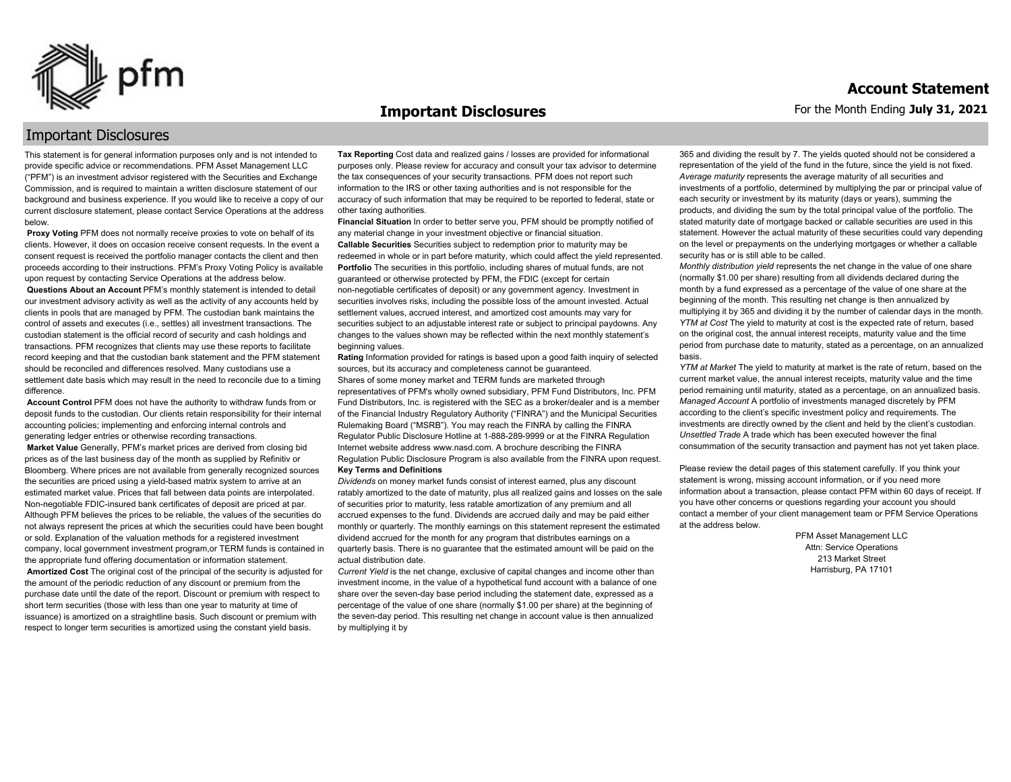

#### **Important Disclosures**

### Important Disclosures

This statement is for general information purposes only and is not intended to provide specific advice or recommendations. PFM Asset Management LLC ("PFM") is an investment advisor registered with the Securities and Exchange Commission, and is required to maintain a written disclosure statement of our background and business experience. If you would like to receive a copy of our current disclosure statement, please contact Service Operations at the address below.

**Proxy Voting** PFM does not normally receive proxies to vote on behalf of its clients. However, it does on occasion receive consent requests. In the event a consent request is received the portfolio manager contacts the client and then proceeds according to their instructions. PFM's Proxy Voting Policy is available upon request by contacting Service Operations at the address below. **Questions About an Account** PFM's monthly statement is intended to detail our investment advisory activity as well as the activity of any accounts held by clients in pools that are managed by PFM. The custodian bank maintains the control of assets and executes (i.e., settles) all investment transactions. The custodian statement is the official record of security and cash holdings and transactions. PFM recognizes that clients may use these reports to facilitate record keeping and that the custodian bank statement and the PFM statement should be reconciled and differences resolved. Many custodians use a settlement date basis which may result in the need to reconcile due to a timing

difference. **Account Control** PFM does not have the authority to withdraw funds from or deposit funds to the custodian. Our clients retain responsibility for their internal accounting policies; implementing and enforcing internal controls and

generating ledger entries or otherwise recording transactions. **Market Value** Generally, PFM's market prices are derived from closing bid prices as of the last business day of the month as supplied by Refinitiv or Bloomberg. Where prices are not available from generally recognized sources the securities are priced using a yield-based matrix system to arrive at an estimated market value. Prices that fall between data points are interpolated. Non-negotiable FDIC-insured bank certificates of deposit are priced at par. Although PFM believes the prices to be reliable, the values of the securities do not always represent the prices at which the securities could have been bought or sold. Explanation of the valuation methods for a registered investment company, local government investment program,or TERM funds is contained in the appropriate fund offering documentation or information statement. **Amortized Cost** The original cost of the principal of the security is adjusted for the amount of the periodic reduction of any discount or premium from the purchase date until the date of the report. Discount or premium with respect to short term securities (those with less than one year to maturity at time of issuance) is amortized on a straightline basis. Such discount or premium with respect to longer term securities is amortized using the constant yield basis.

**Tax Reporting** Cost data and realized gains / losses are provided for informational purposes only. Please review for accuracy and consult your tax advisor to determine the tax consequences of your security transactions. PFM does not report such information to the IRS or other taxing authorities and is not responsible for the accuracy of such information that may be required to be reported to federal, state or other taxing authorities.

**Financial Situation** In order to better serve you, PFM should be promptly notified of any material change in your investment objective or financial situation. **Callable Securities** Securities subject to redemption prior to maturity may be redeemed in whole or in part before maturity, which could affect the yield represented. Portfolio The securities in this portfolio, including shares of mutual funds, are not guaranteed or otherwise protected by PFM, the FDIC (except for certain non-negotiable certificates of deposit) or any government agency. Investment in securities involves risks, including the possible loss of the amount invested. Actual settlement values, accrued interest, and amortized cost amounts may vary for securities subject to an adjustable interest rate or subject to principal paydowns. Any changes to the values shown may be reflected within the next monthly statement's beginning values.

**Rating** Information provided for ratings is based upon a good faith inquiry of selected sources, but its accuracy and completeness cannot be guaranteed. Shares of some money market and TERM funds are marketed through representatives of PFM's wholly owned subsidiary, PFM Fund Distributors, Inc. PFM Fund Distributors, Inc. is registered with the SEC as a broker/dealer and is a member of the Financial Industry Regulatory Authority ("FINRA") and the Municipal Securities Rulemaking Board ("MSRB"). You may reach the FINRA by calling the FINRA Regulator Public Disclosure Hotline at 1-888-289-9999 or at the FINRA Regulation Internet website address www.nasd.com. A brochure describing the FINRA Regulation Public Disclosure Program is also available from the FINRA upon request. **Key Terms and Definitions**

*Dividends* on money market funds consist of interest earned, plus any discount ratably amortized to the date of maturity, plus all realized gains and losses on the sale of securities prior to maturity, less ratable amortization of any premium and all accrued expenses to the fund. Dividends are accrued daily and may be paid either monthly or quarterly. The monthly earnings on this statement represent the estimated dividend accrued for the month for any program that distributes earnings on a quarterly basis. There is no guarantee that the estimated amount will be paid on the actual distribution date.

*Current Yield* is the net change, exclusive of capital changes and income other than investment income, in the value of a hypothetical fund account with a balance of one share over the seven-day base period including the statement date, expressed as a percentage of the value of one share (normally \$1.00 per share) at the beginning of the seven-day period. This resulting net change in account value is then annualized by multiplying it by

365 and dividing the result by 7. The yields quoted should not be considered a representation of the yield of the fund in the future, since the yield is not fixed. *Average maturity* represents the average maturity of all securities and investments of a portfolio, determined by multiplying the par or principal value of each security or investment by its maturity (days or years), summing the products, and dividing the sum by the total principal value of the portfolio. The stated maturity date of mortgage backed or callable securities are used in this statement. However the actual maturity of these securities could vary depending on the level or prepayments on the underlying mortgages or whether a callable security has or is still able to be called.

*Monthly distribution yield* represents the net change in the value of one share (normally \$1.00 per share) resulting from all dividends declared during the month by a fund expressed as a percentage of the value of one share at the beginning of the month. This resulting net change is then annualized by multiplying it by 365 and dividing it by the number of calendar days in the month. *YTM at Cost* The yield to maturity at cost is the expected rate of return, based on the original cost, the annual interest receipts, maturity value and the time period from purchase date to maturity, stated as a percentage, on an annualized basis.

*YTM at Market* The yield to maturity at market is the rate of return, based on the current market value, the annual interest receipts, maturity value and the time period remaining until maturity, stated as a percentage, on an annualized basis. *Managed Account* A portfolio of investments managed discretely by PFM according to the client's specific investment policy and requirements. The investments are directly owned by the client and held by the client's custodian. *Unsettled Trade* A trade which has been executed however the final consummation of the security transaction and payment has not yet taken place.

Please review the detail pages of this statement carefully. If you think your statement is wrong, missing account information, or if you need more information about a transaction, please contact PFM within 60 days of receipt. If you have other concerns or questions regarding your account you should contact a member of your client management team or PFM Service Operations at the address below.

> PFM Asset Management LLC Attn: Service Operations 213 Market Street Harrisburg, PA 17101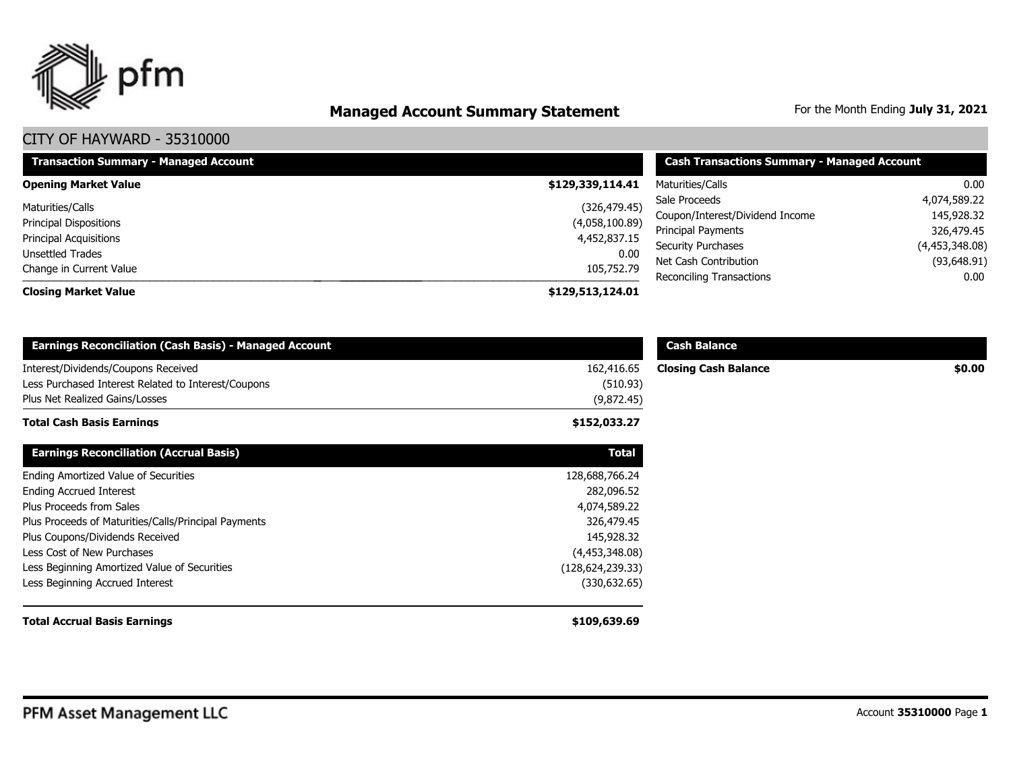

# **Managed Account Summary Statement** For the Month Ending July 31, 2021

| <b>Transaction Summary - Managed Account</b> | <b>Cash Transactions Summary - Managed Account</b> |                                                    |                               |
|----------------------------------------------|----------------------------------------------------|----------------------------------------------------|-------------------------------|
| <b>Opening Market Value</b>                  | \$129,339,114.41                                   | Maturities/Calls                                   | 0.00                          |
| Maturities/Calls                             | (326, 479.45)                                      | Sale Proceeds                                      | 4,074,589.22                  |
| <b>Principal Dispositions</b>                | (4,058,100.89)                                     | Coupon/Interest/Dividend Income                    | 145,928.32                    |
| <b>Principal Acquisitions</b>                | 4,452,837.15                                       | Principal Payments                                 | 326,479.45                    |
| Unsettled Trades                             | 0.00                                               | <b>Security Purchases</b><br>Net Cash Contribution | (4,453,348.08)<br>(93,648.91) |
| Change in Current Value                      | 105,752.79                                         | <b>Reconciling Transactions</b>                    | 0.00                          |
| <b>Closing Market Value</b>                  | \$129,513,124.01                                   |                                                    |                               |

| <b>Earnings Reconciliation (Cash Basis) - Managed Account</b>                                                                | <b>Cash Balance</b>                  |                             |        |  |
|------------------------------------------------------------------------------------------------------------------------------|--------------------------------------|-----------------------------|--------|--|
| Interest/Dividends/Coupons Received<br>Less Purchased Interest Related to Interest/Coupons<br>Plus Net Realized Gains/Losses | 162,416.65<br>(510.93)<br>(9,872.45) | <b>Closing Cash Balance</b> | \$0.00 |  |
| <b>Total Cash Basis Earnings</b>                                                                                             | \$152,033.27                         |                             |        |  |
| <b>Earnings Reconciliation (Accrual Basis)</b>                                                                               | <b>Total</b>                         |                             |        |  |
| Ending Amortized Value of Securities                                                                                         | 128,688,766.24                       |                             |        |  |
| <b>Ending Accrued Interest</b>                                                                                               | 282,096.52                           |                             |        |  |
| Plus Proceeds from Sales                                                                                                     | 4,074,589.22                         |                             |        |  |
| Plus Proceeds of Maturities/Calls/Principal Payments                                                                         | 326,479.45                           |                             |        |  |
| Plus Coupons/Dividends Received                                                                                              | 145,928.32                           |                             |        |  |
| Less Cost of New Purchases                                                                                                   | (4,453,348.08)                       |                             |        |  |
| Less Beginning Amortized Value of Securities                                                                                 | (128,624,239.33)                     |                             |        |  |
| Less Beginning Accrued Interest                                                                                              | (330, 632.65)                        |                             |        |  |
| <b>Total Accrual Basis Earnings</b>                                                                                          | \$109,639.69                         |                             |        |  |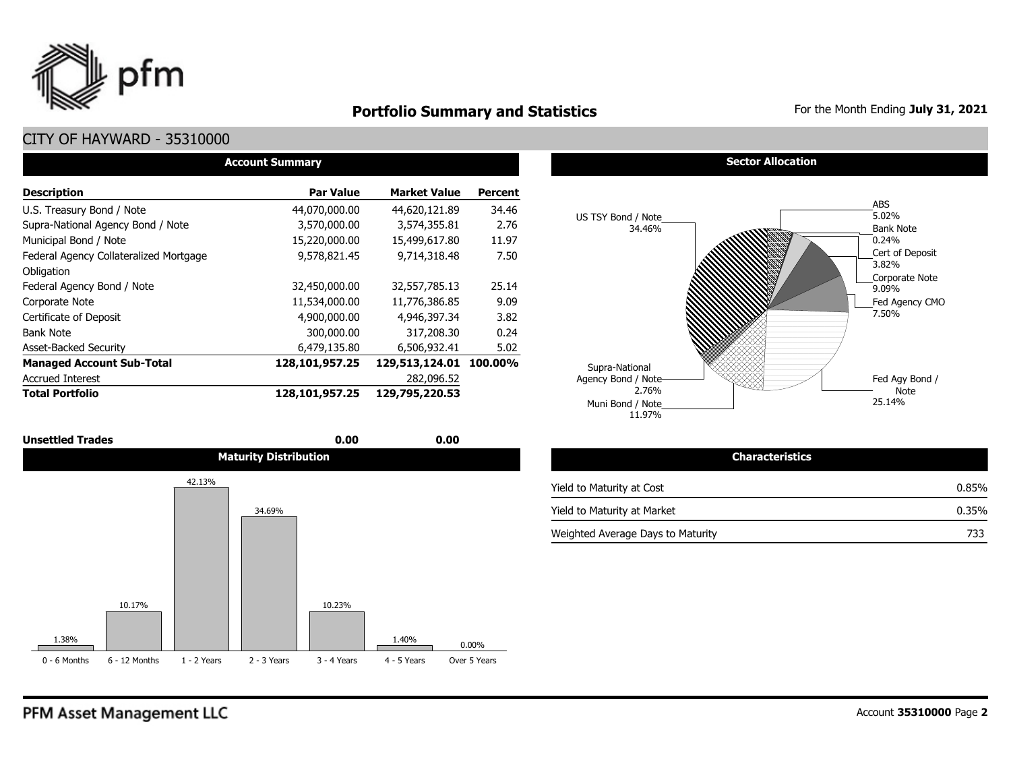

### **Portfolio Summary and Statistics** For the Month Ending July 31, 2021

| <b>Account Summary</b>                 |                  |                        |                |  |  |  |  |  |  |
|----------------------------------------|------------------|------------------------|----------------|--|--|--|--|--|--|
| <b>Description</b>                     | <b>Par Value</b> | <b>Market Value</b>    | <b>Percent</b> |  |  |  |  |  |  |
| U.S. Treasury Bond / Note              | 44,070,000.00    | 44,620,121.89          | 34.46          |  |  |  |  |  |  |
| Supra-National Agency Bond / Note      | 3,570,000.00     | 3,574,355.81           | 2.76           |  |  |  |  |  |  |
| Municipal Bond / Note                  | 15,220,000.00    | 15,499,617.80          | 11.97          |  |  |  |  |  |  |
| Federal Agency Collateralized Mortgage | 9,578,821.45     | 9,714,318.48           | 7.50           |  |  |  |  |  |  |
| Obligation                             |                  |                        |                |  |  |  |  |  |  |
| Federal Agency Bond / Note             | 32,450,000.00    | 32,557,785.13          | 25.14          |  |  |  |  |  |  |
| Corporate Note                         | 11,534,000.00    | 11,776,386.85          | 9.09           |  |  |  |  |  |  |
| Certificate of Deposit                 | 4,900,000.00     | 4,946,397.34           | 3.82           |  |  |  |  |  |  |
| <b>Bank Note</b>                       | 300,000.00       | 317,208.30             | 0.24           |  |  |  |  |  |  |
| <b>Asset-Backed Security</b>           | 6,479,135.80     | 6,506,932.41           | 5.02           |  |  |  |  |  |  |
| <b>Managed Account Sub-Total</b>       | 128,101,957.25   | 129,513,124.01 100.00% |                |  |  |  |  |  |  |
| <b>Accrued Interest</b>                |                  | 282,096.52             |                |  |  |  |  |  |  |
| <b>Total Portfolio</b>                 | 128,101,957.25   | 129,795,220.53         |                |  |  |  |  |  |  |

| <b>Unsettled Trades</b> | 0.00                         | 0.00 |                                   |
|-------------------------|------------------------------|------|-----------------------------------|
|                         | <b>Maturity Distribution</b> |      | <b>Characteristics</b>            |
| 42.13%                  |                              |      | Yield to Maturity at Cost         |
|                         | 34.69%                       |      | Yield to Maturity at Market       |
|                         |                              |      | Weighted Average Davs to Maturity |







| <b>Characteristics</b>            |       |
|-----------------------------------|-------|
| Yield to Maturity at Cost         | 0.85% |
| Yield to Maturity at Market       | 0.35% |
| Weighted Average Days to Maturity | 733   |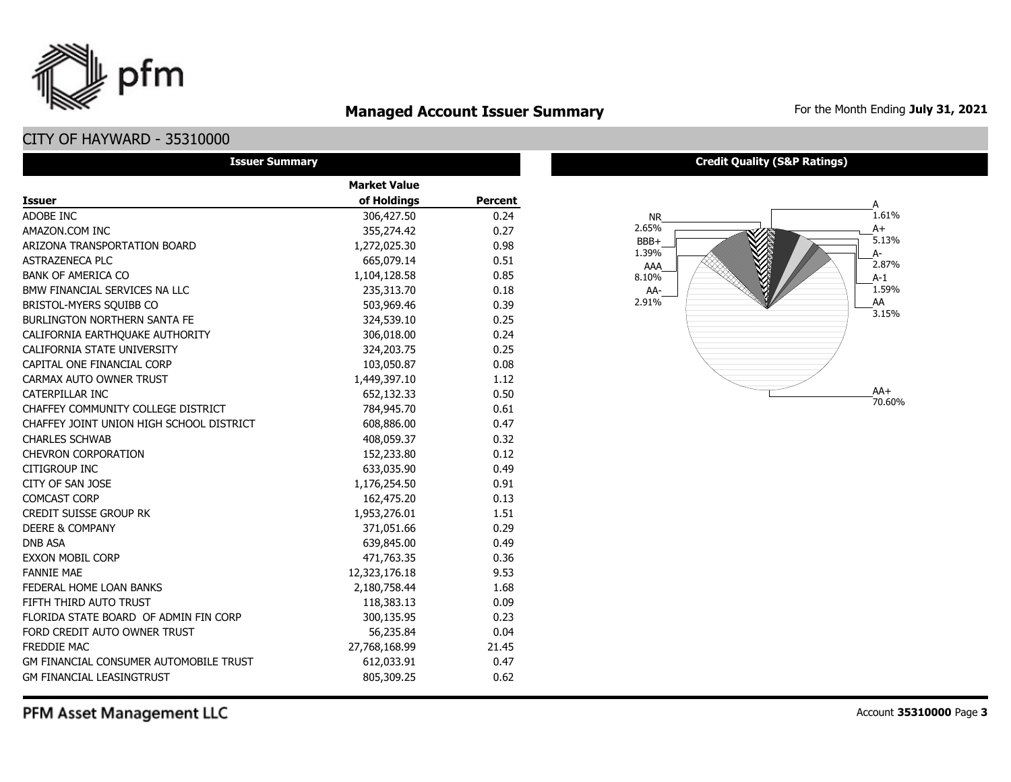### **Managed Account Issuer Summary** For the Month Ending July 31, 2021

### CITY OF HAYWARD - 35310000

pfm

| <b>Issuer Summary</b>                    |                     |                |  |  |  |  |  |  |
|------------------------------------------|---------------------|----------------|--|--|--|--|--|--|
|                                          | <b>Market Value</b> |                |  |  |  |  |  |  |
| <b>Issuer</b>                            | of Holdings         | <b>Percent</b> |  |  |  |  |  |  |
| ADOBE INC                                | 306,427.50          | 0.24           |  |  |  |  |  |  |
| AMAZON.COM INC                           | 355,274.42          | 0.27           |  |  |  |  |  |  |
| ARIZONA TRANSPORTATION BOARD             | 1,272,025.30        | 0.98           |  |  |  |  |  |  |
| <b>ASTRAZENECA PLC</b>                   | 665,079.14          | 0.51           |  |  |  |  |  |  |
| <b>BANK OF AMERICA CO</b>                | 1,104,128.58        | 0.85           |  |  |  |  |  |  |
| BMW FINANCIAL SERVICES NA LLC            | 235,313.70          | 0.18           |  |  |  |  |  |  |
| BRISTOL-MYERS SQUIBB CO                  | 503,969.46          | 0.39           |  |  |  |  |  |  |
| <b>BURLINGTON NORTHERN SANTA FE</b>      | 324,539.10          | 0.25           |  |  |  |  |  |  |
| CALIFORNIA EARTHQUAKE AUTHORITY          | 306,018.00          | 0.24           |  |  |  |  |  |  |
| CALIFORNIA STATE UNIVERSITY              | 324,203.75          | 0.25           |  |  |  |  |  |  |
| CAPITAL ONE FINANCIAL CORP               | 103,050.87          | 0.08           |  |  |  |  |  |  |
| CARMAX AUTO OWNER TRUST                  | 1,449,397.10        | 1.12           |  |  |  |  |  |  |
| <b>CATERPILLAR INC</b>                   | 652,132.33          | 0.50           |  |  |  |  |  |  |
| CHAFFEY COMMUNITY COLLEGE DISTRICT       | 784,945.70          | 0.61           |  |  |  |  |  |  |
| CHAFFEY JOINT UNION HIGH SCHOOL DISTRICT | 608,886.00          | 0.47           |  |  |  |  |  |  |
| <b>CHARLES SCHWAB</b>                    | 408,059.37          | 0.32           |  |  |  |  |  |  |
| <b>CHEVRON CORPORATION</b>               | 152,233.80          | 0.12           |  |  |  |  |  |  |
| <b>CITIGROUP INC</b>                     | 633,035.90          | 0.49           |  |  |  |  |  |  |
| CITY OF SAN JOSE                         | 1,176,254.50        | 0.91           |  |  |  |  |  |  |
| <b>COMCAST CORP</b>                      | 162,475.20          | 0.13           |  |  |  |  |  |  |
| <b>CREDIT SUISSE GROUP RK</b>            | 1,953,276.01        | 1.51           |  |  |  |  |  |  |
| <b>DEERE &amp; COMPANY</b>               | 371,051.66          | 0.29           |  |  |  |  |  |  |
| <b>DNB ASA</b>                           | 639,845.00          | 0.49           |  |  |  |  |  |  |
| <b>EXXON MOBIL CORP</b>                  | 471,763.35          | 0.36           |  |  |  |  |  |  |
| <b>FANNIE MAE</b>                        | 12,323,176.18       | 9.53           |  |  |  |  |  |  |
| FEDERAL HOME LOAN BANKS                  | 2,180,758.44        | 1.68           |  |  |  |  |  |  |
| FIFTH THIRD AUTO TRUST                   | 118,383.13          | 0.09           |  |  |  |  |  |  |
| FLORIDA STATE BOARD OF ADMIN FIN CORP    | 300,135.95          | 0.23           |  |  |  |  |  |  |
| FORD CREDIT AUTO OWNER TRUST             | 56,235.84           | 0.04           |  |  |  |  |  |  |
| <b>FREDDIE MAC</b>                       | 27,768,168.99       | 21.45          |  |  |  |  |  |  |
| GM FINANCIAL CONSUMER AUTOMOBILE TRUST   | 612,033.91          | 0.47           |  |  |  |  |  |  |
| <b>GM FINANCIAL LEASINGTRUST</b>         | 805,309.25          | 0.62           |  |  |  |  |  |  |

#### **Credit Quality (S&P Ratings)**

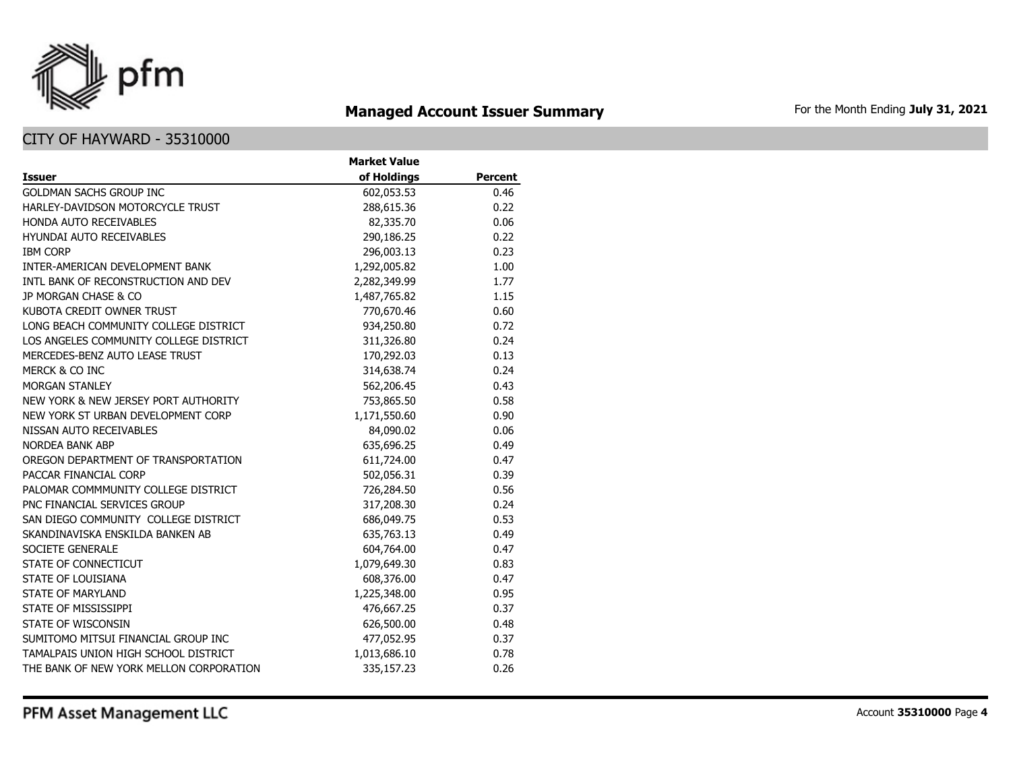

# **Managed Account Issuer Summary** For the Month Ending July 31, 2021

|                                         | <b>Market Value</b> |         |
|-----------------------------------------|---------------------|---------|
| <b>Issuer</b>                           | of Holdings         | Percent |
| <b>GOLDMAN SACHS GROUP INC</b>          | 602,053.53          | 0.46    |
| HARLEY-DAVIDSON MOTORCYCLE TRUST        | 288,615.36          | 0.22    |
| HONDA AUTO RECEIVABLES                  | 82,335.70           | 0.06    |
| <b>HYUNDAI AUTO RECEIVABLES</b>         | 290,186.25          | 0.22    |
| <b>IBM CORP</b>                         | 296,003.13          | 0.23    |
| INTER-AMERICAN DEVELOPMENT BANK         | 1,292,005.82        | 1.00    |
| INTL BANK OF RECONSTRUCTION AND DEV     | 2,282,349.99        | 1.77    |
| JP MORGAN CHASE & CO                    | 1,487,765.82        | 1.15    |
| KUBOTA CREDIT OWNER TRUST               | 770,670.46          | 0.60    |
| LONG BEACH COMMUNITY COLLEGE DISTRICT   | 934,250.80          | 0.72    |
| LOS ANGELES COMMUNITY COLLEGE DISTRICT  | 311,326.80          | 0.24    |
| MERCEDES-BENZ AUTO LEASE TRUST          | 170,292.03          | 0.13    |
| MERCK & CO INC                          | 314,638.74          | 0.24    |
| <b>MORGAN STANLEY</b>                   | 562,206.45          | 0.43    |
| NEW YORK & NEW JERSEY PORT AUTHORITY    | 753,865.50          | 0.58    |
| NEW YORK ST URBAN DEVELOPMENT CORP      | 1,171,550.60        | 0.90    |
| NISSAN AUTO RECEIVABLES                 | 84,090.02           | 0.06    |
| <b>NORDEA BANK ABP</b>                  | 635,696.25          | 0.49    |
| OREGON DEPARTMENT OF TRANSPORTATION     | 611,724.00          | 0.47    |
| PACCAR FINANCIAL CORP                   | 502,056.31          | 0.39    |
| PALOMAR COMMMUNITY COLLEGE DISTRICT     | 726,284.50          | 0.56    |
| PNC FINANCIAL SERVICES GROUP            | 317,208.30          | 0.24    |
| SAN DIEGO COMMUNITY COLLEGE DISTRICT    | 686,049.75          | 0.53    |
| SKANDINAVISKA ENSKILDA BANKEN AB        | 635,763.13          | 0.49    |
| SOCIETE GENERALE                        | 604,764.00          | 0.47    |
| STATE OF CONNECTICUT                    | 1,079,649.30        | 0.83    |
| <b>STATE OF LOUISIANA</b>               | 608,376.00          | 0.47    |
| <b>STATE OF MARYLAND</b>                | 1,225,348.00        | 0.95    |
| STATE OF MISSISSIPPI                    | 476,667.25          | 0.37    |
| STATE OF WISCONSIN                      | 626,500.00          | 0.48    |
| SUMITOMO MITSUI FINANCIAL GROUP INC     | 477,052.95          | 0.37    |
| TAMALPAIS UNION HIGH SCHOOL DISTRICT    | 1,013,686.10        | 0.78    |
| THE BANK OF NEW YORK MELLON CORPORATION | 335,157.23          | 0.26    |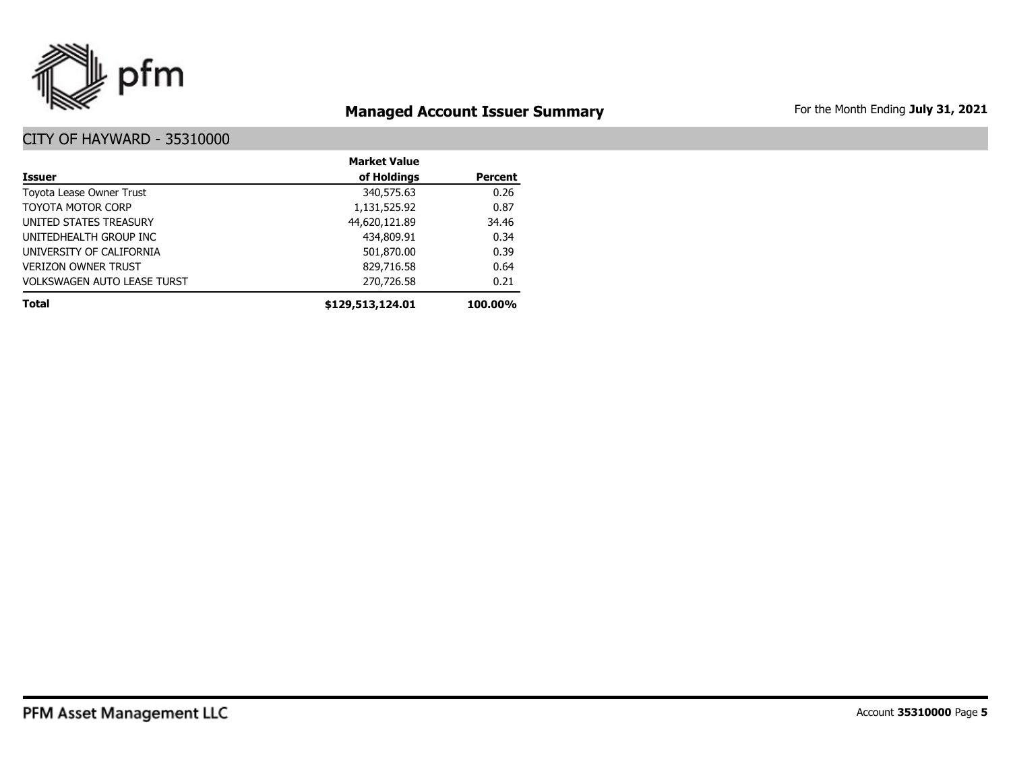

# **Managed Account Issuer Summary** For the Month Ending July 31, 2021

|                                    | <b>Market Value</b> |                |
|------------------------------------|---------------------|----------------|
| <b>Issuer</b>                      | of Holdings         | <b>Percent</b> |
| Toyota Lease Owner Trust           | 340,575.63          | 0.26           |
| <b>TOYOTA MOTOR CORP</b>           | 1,131,525.92        | 0.87           |
| UNITED STATES TREASURY             | 44,620,121.89       | 34.46          |
| UNITEDHEALTH GROUP INC             | 434,809.91          | 0.34           |
| UNIVERSITY OF CALIFORNIA           | 501,870.00          | 0.39           |
| <b>VERIZON OWNER TRUST</b>         | 829,716.58          | 0.64           |
| <b>VOLKSWAGEN AUTO LEASE TURST</b> | 270,726.58          | 0.21           |
| <b>Total</b>                       | \$129,513,124.01    | 100.00%        |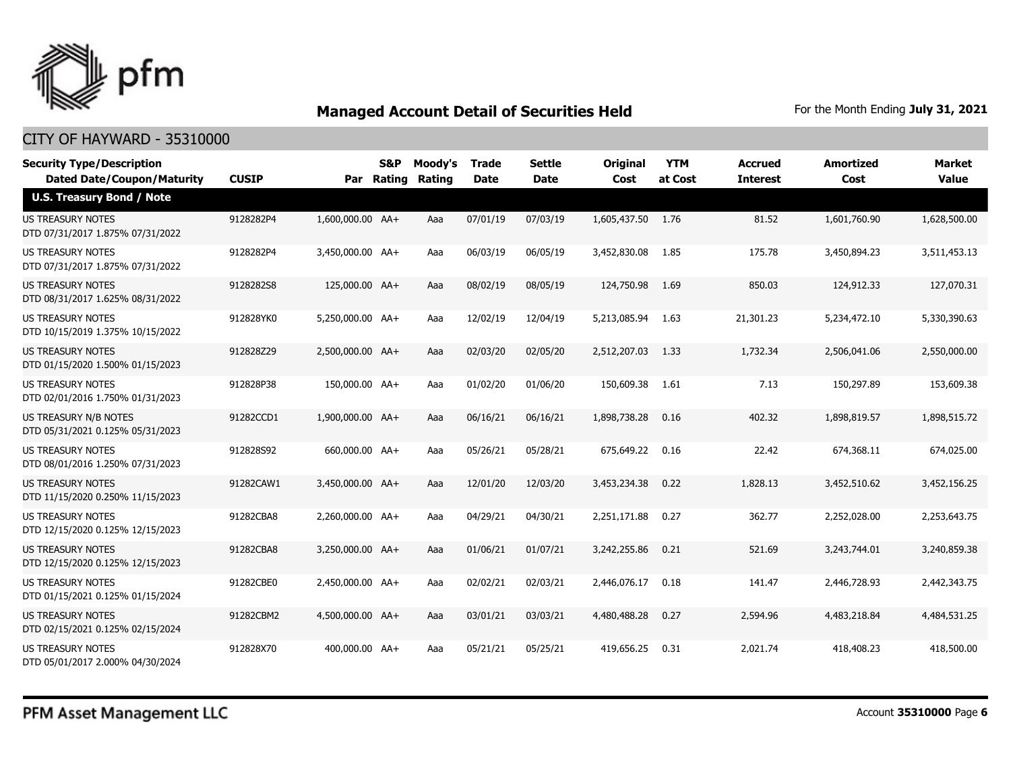

| <b>Security Type/Description</b><br><b>Dated Date/Coupon/Maturity</b> | <b>CUSIP</b> | Par              | S&P<br>Rating | Moody's<br>Rating | Trade<br><b>Date</b> | <b>Settle</b><br><b>Date</b> | <b>Original</b><br>Cost | <b>YTM</b><br>at Cost | <b>Accrued</b><br><b>Interest</b> | <b>Amortized</b><br>Cost | Market<br><b>Value</b> |
|-----------------------------------------------------------------------|--------------|------------------|---------------|-------------------|----------------------|------------------------------|-------------------------|-----------------------|-----------------------------------|--------------------------|------------------------|
| <b>U.S. Treasury Bond / Note</b>                                      |              |                  |               |                   |                      |                              |                         |                       |                                   |                          |                        |
| <b>US TREASURY NOTES</b><br>DTD 07/31/2017 1.875% 07/31/2022          | 9128282P4    | 1,600,000.00 AA+ |               | Aaa               | 07/01/19             | 07/03/19                     | 1,605,437.50 1.76       |                       | 81.52                             | 1,601,760.90             | 1,628,500.00           |
| <b>US TREASURY NOTES</b><br>DTD 07/31/2017 1.875% 07/31/2022          | 9128282P4    | 3,450,000.00 AA+ |               | Aaa               | 06/03/19             | 06/05/19                     | 3,452,830.08            | 1.85                  | 175.78                            | 3,450,894.23             | 3,511,453.13           |
| <b>US TREASURY NOTES</b><br>DTD 08/31/2017 1.625% 08/31/2022          | 9128282S8    | 125,000.00 AA+   |               | Aaa               | 08/02/19             | 08/05/19                     | 124,750.98              | 1.69                  | 850.03                            | 124,912.33               | 127,070.31             |
| <b>US TREASURY NOTES</b><br>DTD 10/15/2019 1.375% 10/15/2022          | 912828YK0    | 5,250,000.00 AA+ |               | Aaa               | 12/02/19             | 12/04/19                     | 5,213,085.94            | - 1.63                | 21,301.23                         | 5,234,472.10             | 5,330,390.63           |
| <b>US TREASURY NOTES</b><br>DTD 01/15/2020 1.500% 01/15/2023          | 912828Z29    | 2.500.000.00 AA+ |               | Aaa               | 02/03/20             | 02/05/20                     | 2,512,207.03            | 1.33                  | 1,732.34                          | 2,506,041.06             | 2,550,000.00           |
| <b>US TREASURY NOTES</b><br>DTD 02/01/2016 1.750% 01/31/2023          | 912828P38    | 150,000.00 AA+   |               | Aaa               | 01/02/20             | 01/06/20                     | 150,609.38              | 1.61                  | 7.13                              | 150,297.89               | 153,609.38             |
| <b>US TREASURY N/B NOTES</b><br>DTD 05/31/2021 0.125% 05/31/2023      | 91282CCD1    | 1,900,000.00 AA+ |               | Aaa               | 06/16/21             | 06/16/21                     | 1,898,738.28            | 0.16                  | 402.32                            | 1,898,819.57             | 1,898,515.72           |
| <b>US TREASURY NOTES</b><br>DTD 08/01/2016 1.250% 07/31/2023          | 912828S92    | 660,000.00 AA+   |               | Aaa               | 05/26/21             | 05/28/21                     | 675,649.22              | 0.16                  | 22.42                             | 674,368.11               | 674,025.00             |
| US TREASURY NOTES<br>DTD 11/15/2020 0.250% 11/15/2023                 | 91282CAW1    | 3,450,000.00 AA+ |               | Aaa               | 12/01/20             | 12/03/20                     | 3,453,234.38            | 0.22                  | 1,828.13                          | 3,452,510.62             | 3,452,156.25           |
| <b>US TREASURY NOTES</b><br>DTD 12/15/2020 0.125% 12/15/2023          | 91282CBA8    | 2.260.000.00 AA+ |               | Aaa               | 04/29/21             | 04/30/21                     | 2,251,171.88            | 0.27                  | 362.77                            | 2,252,028.00             | 2,253,643.75           |
| <b>US TREASURY NOTES</b><br>DTD 12/15/2020 0.125% 12/15/2023          | 91282CBA8    | 3,250,000.00 AA+ |               | Aaa               | 01/06/21             | 01/07/21                     | 3,242,255.86            | 0.21                  | 521.69                            | 3,243,744.01             | 3,240,859.38           |
| <b>US TREASURY NOTES</b><br>DTD 01/15/2021 0.125% 01/15/2024          | 91282CBE0    | 2,450,000.00 AA+ |               | Aaa               | 02/02/21             | 02/03/21                     | 2,446,076.17            | 0.18                  | 141.47                            | 2,446,728.93             | 2,442,343.75           |
| <b>US TREASURY NOTES</b><br>DTD 02/15/2021 0.125% 02/15/2024          | 91282CBM2    | 4,500,000.00 AA+ |               | Aaa               | 03/01/21             | 03/03/21                     | 4,480,488,28            | 0.27                  | 2,594.96                          | 4,483,218.84             | 4,484,531.25           |
| <b>US TREASURY NOTES</b><br>DTD 05/01/2017 2.000% 04/30/2024          | 912828X70    | 400,000.00 AA+   |               | Aaa               | 05/21/21             | 05/25/21                     | 419,656.25              | 0.31                  | 2,021.74                          | 418,408.23               | 418,500.00             |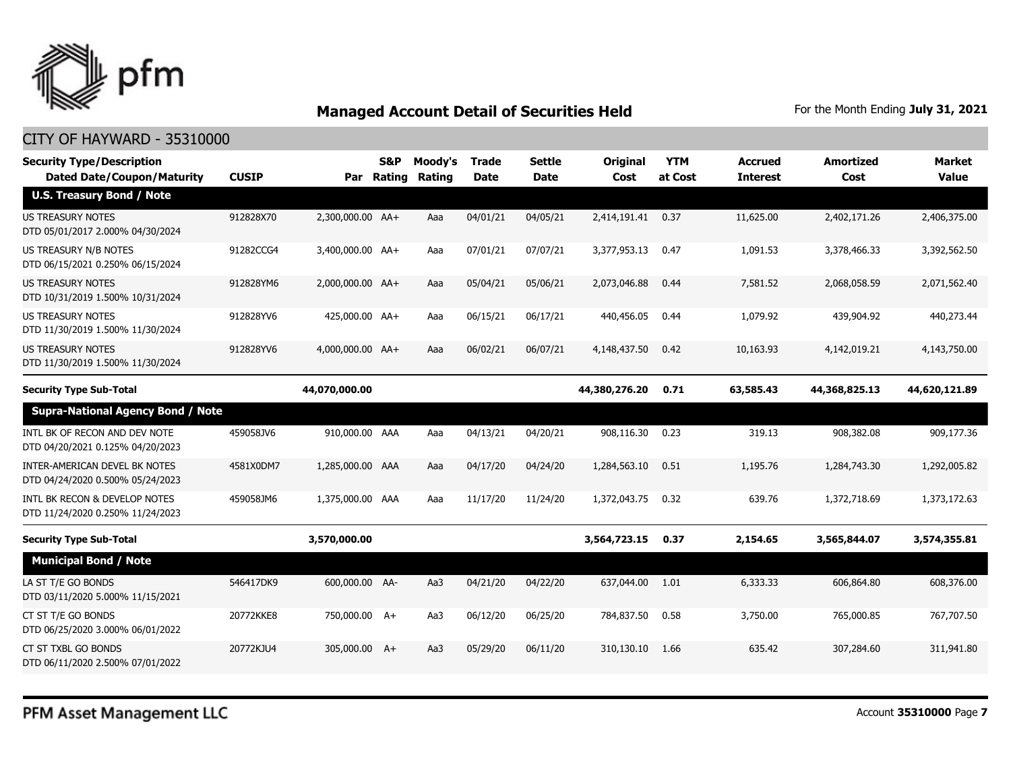

| <b>CUSIP</b> | Par                                      | S&P | Moody's<br>Rating                                                                                                                                                                                                                             | <b>Trade</b><br><b>Date</b> | <b>Settle</b><br><b>Date</b> | <b>Original</b><br>Cost | <b>YTM</b><br>at Cost | <b>Accrued</b><br><b>Interest</b> | <b>Amortized</b><br>Cost | <b>Market</b><br><b>Value</b> |
|--------------|------------------------------------------|-----|-----------------------------------------------------------------------------------------------------------------------------------------------------------------------------------------------------------------------------------------------|-----------------------------|------------------------------|-------------------------|-----------------------|-----------------------------------|--------------------------|-------------------------------|
|              |                                          |     |                                                                                                                                                                                                                                               |                             |                              |                         |                       |                                   |                          |                               |
| 912828X70    |                                          |     | Aaa                                                                                                                                                                                                                                           | 04/01/21                    | 04/05/21                     |                         | 0.37                  | 11,625.00                         | 2,402,171.26             | 2,406,375.00                  |
| 91282CCG4    |                                          |     | Aaa                                                                                                                                                                                                                                           | 07/01/21                    | 07/07/21                     | 3,377,953.13            | 0.47                  | 1,091.53                          | 3,378,466.33             | 3,392,562.50                  |
| 912828YM6    |                                          |     | Aaa                                                                                                                                                                                                                                           | 05/04/21                    | 05/06/21                     | 2,073,046.88            | 0.44                  | 7,581.52                          | 2,068,058.59             | 2,071,562.40                  |
| 912828YV6    |                                          |     | Aaa                                                                                                                                                                                                                                           | 06/15/21                    | 06/17/21                     | 440,456.05              | 0.44                  | 1,079.92                          | 439,904.92               | 440,273.44                    |
| 912828YV6    |                                          |     | Aaa                                                                                                                                                                                                                                           | 06/02/21                    | 06/07/21                     | 4,148,437.50            | 0.42                  | 10,163.93                         | 4,142,019.21             | 4,143,750.00                  |
|              |                                          |     |                                                                                                                                                                                                                                               |                             |                              | 44,380,276.20           | 0.71                  | 63,585.43                         | 44,368,825.13            | 44,620,121.89                 |
|              |                                          |     |                                                                                                                                                                                                                                               |                             |                              |                         |                       |                                   |                          |                               |
| 459058JV6    |                                          |     | Aaa                                                                                                                                                                                                                                           | 04/13/21                    | 04/20/21                     | 908,116.30              | 0.23                  | 319.13                            | 908,382.08               | 909,177.36                    |
| 4581X0DM7    |                                          |     | Aaa                                                                                                                                                                                                                                           | 04/17/20                    | 04/24/20                     | 1,284,563.10            | 0.51                  | 1,195.76                          | 1,284,743.30             | 1,292,005.82                  |
| 459058JM6    |                                          |     | Aaa                                                                                                                                                                                                                                           | 11/17/20                    | 11/24/20                     | 1,372,043.75            | 0.32                  | 639.76                            | 1,372,718.69             | 1,373,172,63                  |
|              |                                          |     |                                                                                                                                                                                                                                               |                             |                              | 3,564,723.15            | 0.37                  | 2,154.65                          | 3,565,844.07             | 3,574,355.81                  |
|              |                                          |     |                                                                                                                                                                                                                                               |                             |                              |                         |                       |                                   |                          |                               |
| 546417DK9    |                                          |     | Aa3                                                                                                                                                                                                                                           | 04/21/20                    | 04/22/20                     |                         | 1.01                  | 6,333.33                          | 606,864.80               | 608,376.00                    |
| 20772KKE8    |                                          |     | Aa3                                                                                                                                                                                                                                           | 06/12/20                    | 06/25/20                     | 784,837.50              | 0.58                  | 3,750.00                          | 765,000.85               | 767,707.50                    |
| 20772KJU4    |                                          |     | Aa3                                                                                                                                                                                                                                           | 05/29/20                    | 06/11/20                     | 310,130.10              | 1.66                  | 635.42                            | 307,284.60               | 311,941.80                    |
|              | <b>Supra-National Agency Bond / Note</b> |     | 2,300,000.00 AA+<br>3,400,000.00 AA+<br>2,000,000.00 AA+<br>425,000.00 AA+<br>4,000,000.00 AA+<br>44,070,000.00<br>910,000.00 AAA<br>1,285,000.00 AAA<br>1,375,000.00 AAA<br>3,570,000.00<br>600,000.00 AA-<br>750,000.00 A+<br>305,000.00 A+ | Rating                      |                              |                         |                       | 2,414,191.41<br>637,044.00        |                          |                               |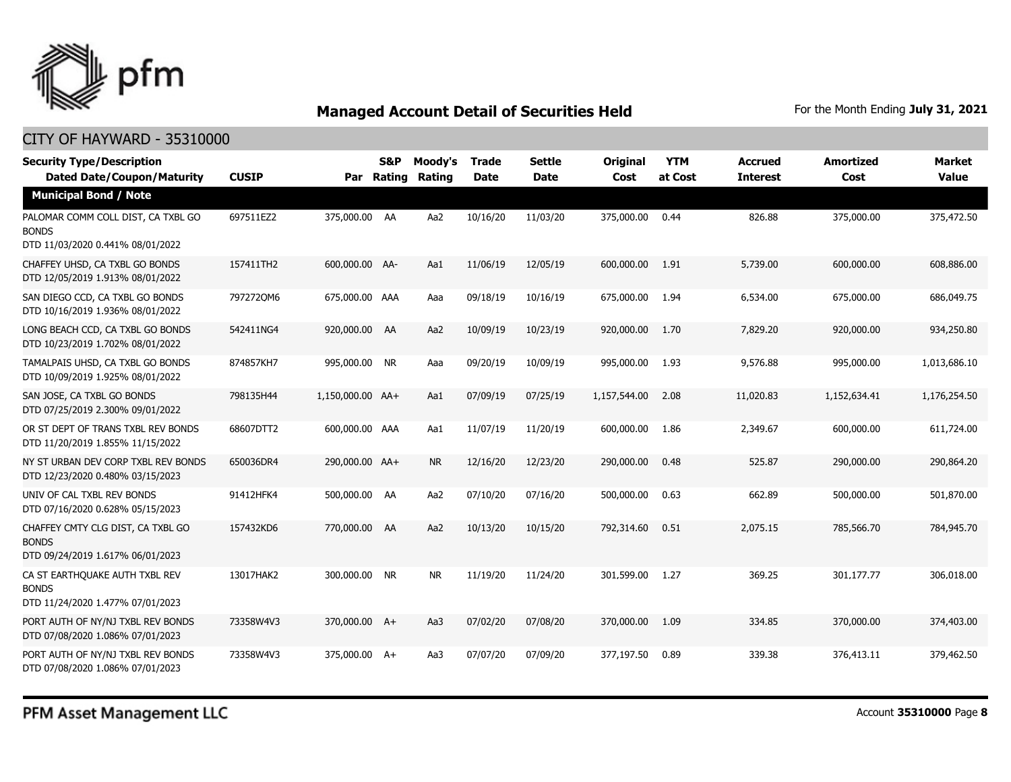

| <b>Security Type/Description</b><br><b>Dated Date/Coupon/Maturity</b>                  | <b>CUSIP</b> | Par              | S&P<br>Rating | Moody's<br>Rating | <b>Trade</b><br><b>Date</b> | Settle<br><b>Date</b> | Original<br>Cost | <b>YTM</b><br>at Cost | <b>Accrued</b><br><b>Interest</b> | <b>Amortized</b><br>Cost | Market<br><b>Value</b> |
|----------------------------------------------------------------------------------------|--------------|------------------|---------------|-------------------|-----------------------------|-----------------------|------------------|-----------------------|-----------------------------------|--------------------------|------------------------|
| <b>Municipal Bond / Note</b>                                                           |              |                  |               |                   |                             |                       |                  |                       |                                   |                          |                        |
| PALOMAR COMM COLL DIST, CA TXBL GO<br><b>BONDS</b><br>DTD 11/03/2020 0.441% 08/01/2022 | 697511EZ2    | 375,000.00 AA    |               | Aa2               | 10/16/20                    | 11/03/20              | 375,000.00       | 0.44                  | 826.88                            | 375,000.00               | 375,472.50             |
| CHAFFEY UHSD, CA TXBL GO BONDS<br>DTD 12/05/2019 1.913% 08/01/2022                     | 157411TH2    | 600,000.00 AA-   |               | Aa1               | 11/06/19                    | 12/05/19              | 600,000.00       | 1.91                  | 5,739.00                          | 600,000.00               | 608,886.00             |
| SAN DIEGO CCD, CA TXBL GO BONDS<br>DTD 10/16/2019 1.936% 08/01/2022                    | 7972720M6    | 675,000.00 AAA   |               | Aaa               | 09/18/19                    | 10/16/19              | 675,000.00       | 1.94                  | 6,534.00                          | 675,000.00               | 686,049.75             |
| LONG BEACH CCD, CA TXBL GO BONDS<br>DTD 10/23/2019 1.702% 08/01/2022                   | 542411NG4    | 920,000.00 AA    |               | Aa2               | 10/09/19                    | 10/23/19              | 920,000.00       | 1.70                  | 7,829.20                          | 920,000.00               | 934,250.80             |
| TAMALPAIS UHSD, CA TXBL GO BONDS<br>DTD 10/09/2019 1.925% 08/01/2022                   | 874857KH7    | 995,000.00 NR    |               | Aaa               | 09/20/19                    | 10/09/19              | 995,000.00       | 1.93                  | 9,576.88                          | 995,000.00               | 1,013,686.10           |
| SAN JOSE, CA TXBL GO BONDS<br>DTD 07/25/2019 2.300% 09/01/2022                         | 798135H44    | 1,150,000.00 AA+ |               | Aa1               | 07/09/19                    | 07/25/19              | 1,157,544.00     | 2.08                  | 11,020.83                         | 1,152,634.41             | 1,176,254.50           |
| OR ST DEPT OF TRANS TXBL REV BONDS<br>DTD 11/20/2019 1.855% 11/15/2022                 | 68607DTT2    | 600,000.00 AAA   |               | Aa1               | 11/07/19                    | 11/20/19              | 600,000.00       | 1.86                  | 2,349.67                          | 600,000.00               | 611,724.00             |
| NY ST URBAN DEV CORP TXBL REV BONDS<br>DTD 12/23/2020 0.480% 03/15/2023                | 650036DR4    | 290,000.00 AA+   |               | <b>NR</b>         | 12/16/20                    | 12/23/20              | 290,000.00       | 0.48                  | 525.87                            | 290,000.00               | 290,864.20             |
| UNIV OF CAL TXBL REV BONDS<br>DTD 07/16/2020 0.628% 05/15/2023                         | 91412HFK4    | 500,000.00 AA    |               | Aa2               | 07/10/20                    | 07/16/20              | 500,000.00       | 0.63                  | 662.89                            | 500,000.00               | 501,870.00             |
| CHAFFEY CMTY CLG DIST, CA TXBL GO<br><b>BONDS</b><br>DTD 09/24/2019 1.617% 06/01/2023  | 157432KD6    | 770,000.00 AA    |               | Aa2               | 10/13/20                    | 10/15/20              | 792,314.60       | 0.51                  | 2,075.15                          | 785,566.70               | 784,945.70             |
| CA ST EARTHOUAKE AUTH TXBL REV<br><b>BONDS</b><br>DTD 11/24/2020 1.477% 07/01/2023     | 13017HAK2    | 300,000.00 NR    |               | <b>NR</b>         | 11/19/20                    | 11/24/20              | 301,599.00       | 1.27                  | 369.25                            | 301,177.77               | 306,018.00             |
| PORT AUTH OF NY/NJ TXBL REV BONDS<br>DTD 07/08/2020 1.086% 07/01/2023                  | 73358W4V3    | 370,000.00 A+    |               | Aa3               | 07/02/20                    | 07/08/20              | 370,000.00       | 1.09                  | 334.85                            | 370,000.00               | 374,403.00             |
| PORT AUTH OF NY/NJ TXBL REV BONDS<br>DTD 07/08/2020 1.086% 07/01/2023                  | 73358W4V3    | 375,000.00 A+    |               | Aa3               | 07/07/20                    | 07/09/20              | 377,197.50       | 0.89                  | 339.38                            | 376,413.11               | 379,462.50             |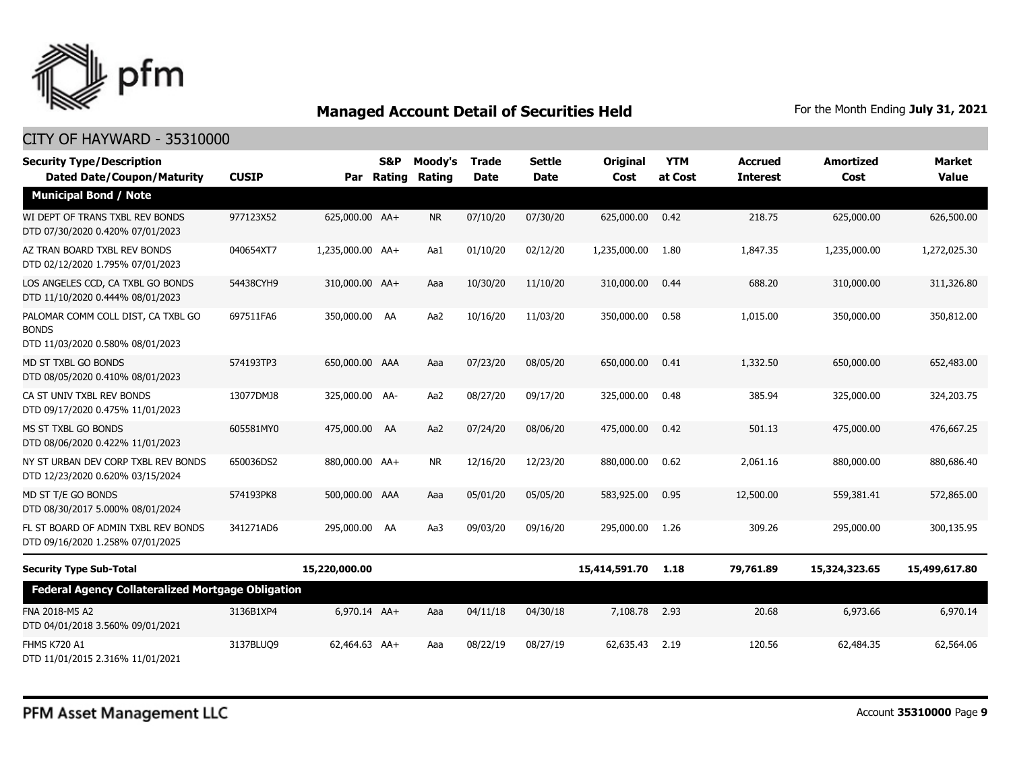

| <b>Security Type/Description</b><br><b>Dated Date/Coupon/Maturity</b>                  | <b>CUSIP</b> | Par              | S&P<br>Rating | Moody's<br>Rating | <b>Trade</b><br><b>Date</b> | <b>Settle</b><br><b>Date</b> | <b>Original</b><br>Cost | <b>YTM</b><br>at Cost | <b>Accrued</b><br><b>Interest</b> | <b>Amortized</b><br>Cost | <b>Market</b><br><b>Value</b> |
|----------------------------------------------------------------------------------------|--------------|------------------|---------------|-------------------|-----------------------------|------------------------------|-------------------------|-----------------------|-----------------------------------|--------------------------|-------------------------------|
| <b>Municipal Bond / Note</b>                                                           |              |                  |               |                   |                             |                              |                         |                       |                                   |                          |                               |
| WI DEPT OF TRANS TXBL REV BONDS<br>DTD 07/30/2020 0.420% 07/01/2023                    | 977123X52    | 625,000.00 AA+   |               | <b>NR</b>         | 07/10/20                    | 07/30/20                     | 625,000.00              | 0.42                  | 218.75                            | 625,000.00               | 626,500.00                    |
| AZ TRAN BOARD TXBL REV BONDS<br>DTD 02/12/2020 1.795% 07/01/2023                       | 040654XT7    | 1,235,000.00 AA+ |               | Aa1               | 01/10/20                    | 02/12/20                     | 1,235,000.00            | 1.80                  | 1,847.35                          | 1,235,000.00             | 1,272,025.30                  |
| LOS ANGELES CCD, CA TXBL GO BONDS<br>DTD 11/10/2020 0.444% 08/01/2023                  | 54438CYH9    | 310,000.00 AA+   |               | Aaa               | 10/30/20                    | 11/10/20                     | 310,000.00              | 0.44                  | 688.20                            | 310,000.00               | 311,326.80                    |
| PALOMAR COMM COLL DIST, CA TXBL GO<br><b>BONDS</b><br>DTD 11/03/2020 0.580% 08/01/2023 | 697511FA6    | 350,000.00 AA    |               | Aa2               | 10/16/20                    | 11/03/20                     | 350,000.00              | 0.58                  | 1,015.00                          | 350,000.00               | 350,812.00                    |
| MD ST TXBL GO BONDS<br>DTD 08/05/2020 0.410% 08/01/2023                                | 574193TP3    | 650,000,00 AAA   |               | Aaa               | 07/23/20                    | 08/05/20                     | 650,000.00              | 0.41                  | 1,332.50                          | 650,000,00               | 652,483,00                    |
| CA ST UNIV TXBL REV BONDS<br>DTD 09/17/2020 0.475% 11/01/2023                          | 13077DMJ8    | 325,000.00 AA-   |               | Aa2               | 08/27/20                    | 09/17/20                     | 325,000.00              | 0.48                  | 385.94                            | 325,000.00               | 324,203.75                    |
| MS ST TXBL GO BONDS<br>DTD 08/06/2020 0.422% 11/01/2023                                | 605581MY0    | 475,000.00 AA    |               | Aa2               | 07/24/20                    | 08/06/20                     | 475,000.00              | 0.42                  | 501.13                            | 475,000.00               | 476,667.25                    |
| NY ST URBAN DEV CORP TXBL REV BONDS<br>DTD 12/23/2020 0.620% 03/15/2024                | 650036DS2    | 880,000.00 AA+   |               | <b>NR</b>         | 12/16/20                    | 12/23/20                     | 880,000.00              | 0.62                  | 2,061.16                          | 880,000.00               | 880,686.40                    |
| MD ST T/E GO BONDS<br>DTD 08/30/2017 5.000% 08/01/2024                                 | 574193PK8    | 500,000.00 AAA   |               | Aaa               | 05/01/20                    | 05/05/20                     | 583,925.00              | 0.95                  | 12,500.00                         | 559,381.41               | 572,865.00                    |
| FL ST BOARD OF ADMIN TXBL REV BONDS<br>DTD 09/16/2020 1.258% 07/01/2025                | 341271AD6    | 295,000.00 AA    |               | Aa3               | 09/03/20                    | 09/16/20                     | 295,000.00              | 1.26                  | 309.26                            | 295,000.00               | 300,135.95                    |
| <b>Security Type Sub-Total</b>                                                         |              | 15,220,000.00    |               |                   |                             |                              | 15,414,591.70           | 1.18                  | 79,761.89                         | 15,324,323.65            | 15,499,617.80                 |
| <b>Federal Agency Collateralized Mortgage Obligation</b>                               |              |                  |               |                   |                             |                              |                         |                       |                                   |                          |                               |
| FNA 2018-M5 A2<br>DTD 04/01/2018 3.560% 09/01/2021                                     | 3136B1XP4    | 6,970.14 AA+     |               | Aaa               | 04/11/18                    | 04/30/18                     | 7,108.78                | 2.93                  | 20.68                             | 6,973.66                 | 6,970.14                      |
| <b>FHMS K720 A1</b><br>DTD 11/01/2015 2.316% 11/01/2021                                | 3137BLUQ9    | 62,464.63 AA+    |               | Aaa               | 08/22/19                    | 08/27/19                     | 62,635.43               | 2.19                  | 120.56                            | 62,484.35                | 62,564.06                     |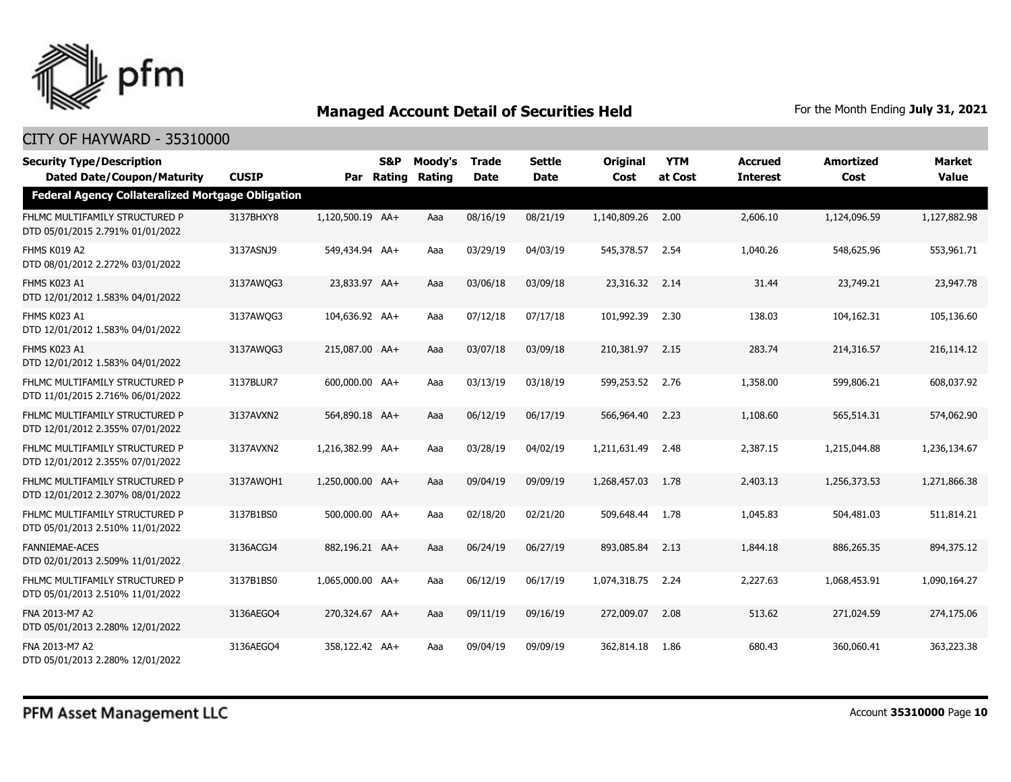

| <b>Security Type/Description</b><br><b>Dated Date/Coupon/Maturity</b> | <b>CUSIP</b> |                  | S&P<br>Par Rating | Moody's<br>Rating | <b>Trade</b><br><b>Date</b> | <b>Settle</b><br><b>Date</b> | <b>Original</b><br>Cost | <b>YTM</b><br>at Cost | <b>Accrued</b><br><b>Interest</b> | <b>Amortized</b><br>Cost | <b>Market</b><br><b>Value</b> |
|-----------------------------------------------------------------------|--------------|------------------|-------------------|-------------------|-----------------------------|------------------------------|-------------------------|-----------------------|-----------------------------------|--------------------------|-------------------------------|
| <b>Federal Agency Collateralized Mortgage Obligation</b>              |              |                  |                   |                   |                             |                              |                         |                       |                                   |                          |                               |
| FHLMC MULTIFAMILY STRUCTURED P<br>DTD 05/01/2015 2.791% 01/01/2022    | 3137BHXY8    | 1,120,500.19 AA+ |                   | Aaa               | 08/16/19                    | 08/21/19                     | 1,140,809.26            | 2.00                  | 2,606.10                          | 1,124,096.59             | 1,127,882.98                  |
| FHMS K019 A2<br>DTD 08/01/2012 2.272% 03/01/2022                      | 3137ASNJ9    | 549,434.94 AA+   |                   | Aaa               | 03/29/19                    | 04/03/19                     | 545,378.57              | 2.54                  | 1,040.26                          | 548,625.96               | 553,961.71                    |
| FHMS K023 A1<br>DTD 12/01/2012 1.583% 04/01/2022                      | 3137AWQG3    | 23,833.97 AA+    |                   | Aaa               | 03/06/18                    | 03/09/18                     | 23,316.32               | 2.14                  | 31.44                             | 23,749.21                | 23,947.78                     |
| FHMS K023 A1<br>DTD 12/01/2012 1.583% 04/01/2022                      | 3137AWQG3    | 104,636.92 AA+   |                   | Aaa               | 07/12/18                    | 07/17/18                     | 101,992.39              | 2.30                  | 138.03                            | 104,162.31               | 105,136.60                    |
| FHMS K023 A1<br>DTD 12/01/2012 1.583% 04/01/2022                      | 3137AWQG3    | 215,087.00 AA+   |                   | Aaa               | 03/07/18                    | 03/09/18                     | 210,381.97              | 2.15                  | 283.74                            | 214,316.57               | 216,114.12                    |
| FHLMC MULTIFAMILY STRUCTURED P<br>DTD 11/01/2015 2.716% 06/01/2022    | 3137BLUR7    | 600,000.00 AA+   |                   | Aaa               | 03/13/19                    | 03/18/19                     | 599,253.52              | 2.76                  | 1,358.00                          | 599,806.21               | 608,037.92                    |
| FHLMC MULTIFAMILY STRUCTURED P<br>DTD 12/01/2012 2.355% 07/01/2022    | 3137AVXN2    | 564,890.18 AA+   |                   | Aaa               | 06/12/19                    | 06/17/19                     | 566,964.40              | 2.23                  | 1,108.60                          | 565,514.31               | 574,062.90                    |
| FHLMC MULTIFAMILY STRUCTURED P<br>DTD 12/01/2012 2.355% 07/01/2022    | 3137AVXN2    | 1,216,382.99 AA+ |                   | Aaa               | 03/28/19                    | 04/02/19                     | 1,211,631.49            | 2.48                  | 2,387.15                          | 1,215,044.88             | 1,236,134.67                  |
| FHLMC MULTIFAMILY STRUCTURED P<br>DTD 12/01/2012 2.307% 08/01/2022    | 3137AWQH1    | 1,250,000.00 AA+ |                   | Aaa               | 09/04/19                    | 09/09/19                     | 1,268,457.03            | 1.78                  | 2,403.13                          | 1,256,373.53             | 1,271,866.38                  |
| FHLMC MULTIFAMILY STRUCTURED P<br>DTD 05/01/2013 2.510% 11/01/2022    | 3137B1BS0    | 500,000.00 AA+   |                   | Aaa               | 02/18/20                    | 02/21/20                     | 509,648.44              | 1.78                  | 1,045.83                          | 504,481.03               | 511,814.21                    |
| <b>FANNIEMAE-ACES</b><br>DTD 02/01/2013 2.509% 11/01/2022             | 3136ACGJ4    | 882,196.21 AA+   |                   | Aaa               | 06/24/19                    | 06/27/19                     | 893,085,84              | 2.13                  | 1,844.18                          | 886,265.35               | 894,375.12                    |
| FHLMC MULTIFAMILY STRUCTURED P<br>DTD 05/01/2013 2.510% 11/01/2022    | 3137B1BS0    | 1,065,000.00 AA+ |                   | Aaa               | 06/12/19                    | 06/17/19                     | 1,074,318.75            | 2.24                  | 2,227.63                          | 1,068,453.91             | 1,090,164.27                  |
| FNA 2013-M7 A2<br>DTD 05/01/2013 2.280% 12/01/2022                    | 3136AEGO4    | 270,324.67 AA+   |                   | Aaa               | 09/11/19                    | 09/16/19                     | 272,009.07              | 2.08                  | 513.62                            | 271.024.59               | 274,175.06                    |
| FNA 2013-M7 A2<br>DTD 05/01/2013 2.280% 12/01/2022                    | 3136AEGO4    | 358,122.42 AA+   |                   | Aaa               | 09/04/19                    | 09/09/19                     | 362,814.18              | 1.86                  | 680.43                            | 360,060.41               | 363,223.38                    |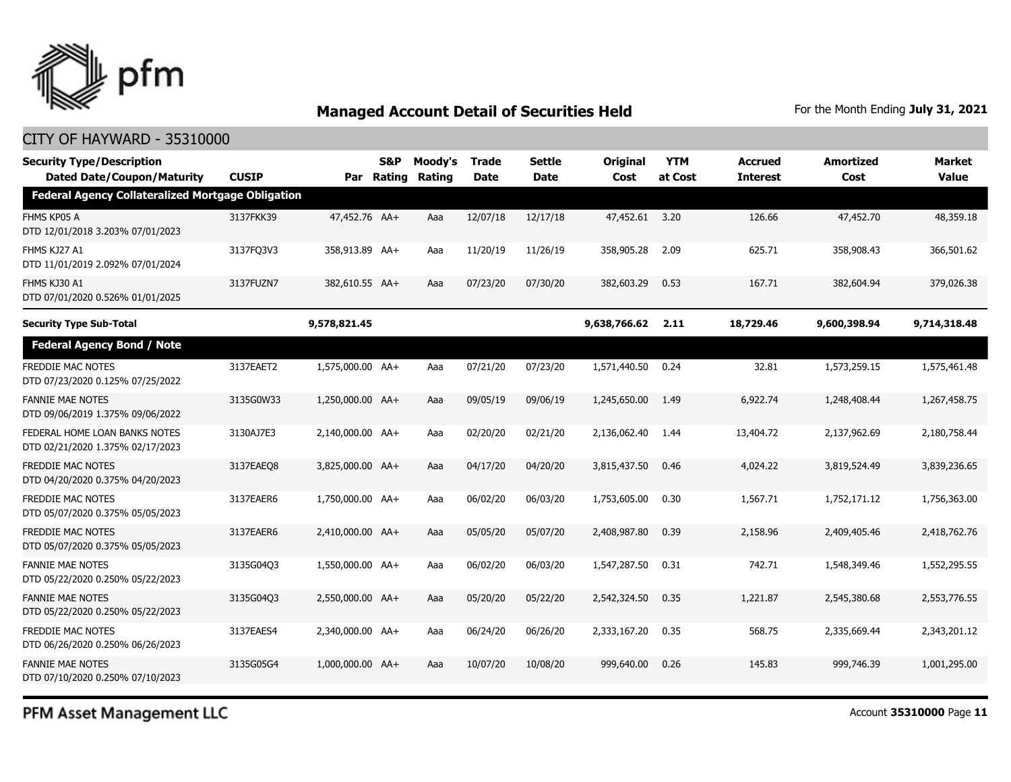

### CITY OF HAYWARD - 35310000

| <b>Security Type/Description</b><br><b>Dated Date/Coupon/Maturity</b> | <b>CUSIP</b> | Par              | S&P<br>Rating | Moody's<br>Rating | <b>Trade</b><br><b>Date</b> | Settle<br><b>Date</b> | Original<br>Cost | <b>YTM</b><br>at Cost | <b>Accrued</b><br><b>Interest</b> | <b>Amortized</b><br>Cost | Market<br><b>Value</b> |
|-----------------------------------------------------------------------|--------------|------------------|---------------|-------------------|-----------------------------|-----------------------|------------------|-----------------------|-----------------------------------|--------------------------|------------------------|
| <b>Federal Agency Collateralized Mortgage Obligation</b>              |              |                  |               |                   |                             |                       |                  |                       |                                   |                          |                        |
| FHMS KP05 A<br>DTD 12/01/2018 3.203% 07/01/2023                       | 3137FKK39    | 47,452.76 AA+    |               | Aaa               | 12/07/18                    | 12/17/18              | 47,452.61        | 3.20                  | 126.66                            | 47,452.70                | 48,359.18              |
| FHMS KJ27 A1<br>DTD 11/01/2019 2.092% 07/01/2024                      | 3137FQ3V3    | 358,913.89 AA+   |               | Aaa               | 11/20/19                    | 11/26/19              | 358,905.28       | 2.09                  | 625.71                            | 358,908.43               | 366,501.62             |
| FHMS KJ30 A1<br>DTD 07/01/2020 0.526% 01/01/2025                      | 3137FUZN7    | 382,610.55 AA+   |               | Aaa               | 07/23/20                    | 07/30/20              | 382,603.29       | 0.53                  | 167.71                            | 382,604.94               | 379,026.38             |
| <b>Security Type Sub-Total</b>                                        |              | 9,578,821.45     |               |                   |                             |                       | 9,638,766.62     | 2.11                  | 18,729.46                         | 9,600,398.94             | 9,714,318.48           |
| <b>Federal Agency Bond / Note</b>                                     |              |                  |               |                   |                             |                       |                  |                       |                                   |                          |                        |
| <b>FREDDIE MAC NOTES</b><br>DTD 07/23/2020 0.125% 07/25/2022          | 3137EAET2    | 1,575,000.00 AA+ |               | Aaa               | 07/21/20                    | 07/23/20              | 1,571,440.50     | 0.24                  | 32.81                             | 1,573,259.15             | 1,575,461.48           |
| <b>FANNIE MAE NOTES</b><br>DTD 09/06/2019 1.375% 09/06/2022           | 3135G0W33    | 1,250,000.00 AA+ |               | Aaa               | 09/05/19                    | 09/06/19              | 1,245,650.00     | 1.49                  | 6,922.74                          | 1,248,408.44             | 1,267,458.75           |
| FEDERAL HOME LOAN BANKS NOTES<br>DTD 02/21/2020 1.375% 02/17/2023     | 3130AJ7E3    | 2,140,000.00 AA+ |               | Aaa               | 02/20/20                    | 02/21/20              | 2,136,062.40     | 1.44                  | 13,404.72                         | 2,137,962.69             | 2,180,758.44           |
| FREDDIE MAC NOTES<br>DTD 04/20/2020 0.375% 04/20/2023                 | 3137EAEO8    | 3,825,000.00 AA+ |               | Aaa               | 04/17/20                    | 04/20/20              | 3,815,437.50     | 0.46                  | 4,024.22                          | 3,819,524.49             | 3,839,236.65           |
| <b>FREDDIE MAC NOTES</b><br>DTD 05/07/2020 0.375% 05/05/2023          | 3137EAER6    | 1,750,000.00 AA+ |               | Aaa               | 06/02/20                    | 06/03/20              | 1,753,605.00     | 0.30                  | 1,567.71                          | 1,752,171.12             | 1,756,363.00           |
| <b>FREDDIE MAC NOTES</b><br>DTD 05/07/2020 0.375% 05/05/2023          | 3137EAER6    | 2,410,000.00 AA+ |               | Aaa               | 05/05/20                    | 05/07/20              | 2,408,987.80     | 0.39                  | 2,158.96                          | 2,409,405.46             | 2,418,762.76           |
| <b>FANNIE MAE NOTES</b><br>DTD 05/22/2020 0.250% 05/22/2023           | 3135G04Q3    | 1,550,000.00 AA+ |               | Aaa               | 06/02/20                    | 06/03/20              | 1,547,287.50     | 0.31                  | 742.71                            | 1,548,349.46             | 1,552,295.55           |
| <b>FANNIE MAE NOTES</b><br>DTD 05/22/2020 0.250% 05/22/2023           | 3135G04Q3    | 2,550,000.00 AA+ |               | Aaa               | 05/20/20                    | 05/22/20              | 2,542,324.50     | 0.35                  | 1,221.87                          | 2,545,380.68             | 2,553,776.55           |
| <b>FREDDIE MAC NOTES</b><br>DTD 06/26/2020 0.250% 06/26/2023          | 3137EAES4    | 2,340,000.00 AA+ |               | Aaa               | 06/24/20                    | 06/26/20              | 2,333,167,20     | 0.35                  | 568.75                            | 2,335,669.44             | 2,343,201.12           |
| <b>FANNIE MAE NOTES</b><br>DTD 07/10/2020 0.250% 07/10/2023           | 3135G05G4    | 1,000,000.00 AA+ |               | Aaa               | 10/07/20                    | 10/08/20              | 999,640,00       | 0.26                  | 145.83                            | 999,746.39               | 1,001,295.00           |

PFM Asset Management LLC

Account **35310000** Page **11**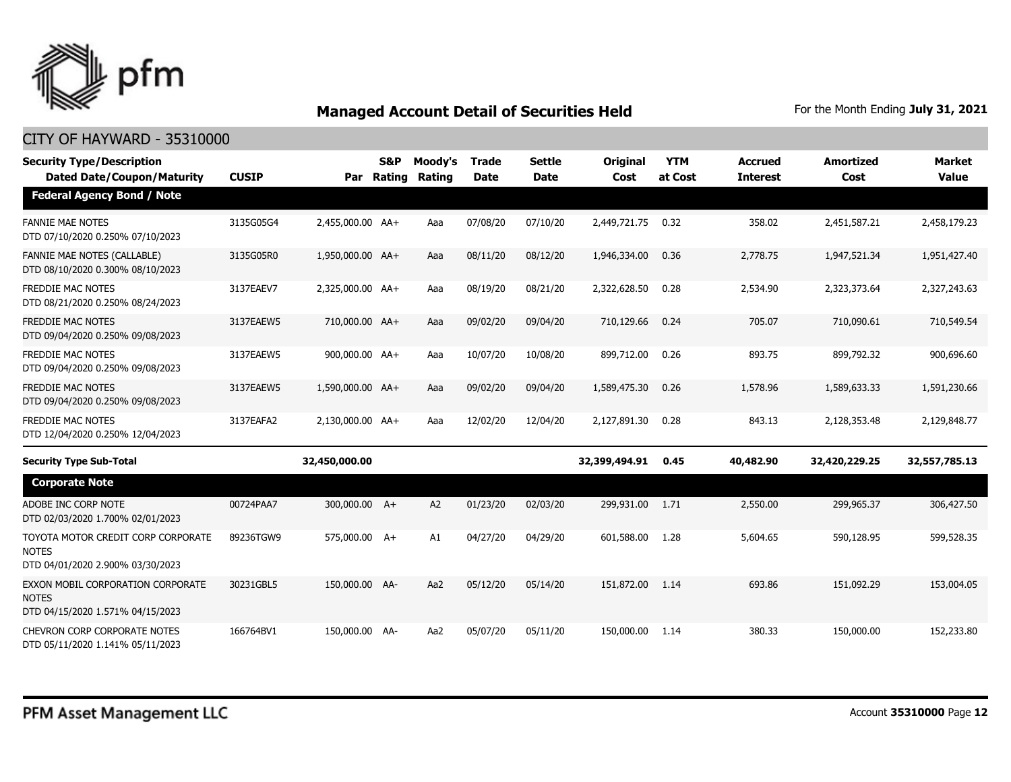

| <b>Security Type/Description</b><br><b>Dated Date/Coupon/Maturity</b>                  | <b>CUSIP</b> | Par              | S&P<br>Rating | Moody's<br>Rating | <b>Trade</b><br><b>Date</b> | <b>Settle</b><br><b>Date</b> | <b>Original</b><br>Cost | <b>YTM</b><br>at Cost | <b>Accrued</b><br><b>Interest</b> | <b>Amortized</b><br>Cost | <b>Market</b><br><b>Value</b> |
|----------------------------------------------------------------------------------------|--------------|------------------|---------------|-------------------|-----------------------------|------------------------------|-------------------------|-----------------------|-----------------------------------|--------------------------|-------------------------------|
| <b>Federal Agency Bond / Note</b>                                                      |              |                  |               |                   |                             |                              |                         |                       |                                   |                          |                               |
| <b>FANNIE MAE NOTES</b><br>DTD 07/10/2020 0.250% 07/10/2023                            | 3135G05G4    | 2,455,000.00 AA+ |               | Aaa               | 07/08/20                    | 07/10/20                     | 2,449,721.75            | 0.32                  | 358.02                            | 2,451,587.21             | 2,458,179.23                  |
| <b>FANNIE MAE NOTES (CALLABLE)</b><br>DTD 08/10/2020 0.300% 08/10/2023                 | 3135G05R0    | 1,950,000.00 AA+ |               | Aaa               | 08/11/20                    | 08/12/20                     | 1,946,334,00            | 0.36                  | 2,778.75                          | 1,947,521.34             | 1,951,427.40                  |
| FREDDIE MAC NOTES<br>DTD 08/21/2020 0.250% 08/24/2023                                  | 3137EAEV7    | 2,325,000.00 AA+ |               | Aaa               | 08/19/20                    | 08/21/20                     | 2,322,628.50            | 0.28                  | 2,534.90                          | 2,323,373.64             | 2,327,243.63                  |
| <b>FREDDIE MAC NOTES</b><br>DTD 09/04/2020 0.250% 09/08/2023                           | 3137EAEW5    | 710,000.00 AA+   |               | Aaa               | 09/02/20                    | 09/04/20                     | 710,129.66              | 0.24                  | 705.07                            | 710,090.61               | 710,549.54                    |
| <b>FREDDIE MAC NOTES</b><br>DTD 09/04/2020 0.250% 09/08/2023                           | 3137EAEW5    | 900,000.00 AA+   |               | Aaa               | 10/07/20                    | 10/08/20                     | 899,712.00              | 0.26                  | 893.75                            | 899,792.32               | 900,696.60                    |
| <b>FREDDIE MAC NOTES</b><br>DTD 09/04/2020 0.250% 09/08/2023                           | 3137EAEW5    | 1,590,000.00 AA+ |               | Aaa               | 09/02/20                    | 09/04/20                     | 1,589,475.30            | 0.26                  | 1,578.96                          | 1,589,633.33             | 1,591,230.66                  |
| <b>FREDDIE MAC NOTES</b><br>DTD 12/04/2020 0.250% 12/04/2023                           | 3137EAFA2    | 2,130,000.00 AA+ |               | Aaa               | 12/02/20                    | 12/04/20                     | 2,127,891.30            | 0.28                  | 843.13                            | 2,128,353.48             | 2,129,848.77                  |
| <b>Security Type Sub-Total</b>                                                         |              | 32,450,000.00    |               |                   |                             |                              | 32,399,494.91           | 0.45                  | 40,482.90                         | 32,420,229.25            | 32,557,785.13                 |
| <b>Corporate Note</b>                                                                  |              |                  |               |                   |                             |                              |                         |                       |                                   |                          |                               |
| ADOBE INC CORP NOTE<br>DTD 02/03/2020 1.700% 02/01/2023                                | 00724PAA7    | 300,000.00 A+    |               | A2                | 01/23/20                    | 02/03/20                     | 299,931.00              | 1.71                  | 2,550.00                          | 299,965.37               | 306,427.50                    |
| TOYOTA MOTOR CREDIT CORP CORPORATE<br><b>NOTES</b><br>DTD 04/01/2020 2.900% 03/30/2023 | 89236TGW9    | 575,000.00 A+    |               | A1                | 04/27/20                    | 04/29/20                     | 601,588.00              | 1.28                  | 5,604.65                          | 590,128.95               | 599,528.35                    |
| EXXON MOBIL CORPORATION CORPORATE<br><b>NOTES</b><br>DTD 04/15/2020 1.571% 04/15/2023  | 30231GBL5    | 150,000.00 AA-   |               | Aa2               | 05/12/20                    | 05/14/20                     | 151,872,00              | 1.14                  | 693.86                            | 151,092.29               | 153,004.05                    |
| CHEVRON CORP CORPORATE NOTES<br>DTD 05/11/2020 1.141% 05/11/2023                       | 166764BV1    | 150,000.00 AA-   |               | Aa2               | 05/07/20                    | 05/11/20                     | 150,000.00              | 1.14                  | 380.33                            | 150,000.00               | 152,233.80                    |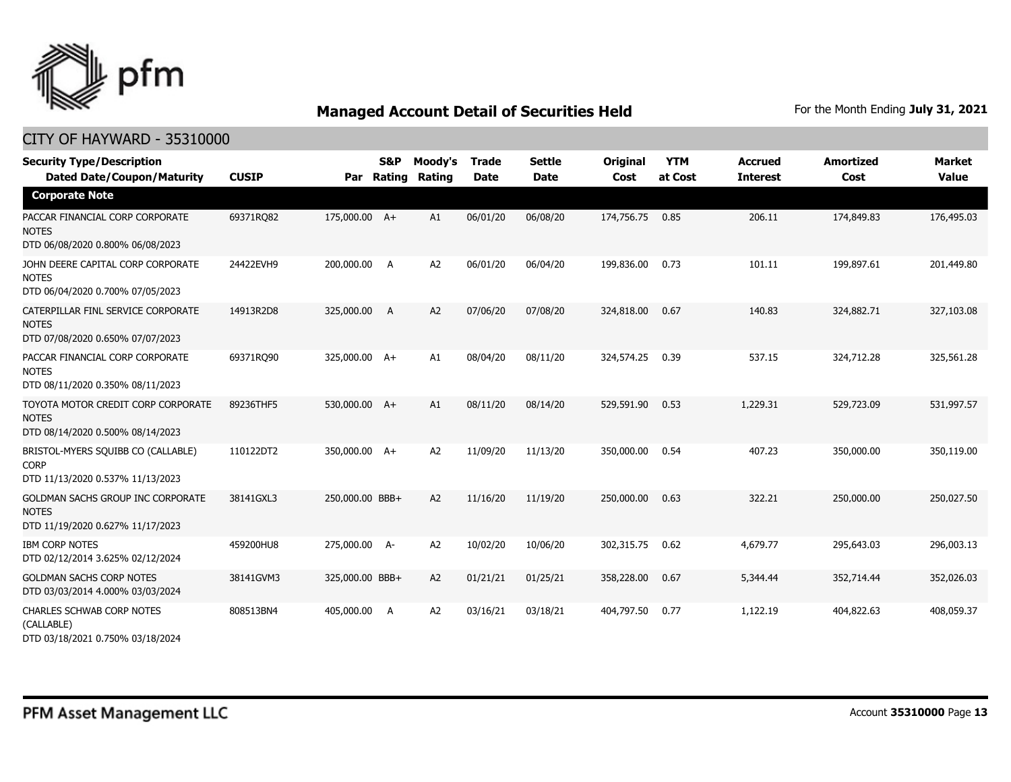

| <b>Security Type/Description</b><br><b>Dated Date/Coupon/Maturity</b>                  | <b>CUSIP</b> | Par             | <b>S&amp;P</b><br>Rating | Moody's<br>Rating | <b>Trade</b><br><b>Date</b> | <b>Settle</b><br><b>Date</b> | Original<br>Cost | <b>YTM</b><br>at Cost | <b>Accrued</b><br><b>Interest</b> | <b>Amortized</b><br>Cost | <b>Market</b><br><b>Value</b> |
|----------------------------------------------------------------------------------------|--------------|-----------------|--------------------------|-------------------|-----------------------------|------------------------------|------------------|-----------------------|-----------------------------------|--------------------------|-------------------------------|
| <b>Corporate Note</b>                                                                  |              |                 |                          |                   |                             |                              |                  |                       |                                   |                          |                               |
| PACCAR FINANCIAL CORP CORPORATE<br><b>NOTES</b><br>DTD 06/08/2020 0.800% 06/08/2023    | 69371RQ82    | 175,000.00 A+   |                          | A1                | 06/01/20                    | 06/08/20                     | 174,756.75       | 0.85                  | 206.11                            | 174,849.83               | 176,495.03                    |
| JOHN DEERE CAPITAL CORP CORPORATE<br><b>NOTES</b><br>DTD 06/04/2020 0.700% 07/05/2023  | 24422EVH9    | 200,000.00 A    |                          | A <sub>2</sub>    | 06/01/20                    | 06/04/20                     | 199,836.00       | 0.73                  | 101.11                            | 199,897.61               | 201,449.80                    |
| CATERPILLAR FINL SERVICE CORPORATE<br><b>NOTES</b><br>DTD 07/08/2020 0.650% 07/07/2023 | 14913R2D8    | 325,000.00      | A                        | A2                | 07/06/20                    | 07/08/20                     | 324,818.00       | 0.67                  | 140.83                            | 324,882.71               | 327,103.08                    |
| PACCAR FINANCIAL CORP CORPORATE<br><b>NOTES</b><br>DTD 08/11/2020 0.350% 08/11/2023    | 69371RQ90    | 325,000.00 A+   |                          | A1                | 08/04/20                    | 08/11/20                     | 324,574.25       | 0.39                  | 537.15                            | 324,712.28               | 325,561.28                    |
| TOYOTA MOTOR CREDIT CORP CORPORATE<br><b>NOTES</b><br>DTD 08/14/2020 0.500% 08/14/2023 | 89236THF5    | 530,000.00 A+   |                          | A1                | 08/11/20                    | 08/14/20                     | 529,591.90       | 0.53                  | 1,229.31                          | 529,723.09               | 531,997.57                    |
| BRISTOL-MYERS SQUIBB CO (CALLABLE)<br><b>CORP</b><br>DTD 11/13/2020 0.537% 11/13/2023  | 110122DT2    | 350,000.00 A+   |                          | A2                | 11/09/20                    | 11/13/20                     | 350,000.00       | 0.54                  | 407.23                            | 350,000.00               | 350,119.00                    |
| GOLDMAN SACHS GROUP INC CORPORATE<br><b>NOTES</b><br>DTD 11/19/2020 0.627% 11/17/2023  | 38141GXL3    | 250,000.00 BBB+ |                          | A2                | 11/16/20                    | 11/19/20                     | 250,000.00       | 0.63                  | 322.21                            | 250,000.00               | 250,027.50                    |
| <b>IBM CORP NOTES</b><br>DTD 02/12/2014 3.625% 02/12/2024                              | 459200HU8    | 275,000.00 A-   |                          | A <sub>2</sub>    | 10/02/20                    | 10/06/20                     | 302,315.75       | 0.62                  | 4,679.77                          | 295,643.03               | 296,003.13                    |
| <b>GOLDMAN SACHS CORP NOTES</b><br>DTD 03/03/2014 4.000% 03/03/2024                    | 38141GVM3    | 325,000.00 BBB+ |                          | A <sub>2</sub>    | 01/21/21                    | 01/25/21                     | 358,228.00       | 0.67                  | 5,344.44                          | 352,714.44               | 352,026.03                    |
| <b>CHARLES SCHWAB CORP NOTES</b><br>(CALLABLE)<br>DTD 03/18/2021 0.750% 03/18/2024     | 808513BN4    | 405,000.00      | A                        | A <sub>2</sub>    | 03/16/21                    | 03/18/21                     | 404,797.50       | 0.77                  | 1,122.19                          | 404,822.63               | 408,059.37                    |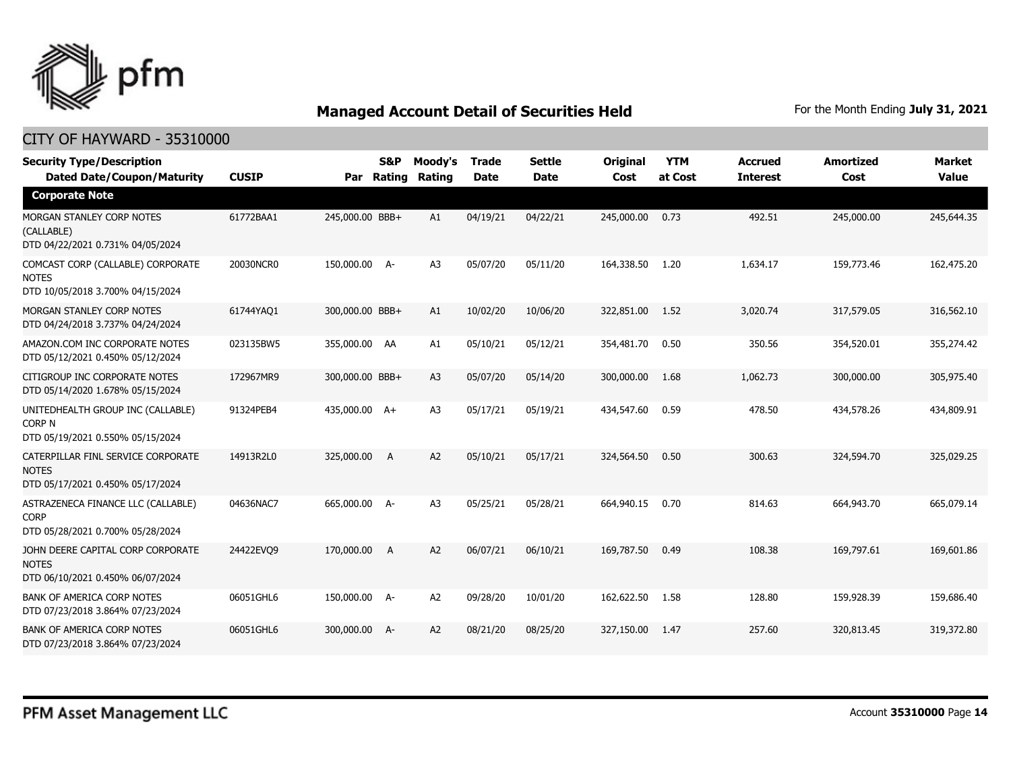

| <b>Security Type/Description</b><br><b>Dated Date/Coupon/Maturity</b>                  | <b>CUSIP</b> | Par             | S&P<br>Rating | Moody's<br>Rating | <b>Trade</b><br><b>Date</b> | <b>Settle</b><br><b>Date</b> | Original<br>Cost | <b>YTM</b><br>at Cost | <b>Accrued</b><br><b>Interest</b> | <b>Amortized</b><br>Cost | <b>Market</b><br><b>Value</b> |
|----------------------------------------------------------------------------------------|--------------|-----------------|---------------|-------------------|-----------------------------|------------------------------|------------------|-----------------------|-----------------------------------|--------------------------|-------------------------------|
| <b>Corporate Note</b>                                                                  |              |                 |               |                   |                             |                              |                  |                       |                                   |                          |                               |
| MORGAN STANLEY CORP NOTES<br>(CALLABLE)<br>DTD 04/22/2021 0.731% 04/05/2024            | 61772BAA1    | 245,000.00 BBB+ |               | A1                | 04/19/21                    | 04/22/21                     | 245,000.00       | 0.73                  | 492.51                            | 245,000.00               | 245,644.35                    |
| COMCAST CORP (CALLABLE) CORPORATE<br><b>NOTES</b><br>DTD 10/05/2018 3.700% 04/15/2024  | 20030NCR0    | 150,000.00 A-   |               | A <sub>3</sub>    | 05/07/20                    | 05/11/20                     | 164,338.50       | 1.20                  | 1,634.17                          | 159,773.46               | 162,475.20                    |
| MORGAN STANLEY CORP NOTES<br>DTD 04/24/2018 3.737% 04/24/2024                          | 61744YAQ1    | 300,000.00 BBB+ |               | A1                | 10/02/20                    | 10/06/20                     | 322,851.00       | 1.52                  | 3,020.74                          | 317,579.05               | 316,562.10                    |
| AMAZON.COM INC CORPORATE NOTES<br>DTD 05/12/2021 0.450% 05/12/2024                     | 023135BW5    | 355,000.00 AA   |               | A1                | 05/10/21                    | 05/12/21                     | 354,481.70       | 0.50                  | 350.56                            | 354,520.01               | 355,274.42                    |
| CITIGROUP INC CORPORATE NOTES<br>DTD 05/14/2020 1.678% 05/15/2024                      | 172967MR9    | 300,000.00 BBB+ |               | A <sub>3</sub>    | 05/07/20                    | 05/14/20                     | 300,000.00       | 1.68                  | 1,062.73                          | 300,000.00               | 305,975.40                    |
| UNITEDHEALTH GROUP INC (CALLABLE)<br><b>CORP N</b><br>DTD 05/19/2021 0.550% 05/15/2024 | 91324PEB4    | 435,000.00 A+   |               | A <sub>3</sub>    | 05/17/21                    | 05/19/21                     | 434,547.60       | 0.59                  | 478.50                            | 434,578.26               | 434,809.91                    |
| CATERPILLAR FINL SERVICE CORPORATE<br><b>NOTES</b><br>DTD 05/17/2021 0.450% 05/17/2024 | 14913R2L0    | 325,000.00      | - A           | A <sub>2</sub>    | 05/10/21                    | 05/17/21                     | 324,564.50       | 0.50                  | 300.63                            | 324,594.70               | 325,029.25                    |
| ASTRAZENECA FINANCE LLC (CALLABLE)<br><b>CORP</b><br>DTD 05/28/2021 0.700% 05/28/2024  | 04636NAC7    | 665,000.00 A-   |               | A3                | 05/25/21                    | 05/28/21                     | 664,940.15       | 0.70                  | 814.63                            | 664,943.70               | 665,079.14                    |
| JOHN DEERE CAPITAL CORP CORPORATE<br><b>NOTES</b><br>DTD 06/10/2021 0.450% 06/07/2024  | 24422EVQ9    | 170,000.00      | A             | A <sub>2</sub>    | 06/07/21                    | 06/10/21                     | 169,787.50       | 0.49                  | 108.38                            | 169,797.61               | 169,601.86                    |
| BANK OF AMERICA CORP NOTES<br>DTD 07/23/2018 3.864% 07/23/2024                         | 06051GHL6    | 150,000.00 A-   |               | A <sub>2</sub>    | 09/28/20                    | 10/01/20                     | 162,622.50       | 1.58                  | 128.80                            | 159,928.39               | 159,686.40                    |
| <b>BANK OF AMERICA CORP NOTES</b><br>DTD 07/23/2018 3.864% 07/23/2024                  | 06051GHL6    | 300,000.00      | $A-$          | A <sub>2</sub>    | 08/21/20                    | 08/25/20                     | 327,150.00       | 1.47                  | 257.60                            | 320,813.45               | 319,372.80                    |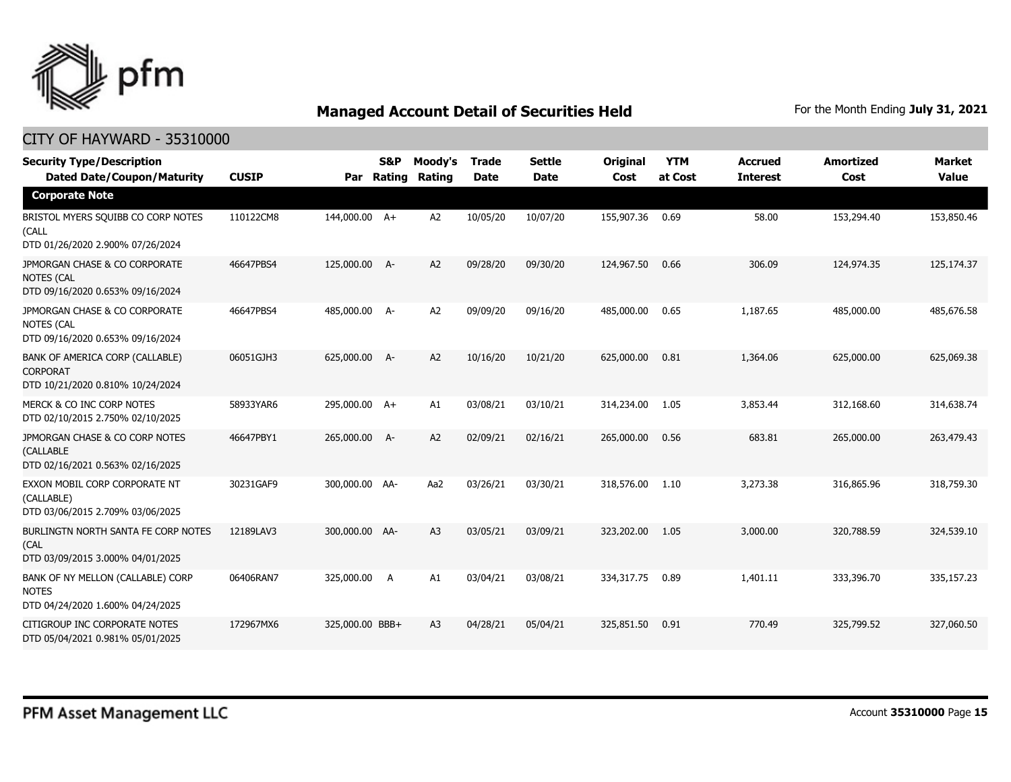

| <b>Security Type/Description</b><br><b>Dated Date/Coupon/Maturity</b>                  | <b>CUSIP</b> | Par             | <b>S&amp;P</b><br>Rating | Moody's<br>Rating | <b>Trade</b><br><b>Date</b> | <b>Settle</b><br><b>Date</b> | Original<br>Cost | <b>YTM</b><br>at Cost | <b>Accrued</b><br><b>Interest</b> | <b>Amortized</b><br>Cost | <b>Market</b><br><b>Value</b> |
|----------------------------------------------------------------------------------------|--------------|-----------------|--------------------------|-------------------|-----------------------------|------------------------------|------------------|-----------------------|-----------------------------------|--------------------------|-------------------------------|
| <b>Corporate Note</b>                                                                  |              |                 |                          |                   |                             |                              |                  |                       |                                   |                          |                               |
| BRISTOL MYERS SQUIBB CO CORP NOTES<br>(CALL<br>DTD 01/26/2020 2.900% 07/26/2024        | 110122CM8    | 144,000.00 A+   |                          | A <sub>2</sub>    | 10/05/20                    | 10/07/20                     | 155,907.36       | 0.69                  | 58.00                             | 153,294.40               | 153,850.46                    |
| JPMORGAN CHASE & CO CORPORATE<br><b>NOTES (CAL</b><br>DTD 09/16/2020 0.653% 09/16/2024 | 46647PBS4    | 125,000.00 A-   |                          | A <sub>2</sub>    | 09/28/20                    | 09/30/20                     | 124,967.50       | 0.66                  | 306.09                            | 124,974.35               | 125,174.37                    |
| JPMORGAN CHASE & CO CORPORATE<br><b>NOTES (CAL</b><br>DTD 09/16/2020 0.653% 09/16/2024 | 46647PBS4    | 485,000.00 A-   |                          | A <sub>2</sub>    | 09/09/20                    | 09/16/20                     | 485,000.00       | 0.65                  | 1,187.65                          | 485,000.00               | 485,676.58                    |
| BANK OF AMERICA CORP (CALLABLE)<br><b>CORPORAT</b><br>DTD 10/21/2020 0.810% 10/24/2024 | 06051GJH3    | 625,000.00 A-   |                          | A <sub>2</sub>    | 10/16/20                    | 10/21/20                     | 625,000.00       | 0.81                  | 1,364.06                          | 625,000.00               | 625,069.38                    |
| MERCK & CO INC CORP NOTES<br>DTD 02/10/2015 2.750% 02/10/2025                          | 58933YAR6    | 295,000.00 A+   |                          | A1                | 03/08/21                    | 03/10/21                     | 314,234.00       | 1.05                  | 3,853.44                          | 312,168.60               | 314,638.74                    |
| JPMORGAN CHASE & CO CORP NOTES<br>(CALLABLE<br>DTD 02/16/2021 0.563% 02/16/2025        | 46647PBY1    | 265,000.00 A-   |                          | A <sub>2</sub>    | 02/09/21                    | 02/16/21                     | 265,000.00       | 0.56                  | 683.81                            | 265,000.00               | 263,479.43                    |
| EXXON MOBIL CORP CORPORATE NT<br>(CALLABLE)<br>DTD 03/06/2015 2.709% 03/06/2025        | 30231GAF9    | 300,000.00 AA-  |                          | Aa2               | 03/26/21                    | 03/30/21                     | 318,576.00       | 1.10                  | 3,273.38                          | 316,865.96               | 318,759.30                    |
| BURLINGTN NORTH SANTA FE CORP NOTES<br>(CAL<br>DTD 03/09/2015 3.000% 04/01/2025        | 12189LAV3    | 300,000.00 AA-  |                          | A <sub>3</sub>    | 03/05/21                    | 03/09/21                     | 323,202.00       | 1.05                  | 3,000.00                          | 320,788.59               | 324,539.10                    |
| BANK OF NY MELLON (CALLABLE) CORP<br><b>NOTES</b><br>DTD 04/24/2020 1.600% 04/24/2025  | 06406RAN7    | 325,000.00      | A                        | A1                | 03/04/21                    | 03/08/21                     | 334,317.75       | 0.89                  | 1,401.11                          | 333,396,70               | 335,157.23                    |
| CITIGROUP INC CORPORATE NOTES<br>DTD 05/04/2021 0.981% 05/01/2025                      | 172967MX6    | 325,000.00 BBB+ |                          | A <sub>3</sub>    | 04/28/21                    | 05/04/21                     | 325,851.50       | 0.91                  | 770.49                            | 325,799.52               | 327,060.50                    |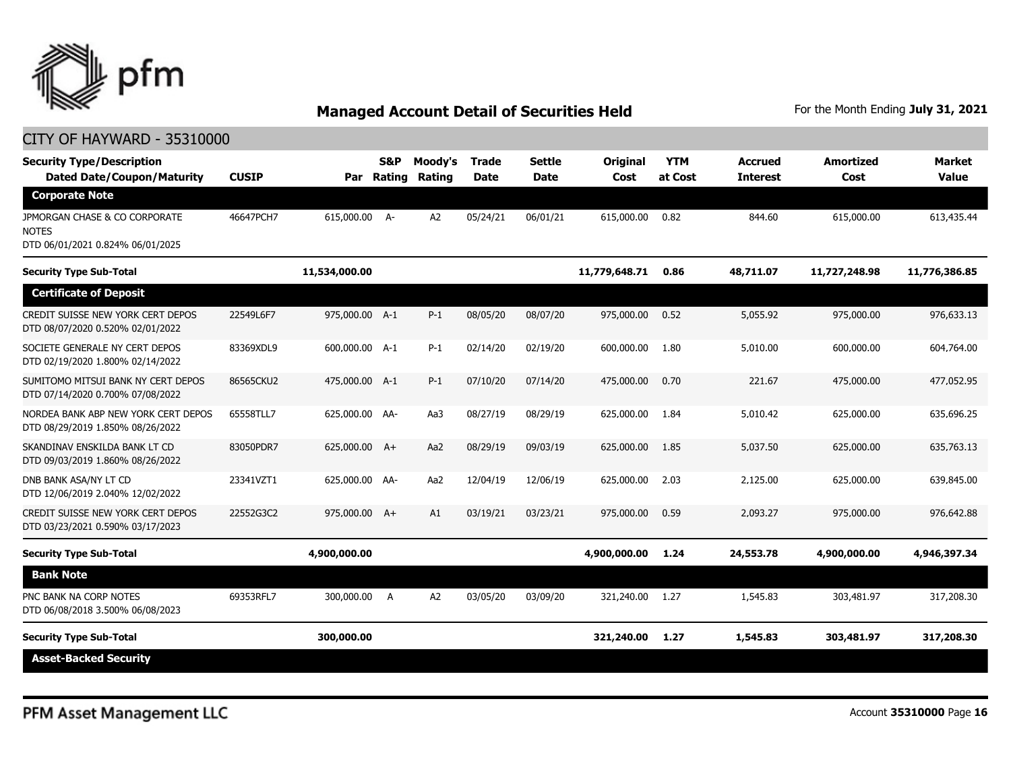

| <b>Security Type/Description</b><br><b>Dated Date/Coupon/Maturity</b>             | <b>CUSIP</b> | Par            | <b>S&amp;P</b><br>Rating | Moody's<br>Rating | <b>Trade</b><br><b>Date</b> | <b>Settle</b><br><b>Date</b> | <b>Original</b><br>Cost | <b>YTM</b><br>at Cost | <b>Accrued</b><br><b>Interest</b> | <b>Amortized</b><br>Cost | <b>Market</b><br>Value |
|-----------------------------------------------------------------------------------|--------------|----------------|--------------------------|-------------------|-----------------------------|------------------------------|-------------------------|-----------------------|-----------------------------------|--------------------------|------------------------|
| <b>Corporate Note</b>                                                             |              |                |                          |                   |                             |                              |                         |                       |                                   |                          |                        |
| JPMORGAN CHASE & CO CORPORATE<br><b>NOTES</b><br>DTD 06/01/2021 0.824% 06/01/2025 | 46647PCH7    | 615,000.00 A-  |                          | A <sub>2</sub>    | 05/24/21                    | 06/01/21                     | 615,000.00              | 0.82                  | 844.60                            | 615,000.00               | 613,435.44             |
| <b>Security Type Sub-Total</b>                                                    |              | 11,534,000.00  |                          |                   |                             |                              | 11,779,648.71           | 0.86                  | 48,711.07                         | 11,727,248.98            | 11,776,386.85          |
| <b>Certificate of Deposit</b>                                                     |              |                |                          |                   |                             |                              |                         |                       |                                   |                          |                        |
| CREDIT SUISSE NEW YORK CERT DEPOS<br>DTD 08/07/2020 0.520% 02/01/2022             | 22549L6F7    | 975,000.00 A-1 |                          | $P-1$             | 08/05/20                    | 08/07/20                     | 975,000.00              | 0.52                  | 5,055.92                          | 975,000.00               | 976,633.13             |
| SOCIETE GENERALE NY CERT DEPOS<br>DTD 02/19/2020 1.800% 02/14/2022                | 83369XDL9    | 600,000.00 A-1 |                          | $P-1$             | 02/14/20                    | 02/19/20                     | 600,000,00              | 1.80                  | 5,010.00                          | 600,000,00               | 604,764.00             |
| SUMITOMO MITSUI BANK NY CERT DEPOS<br>DTD 07/14/2020 0.700% 07/08/2022            | 86565CKU2    | 475,000.00 A-1 |                          | $P-1$             | 07/10/20                    | 07/14/20                     | 475,000.00              | 0.70                  | 221.67                            | 475,000,00               | 477,052.95             |
| NORDEA BANK ABP NEW YORK CERT DEPOS<br>DTD 08/29/2019 1.850% 08/26/2022           | 65558TLL7    | 625,000.00 AA- |                          | Aa3               | 08/27/19                    | 08/29/19                     | 625,000.00              | 1.84                  | 5,010.42                          | 625,000.00               | 635,696.25             |
| SKANDINAV ENSKILDA BANK LT CD<br>DTD 09/03/2019 1.860% 08/26/2022                 | 83050PDR7    | 625,000.00 A+  |                          | Aa2               | 08/29/19                    | 09/03/19                     | 625,000.00              | 1.85                  | 5,037.50                          | 625,000.00               | 635,763.13             |
| DNB BANK ASA/NY LT CD<br>DTD 12/06/2019 2.040% 12/02/2022                         | 23341VZT1    | 625,000.00 AA- |                          | Aa2               | 12/04/19                    | 12/06/19                     | 625,000.00              | 2.03                  | 2,125.00                          | 625,000,00               | 639,845.00             |
| CREDIT SUISSE NEW YORK CERT DEPOS<br>DTD 03/23/2021 0.590% 03/17/2023             | 22552G3C2    | 975,000.00 A+  |                          | A1                | 03/19/21                    | 03/23/21                     | 975,000.00              | 0.59                  | 2,093.27                          | 975,000.00               | 976,642.88             |
| <b>Security Type Sub-Total</b>                                                    |              | 4,900,000.00   |                          |                   |                             |                              | 4,900,000.00            | 1.24                  | 24,553.78                         | 4,900,000.00             | 4,946,397.34           |
| <b>Bank Note</b>                                                                  |              |                |                          |                   |                             |                              |                         |                       |                                   |                          |                        |
| PNC BANK NA CORP NOTES<br>DTD 06/08/2018 3.500% 06/08/2023                        | 69353RFL7    | 300,000.00     | A                        | A <sub>2</sub>    | 03/05/20                    | 03/09/20                     | 321,240.00              | 1.27                  | 1,545.83                          | 303,481.97               | 317,208.30             |
| <b>Security Type Sub-Total</b>                                                    |              | 300,000.00     |                          |                   |                             |                              | 321,240.00              | 1.27                  | 1,545.83                          | 303,481.97               | 317,208.30             |
| <b>Asset-Backed Security</b>                                                      |              |                |                          |                   |                             |                              |                         |                       |                                   |                          |                        |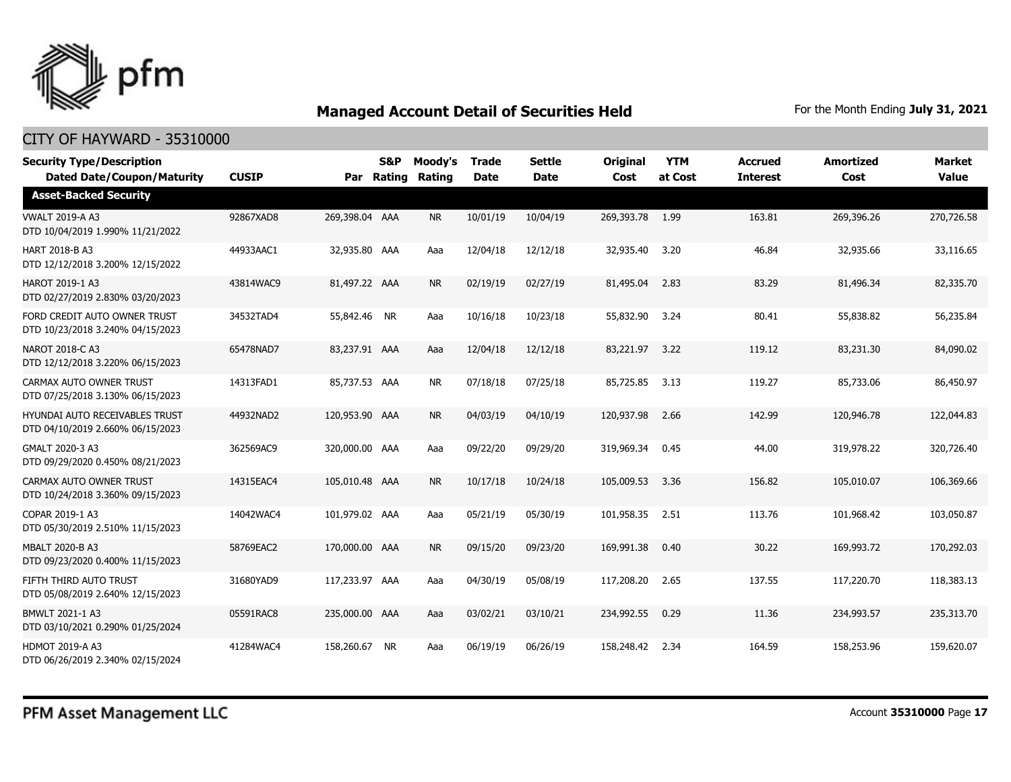

| <b>Security Type/Description</b><br><b>Dated Date/Coupon/Maturity</b>     | <b>CUSIP</b> |                | S&P<br>Par Rating | Moody's<br>Rating | <b>Trade</b><br><b>Date</b> | <b>Settle</b><br><b>Date</b> | <b>Original</b><br>Cost | <b>YTM</b><br>at Cost | <b>Accrued</b><br><b>Interest</b> | Amortized<br>Cost | <b>Market</b><br><b>Value</b> |
|---------------------------------------------------------------------------|--------------|----------------|-------------------|-------------------|-----------------------------|------------------------------|-------------------------|-----------------------|-----------------------------------|-------------------|-------------------------------|
| <b>Asset-Backed Security</b>                                              |              |                |                   |                   |                             |                              |                         |                       |                                   |                   |                               |
| <b>VWALT 2019-A A3</b><br>DTD 10/04/2019 1.990% 11/21/2022                | 92867XAD8    | 269,398.04 AAA |                   | <b>NR</b>         | 10/01/19                    | 10/04/19                     | 269,393.78              | 1.99                  | 163.81                            | 269,396.26        | 270,726.58                    |
| <b>HART 2018-B A3</b><br>DTD 12/12/2018 3.200% 12/15/2022                 | 44933AAC1    | 32,935.80 AAA  |                   | Aaa               | 12/04/18                    | 12/12/18                     | 32,935.40               | 3.20                  | 46.84                             | 32,935.66         | 33,116.65                     |
| <b>HAROT 2019-1 A3</b><br>DTD 02/27/2019 2.830% 03/20/2023                | 43814WAC9    | 81,497.22 AAA  |                   | <b>NR</b>         | 02/19/19                    | 02/27/19                     | 81,495.04               | 2.83                  | 83.29                             | 81,496.34         | 82,335.70                     |
| FORD CREDIT AUTO OWNER TRUST<br>DTD 10/23/2018 3.240% 04/15/2023          | 34532TAD4    | 55,842.46 NR   |                   | Aaa               | 10/16/18                    | 10/23/18                     | 55,832.90               | 3.24                  | 80.41                             | 55,838.82         | 56,235.84                     |
| NAROT 2018-C A3<br>DTD 12/12/2018 3.220% 06/15/2023                       | 65478NAD7    | 83,237.91 AAA  |                   | Aaa               | 12/04/18                    | 12/12/18                     | 83,221.97               | 3.22                  | 119.12                            | 83,231.30         | 84,090.02                     |
| CARMAX AUTO OWNER TRUST<br>DTD 07/25/2018 3.130% 06/15/2023               | 14313FAD1    | 85,737.53 AAA  |                   | <b>NR</b>         | 07/18/18                    | 07/25/18                     | 85,725.85               | 3.13                  | 119.27                            | 85,733.06         | 86,450.97                     |
| <b>HYUNDAI AUTO RECEIVABLES TRUST</b><br>DTD 04/10/2019 2.660% 06/15/2023 | 44932NAD2    | 120,953.90 AAA |                   | <b>NR</b>         | 04/03/19                    | 04/10/19                     | 120,937.98              | 2.66                  | 142.99                            | 120,946.78        | 122,044.83                    |
| GMALT 2020-3 A3<br>DTD 09/29/2020 0.450% 08/21/2023                       | 362569AC9    | 320,000.00 AAA |                   | Aaa               | 09/22/20                    | 09/29/20                     | 319,969.34              | 0.45                  | 44.00                             | 319,978.22        | 320,726.40                    |
| CARMAX AUTO OWNER TRUST<br>DTD 10/24/2018 3.360% 09/15/2023               | 14315EAC4    | 105,010.48 AAA |                   | <b>NR</b>         | 10/17/18                    | 10/24/18                     | 105,009.53              | 3.36                  | 156.82                            | 105,010.07        | 106,369.66                    |
| COPAR 2019-1 A3<br>DTD 05/30/2019 2.510% 11/15/2023                       | 14042WAC4    | 101,979.02 AAA |                   | Aaa               | 05/21/19                    | 05/30/19                     | 101,958.35              | 2.51                  | 113.76                            | 101,968.42        | 103,050.87                    |
| <b>MBALT 2020-B A3</b><br>DTD 09/23/2020 0.400% 11/15/2023                | 58769EAC2    | 170,000.00 AAA |                   | <b>NR</b>         | 09/15/20                    | 09/23/20                     | 169,991.38              | 0.40                  | 30.22                             | 169,993.72        | 170,292.03                    |
| FIFTH THIRD AUTO TRUST<br>DTD 05/08/2019 2.640% 12/15/2023                | 31680YAD9    | 117,233.97 AAA |                   | Aaa               | 04/30/19                    | 05/08/19                     | 117,208.20              | 2.65                  | 137.55                            | 117,220.70        | 118,383.13                    |
| BMWLT 2021-1 A3<br>DTD 03/10/2021 0.290% 01/25/2024                       | 05591RAC8    | 235,000.00 AAA |                   | Aaa               | 03/02/21                    | 03/10/21                     | 234,992.55              | 0.29                  | 11.36                             | 234,993.57        | 235,313.70                    |
| <b>HDMOT 2019-A A3</b><br>DTD 06/26/2019 2.340% 02/15/2024                | 41284WAC4    | 158,260.67 NR  |                   | Aaa               | 06/19/19                    | 06/26/19                     | 158,248.42              | 2.34                  | 164.59                            | 158,253.96        | 159,620.07                    |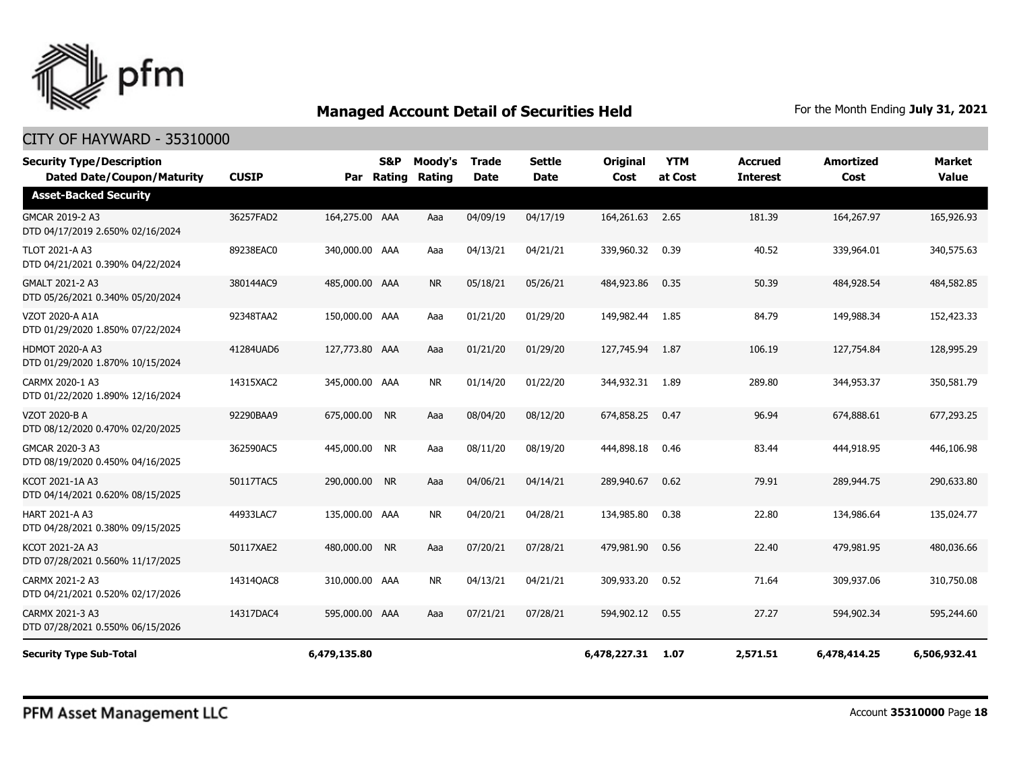

| <b>Security Type/Description</b><br><b>Dated Date/Coupon/Maturity</b> | <b>CUSIP</b> |                | <b>S&amp;P</b><br>Par Rating | Moody's<br><b>Rating</b> | <b>Trade</b><br><b>Date</b> | <b>Settle</b><br><b>Date</b> | <b>Original</b><br>Cost | <b>YTM</b><br>at Cost | <b>Accrued</b><br><b>Interest</b> | <b>Amortized</b><br>Cost | Market<br><b>Value</b> |
|-----------------------------------------------------------------------|--------------|----------------|------------------------------|--------------------------|-----------------------------|------------------------------|-------------------------|-----------------------|-----------------------------------|--------------------------|------------------------|
| <b>Asset-Backed Security</b>                                          |              |                |                              |                          |                             |                              |                         |                       |                                   |                          |                        |
| GMCAR 2019-2 A3<br>DTD 04/17/2019 2.650% 02/16/2024                   | 36257FAD2    | 164,275.00 AAA |                              | Aaa                      | 04/09/19                    | 04/17/19                     | 164,261.63              | 2.65                  | 181.39                            | 164,267.97               | 165,926.93             |
| <b>TLOT 2021-A A3</b><br>DTD 04/21/2021 0.390% 04/22/2024             | 89238EAC0    | 340,000.00 AAA |                              | Aaa                      | 04/13/21                    | 04/21/21                     | 339,960.32              | 0.39                  | 40.52                             | 339,964.01               | 340,575.63             |
| GMALT 2021-2 A3<br>DTD 05/26/2021 0.340% 05/20/2024                   | 380144AC9    | 485,000.00 AAA |                              | <b>NR</b>                | 05/18/21                    | 05/26/21                     | 484,923.86              | 0.35                  | 50.39                             | 484,928.54               | 484,582.85             |
| VZOT 2020-A A1A<br>DTD 01/29/2020 1.850% 07/22/2024                   | 92348TAA2    | 150,000.00 AAA |                              | Aaa                      | 01/21/20                    | 01/29/20                     | 149,982.44              | 1.85                  | 84.79                             | 149,988.34               | 152,423.33             |
| <b>HDMOT 2020-A A3</b><br>DTD 01/29/2020 1.870% 10/15/2024            | 41284UAD6    | 127,773.80 AAA |                              | Aaa                      | 01/21/20                    | 01/29/20                     | 127,745.94              | 1.87                  | 106.19                            | 127,754.84               | 128,995.29             |
| CARMX 2020-1 A3<br>DTD 01/22/2020 1.890% 12/16/2024                   | 14315XAC2    | 345,000.00 AAA |                              | <b>NR</b>                | 01/14/20                    | 01/22/20                     | 344,932.31              | 1.89                  | 289.80                            | 344,953.37               | 350,581.79             |
| VZOT 2020-B A<br>DTD 08/12/2020 0.470% 02/20/2025                     | 92290BAA9    | 675,000.00     | <b>NR</b>                    | Aaa                      | 08/04/20                    | 08/12/20                     | 674,858.25              | 0.47                  | 96.94                             | 674,888.61               | 677,293.25             |
| GMCAR 2020-3 A3<br>DTD 08/19/2020 0.450% 04/16/2025                   | 362590AC5    | 445,000.00 NR  |                              | Aaa                      | 08/11/20                    | 08/19/20                     | 444,898.18              | 0.46                  | 83.44                             | 444,918.95               | 446,106.98             |
| KCOT 2021-1A A3<br>DTD 04/14/2021 0.620% 08/15/2025                   | 50117TAC5    | 290,000.00     | <b>NR</b>                    | Aaa                      | 04/06/21                    | 04/14/21                     | 289,940.67              | 0.62                  | 79.91                             | 289,944.75               | 290,633.80             |
| HART 2021-A A3<br>DTD 04/28/2021 0.380% 09/15/2025                    | 44933LAC7    | 135,000.00 AAA |                              | <b>NR</b>                | 04/20/21                    | 04/28/21                     | 134,985.80              | 0.38                  | 22.80                             | 134,986.64               | 135,024.77             |
| KCOT 2021-2A A3<br>DTD 07/28/2021 0.560% 11/17/2025                   | 50117XAE2    | 480,000.00 NR  |                              | Aaa                      | 07/20/21                    | 07/28/21                     | 479,981.90              | 0.56                  | 22.40                             | 479,981.95               | 480,036.66             |
| CARMX 2021-2 A3<br>DTD 04/21/2021 0.520% 02/17/2026                   | 14314QAC8    | 310,000.00 AAA |                              | <b>NR</b>                | 04/13/21                    | 04/21/21                     | 309,933.20              | 0.52                  | 71.64                             | 309,937.06               | 310,750.08             |
| CARMX 2021-3 A3<br>DTD 07/28/2021 0.550% 06/15/2026                   | 14317DAC4    | 595,000.00 AAA |                              | Aaa                      | 07/21/21                    | 07/28/21                     | 594,902.12              | 0.55                  | 27.27                             | 594,902.34               | 595,244.60             |
| <b>Security Type Sub-Total</b>                                        |              | 6,479,135.80   |                              |                          |                             |                              | 6,478,227.31            | 1.07                  | 2,571.51                          | 6,478,414.25             | 6,506,932.41           |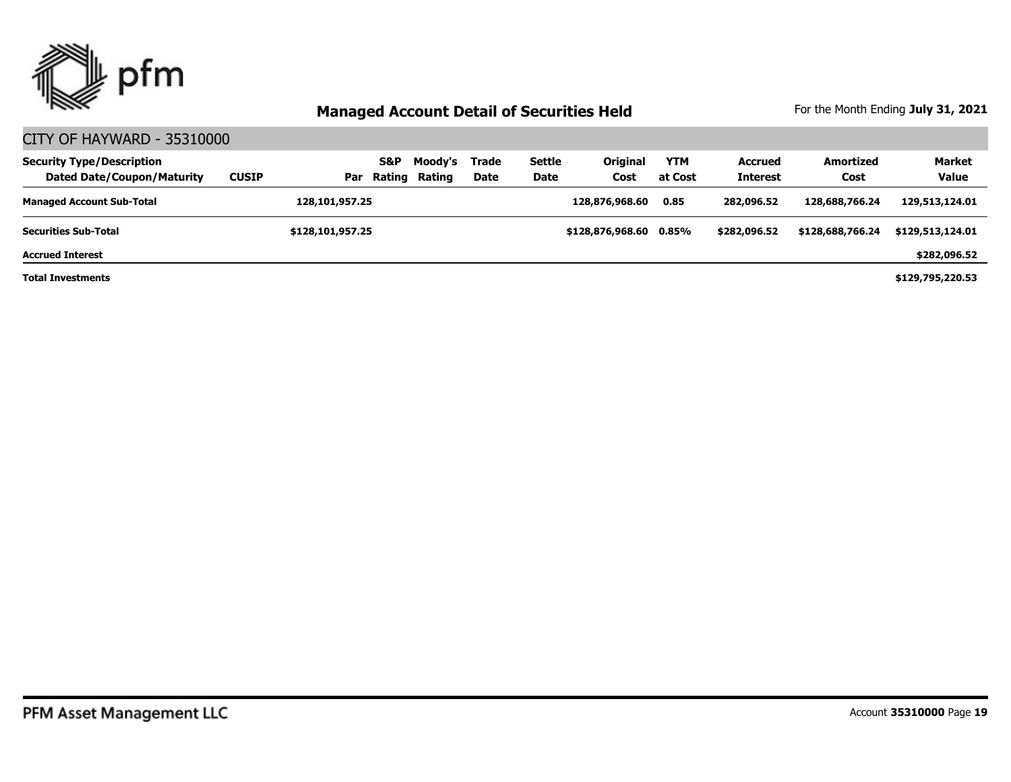

| <b>Security Type/Description</b><br><b>Dated Date/Coupon/Maturity</b> | <b>CUSIP</b> | Par              | S&P<br>Rating | Moody's<br>Rating | Trade<br>Date | <b>Settle</b><br><b>Date</b> | <b>Original</b><br>Cost | <b>YTM</b><br>at Cost | <b>Accrued</b><br><b>Interest</b> | <b>Amortized</b><br>Cost | <b>Market</b><br><b>Value</b> |
|-----------------------------------------------------------------------|--------------|------------------|---------------|-------------------|---------------|------------------------------|-------------------------|-----------------------|-----------------------------------|--------------------------|-------------------------------|
| <b>Managed Account Sub-Total</b>                                      |              | 128,101,957.25   |               |                   |               |                              | 128,876,968,60          | 0.85                  | 282,096.52                        | 128,688,766,24           | 129,513,124.01                |
| <b>Securities Sub-Total</b>                                           |              | \$128,101,957.25 |               |                   |               |                              | \$128,876,968,60 0.85%  |                       | \$282,096.52                      | \$128,688,766.24         | \$129,513,124.01              |
| <b>Accrued Interest</b>                                               |              |                  |               |                   |               |                              |                         |                       |                                   |                          | \$282,096.52                  |
| <b>Total Investments</b>                                              |              |                  |               |                   |               |                              |                         |                       |                                   |                          | \$129,795,220.53              |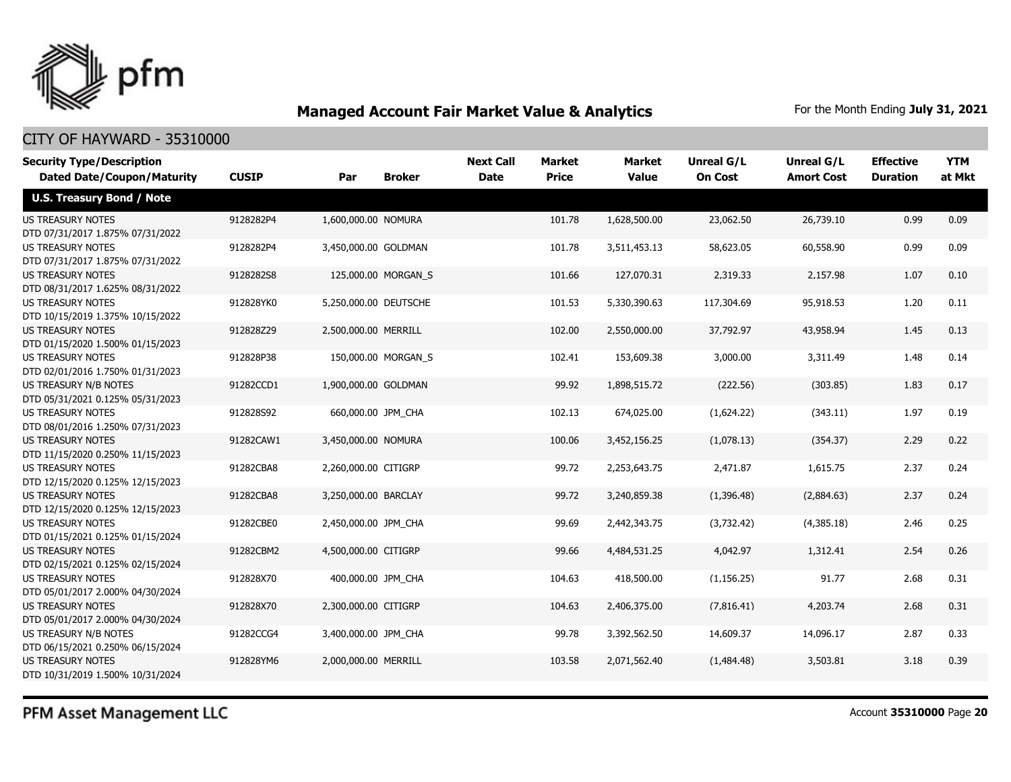

#### CITY OF HAYWARD - 35310000

| <b>Security Type/Description</b><br><b>Dated Date/Coupon/Maturity</b> | <b>CUSIP</b> | Par                   | <b>Broker</b>       | <b>Next Call</b><br><b>Date</b> | Market<br><b>Price</b> | <b>Market</b><br><b>Value</b> | <b>Unreal G/L</b><br><b>On Cost</b> | Unreal G/L<br><b>Amort Cost</b> | <b>Effective</b><br><b>Duration</b> | <b>YTM</b><br>at Mkt |
|-----------------------------------------------------------------------|--------------|-----------------------|---------------------|---------------------------------|------------------------|-------------------------------|-------------------------------------|---------------------------------|-------------------------------------|----------------------|
| <b>U.S. Treasury Bond / Note</b>                                      |              |                       |                     |                                 |                        |                               |                                     |                                 |                                     |                      |
| <b>US TREASURY NOTES</b><br>DTD 07/31/2017 1.875% 07/31/2022          | 9128282P4    | 1,600,000.00 NOMURA   |                     |                                 | 101.78                 | 1,628,500.00                  | 23,062.50                           | 26,739.10                       | 0.99                                | 0.09                 |
| <b>US TREASURY NOTES</b><br>DTD 07/31/2017 1.875% 07/31/2022          | 9128282P4    | 3,450,000.00 GOLDMAN  |                     |                                 | 101.78                 | 3,511,453.13                  | 58,623.05                           | 60,558.90                       | 0.99                                | 0.09                 |
| <b>US TREASURY NOTES</b><br>DTD 08/31/2017 1.625% 08/31/2022          | 9128282S8    |                       | 125,000.00 MORGAN_S |                                 | 101.66                 | 127,070.31                    | 2,319.33                            | 2,157.98                        | 1.07                                | 0.10                 |
| US TREASURY NOTES<br>DTD 10/15/2019 1.375% 10/15/2022                 | 912828YK0    | 5,250,000.00 DEUTSCHE |                     |                                 | 101.53                 | 5,330,390.63                  | 117,304.69                          | 95,918.53                       | 1.20                                | 0.11                 |
| <b>US TREASURY NOTES</b><br>DTD 01/15/2020 1.500% 01/15/2023          | 912828Z29    | 2,500,000.00 MERRILL  |                     |                                 | 102.00                 | 2,550,000.00                  | 37,792.97                           | 43,958.94                       | 1.45                                | 0.13                 |
| <b>US TREASURY NOTES</b><br>DTD 02/01/2016 1.750% 01/31/2023          | 912828P38    |                       | 150,000.00 MORGAN_S |                                 | 102.41                 | 153,609.38                    | 3,000.00                            | 3,311.49                        | 1.48                                | 0.14                 |
| US TREASURY N/B NOTES<br>DTD 05/31/2021 0.125% 05/31/2023             | 91282CCD1    | 1,900,000.00 GOLDMAN  |                     |                                 | 99.92                  | 1,898,515.72                  | (222.56)                            | (303.85)                        | 1.83                                | 0.17                 |
| <b>US TREASURY NOTES</b><br>DTD 08/01/2016 1.250% 07/31/2023          | 912828S92    | 660,000.00 JPM CHA    |                     |                                 | 102.13                 | 674,025.00                    | (1,624.22)                          | (343.11)                        | 1.97                                | 0.19                 |
| <b>US TREASURY NOTES</b><br>DTD 11/15/2020 0.250% 11/15/2023          | 91282CAW1    | 3,450,000.00 NOMURA   |                     |                                 | 100.06                 | 3,452,156.25                  | (1,078.13)                          | (354.37)                        | 2.29                                | 0.22                 |
| <b>US TREASURY NOTES</b><br>DTD 12/15/2020 0.125% 12/15/2023          | 91282CBA8    | 2,260,000.00 CITIGRP  |                     |                                 | 99.72                  | 2,253,643.75                  | 2,471.87                            | 1,615.75                        | 2.37                                | 0.24                 |
| <b>US TREASURY NOTES</b><br>DTD 12/15/2020 0.125% 12/15/2023          | 91282CBA8    | 3,250,000.00 BARCLAY  |                     |                                 | 99.72                  | 3,240,859.38                  | (1,396.48)                          | (2,884.63)                      | 2.37                                | 0.24                 |
| <b>US TREASURY NOTES</b><br>DTD 01/15/2021 0.125% 01/15/2024          | 91282CBE0    | 2,450,000.00 JPM_CHA  |                     |                                 | 99.69                  | 2,442,343.75                  | (3,732.42)                          | (4,385.18)                      | 2.46                                | 0.25                 |
| <b>US TREASURY NOTES</b><br>DTD 02/15/2021 0.125% 02/15/2024          | 91282CBM2    | 4,500,000.00 CITIGRP  |                     |                                 | 99.66                  | 4,484,531.25                  | 4,042.97                            | 1,312.41                        | 2.54                                | 0.26                 |
| <b>US TREASURY NOTES</b><br>DTD 05/01/2017 2.000% 04/30/2024          | 912828X70    | 400,000.00 JPM CHA    |                     |                                 | 104.63                 | 418,500.00                    | (1, 156.25)                         | 91.77                           | 2.68                                | 0.31                 |
| <b>US TREASURY NOTES</b><br>DTD 05/01/2017 2.000% 04/30/2024          | 912828X70    | 2,300,000.00 CITIGRP  |                     |                                 | 104.63                 | 2,406,375.00                  | (7,816.41)                          | 4,203.74                        | 2.68                                | 0.31                 |
| US TREASURY N/B NOTES<br>DTD 06/15/2021 0.250% 06/15/2024             | 91282CCG4    | 3,400,000.00 JPM_CHA  |                     |                                 | 99.78                  | 3,392,562.50                  | 14,609.37                           | 14,096.17                       | 2.87                                | 0.33                 |
| <b>US TREASURY NOTES</b><br>DTD 10/31/2019 1.500% 10/31/2024          | 912828YM6    | 2,000,000.00 MERRILL  |                     |                                 | 103.58                 | 2,071,562.40                  | (1,484.48)                          | 3,503.81                        | 3.18                                | 0.39                 |

PFM Asset Management LLC

Account **35310000** Page **20**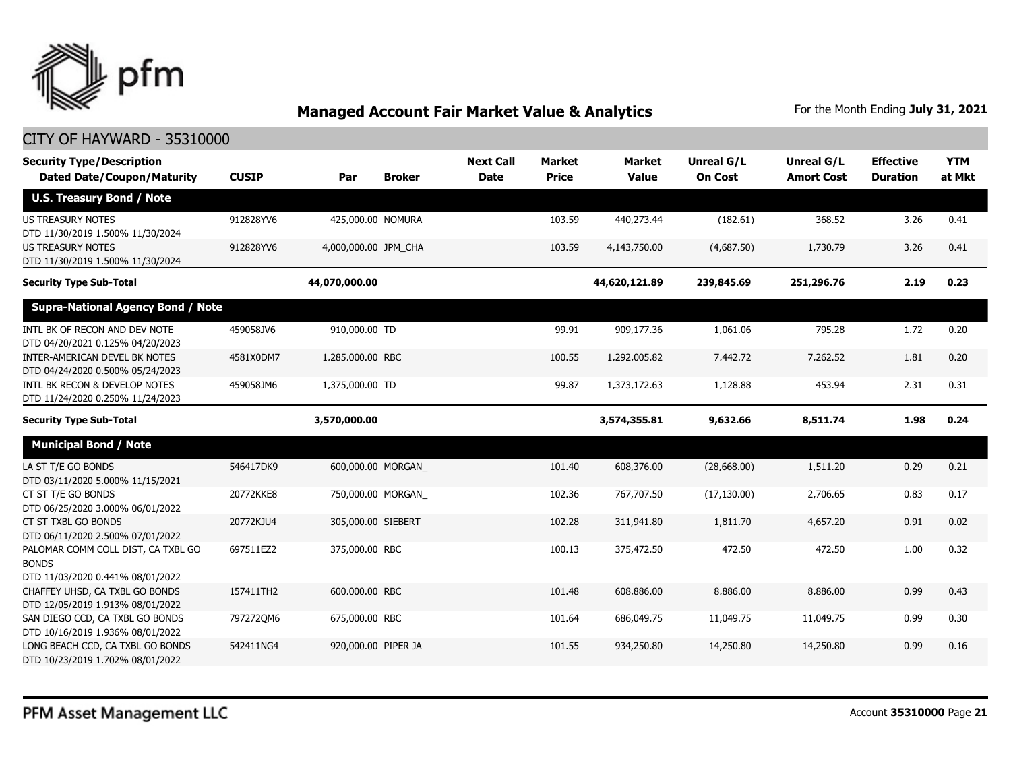

| <b>Security Type/Description</b><br><b>Dated Date/Coupon/Maturity</b>                  | <b>CUSIP</b> | Par                  | <b>Broker</b>     | <b>Next Call</b><br><b>Date</b> | <b>Market</b><br><b>Price</b> | Market<br><b>Value</b> | <b>Unreal G/L</b><br><b>On Cost</b> | Unreal G/L<br><b>Amort Cost</b> | <b>Effective</b><br><b>Duration</b> | <b>YTM</b><br>at Mkt |
|----------------------------------------------------------------------------------------|--------------|----------------------|-------------------|---------------------------------|-------------------------------|------------------------|-------------------------------------|---------------------------------|-------------------------------------|----------------------|
| <b>U.S. Treasury Bond / Note</b>                                                       |              |                      |                   |                                 |                               |                        |                                     |                                 |                                     |                      |
| <b>US TREASURY NOTES</b><br>DTD 11/30/2019 1.500% 11/30/2024                           | 912828YV6    | 425,000.00 NOMURA    |                   |                                 | 103.59                        | 440,273.44             | (182.61)                            | 368.52                          | 3.26                                | 0.41                 |
| <b>US TREASURY NOTES</b><br>DTD 11/30/2019 1.500% 11/30/2024                           | 912828YV6    | 4,000,000.00 JPM_CHA |                   |                                 | 103.59                        | 4,143,750.00           | (4,687.50)                          | 1,730.79                        | 3.26                                | 0.41                 |
| <b>Security Type Sub-Total</b>                                                         |              | 44,070,000.00        |                   |                                 |                               | 44,620,121.89          | 239,845.69                          | 251,296.76                      | 2.19                                | 0.23                 |
| <b>Supra-National Agency Bond / Note</b>                                               |              |                      |                   |                                 |                               |                        |                                     |                                 |                                     |                      |
| INTL BK OF RECON AND DEV NOTE<br>DTD 04/20/2021 0.125% 04/20/2023                      | 459058JV6    | 910,000.00 TD        |                   |                                 | 99.91                         | 909,177.36             | 1,061.06                            | 795.28                          | 1.72                                | 0.20                 |
| <b>INTER-AMERICAN DEVEL BK NOTES</b><br>DTD 04/24/2020 0.500% 05/24/2023               | 4581X0DM7    | 1,285,000.00 RBC     |                   |                                 | 100.55                        | 1,292,005.82           | 7,442.72                            | 7,262.52                        | 1.81                                | 0.20                 |
| INTL BK RECON & DEVELOP NOTES<br>DTD 11/24/2020 0.250% 11/24/2023                      | 459058JM6    | 1,375,000.00 TD      |                   |                                 | 99.87                         | 1,373,172.63           | 1,128.88                            | 453.94                          | 2.31                                | 0.31                 |
| <b>Security Type Sub-Total</b>                                                         |              | 3,570,000.00         |                   |                                 |                               | 3,574,355.81           | 9,632.66                            | 8,511.74                        | 1.98                                | 0.24                 |
| <b>Municipal Bond / Note</b>                                                           |              |                      |                   |                                 |                               |                        |                                     |                                 |                                     |                      |
| LA ST T/E GO BONDS<br>DTD 03/11/2020 5.000% 11/15/2021                                 | 546417DK9    |                      | 600,000.00 MORGAN |                                 | 101.40                        | 608,376.00             | (28,668.00)                         | 1,511.20                        | 0.29                                | 0.21                 |
| CT ST T/E GO BONDS<br>DTD 06/25/2020 3.000% 06/01/2022                                 | 20772KKE8    |                      | 750,000.00 MORGAN |                                 | 102.36                        | 767,707.50             | (17, 130.00)                        | 2,706.65                        | 0.83                                | 0.17                 |
| CT ST TXBL GO BONDS<br>DTD 06/11/2020 2.500% 07/01/2022                                | 20772KJU4    | 305,000.00 SIEBERT   |                   |                                 | 102.28                        | 311,941.80             | 1,811.70                            | 4,657.20                        | 0.91                                | 0.02                 |
| PALOMAR COMM COLL DIST, CA TXBL GO<br><b>BONDS</b><br>DTD 11/03/2020 0.441% 08/01/2022 | 697511EZ2    | 375,000.00 RBC       |                   |                                 | 100.13                        | 375,472.50             | 472.50                              | 472.50                          | 1.00                                | 0.32                 |
| CHAFFEY UHSD, CA TXBL GO BONDS<br>DTD 12/05/2019 1.913% 08/01/2022                     | 157411TH2    | 600,000.00 RBC       |                   |                                 | 101.48                        | 608,886.00             | 8,886.00                            | 8,886.00                        | 0.99                                | 0.43                 |
| SAN DIEGO CCD, CA TXBL GO BONDS<br>DTD 10/16/2019 1.936% 08/01/2022                    | 797272QM6    | 675,000.00 RBC       |                   |                                 | 101.64                        | 686,049.75             | 11,049.75                           | 11,049.75                       | 0.99                                | 0.30                 |
| LONG BEACH CCD, CA TXBL GO BONDS<br>DTD 10/23/2019 1.702% 08/01/2022                   | 542411NG4    | 920,000.00 PIPER JA  |                   |                                 | 101.55                        | 934,250.80             | 14,250.80                           | 14,250.80                       | 0.99                                | 0.16                 |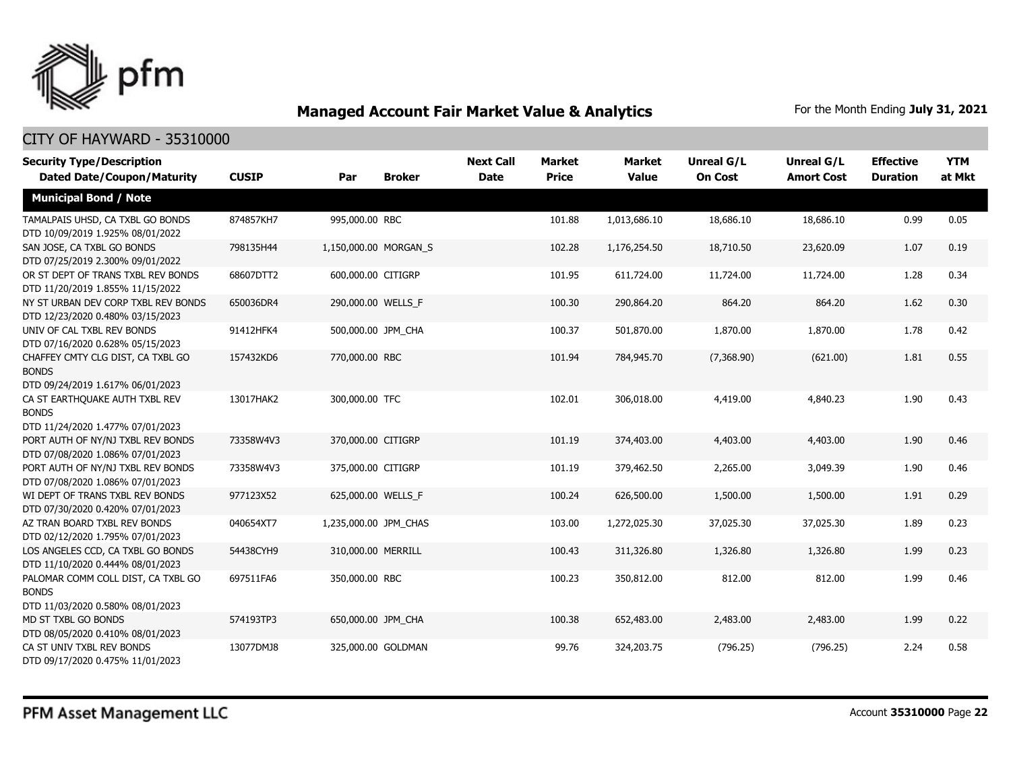

| <b>Security Type/Description</b><br><b>Dated Date/Coupon/Maturity</b>                  | <b>CUSIP</b> | Par                   | <b>Broker</b> | <b>Next Call</b><br><b>Date</b> | <b>Market</b><br><b>Price</b> | <b>Market</b><br><b>Value</b> | <b>Unreal G/L</b><br><b>On Cost</b> | Unreal G/L<br><b>Amort Cost</b> | <b>Effective</b><br><b>Duration</b> | <b>YTM</b><br>at Mkt |
|----------------------------------------------------------------------------------------|--------------|-----------------------|---------------|---------------------------------|-------------------------------|-------------------------------|-------------------------------------|---------------------------------|-------------------------------------|----------------------|
|                                                                                        |              |                       |               |                                 |                               |                               |                                     |                                 |                                     |                      |
| <b>Municipal Bond / Note</b>                                                           |              |                       |               |                                 |                               |                               |                                     |                                 |                                     |                      |
| TAMALPAIS UHSD, CA TXBL GO BONDS<br>DTD 10/09/2019 1.925% 08/01/2022                   | 874857KH7    | 995,000.00 RBC        |               |                                 | 101.88                        | 1,013,686.10                  | 18,686.10                           | 18,686.10                       | 0.99                                | 0.05                 |
| SAN JOSE, CA TXBL GO BONDS<br>DTD 07/25/2019 2.300% 09/01/2022                         | 798135H44    | 1,150,000.00 MORGAN_S |               |                                 | 102.28                        | 1,176,254.50                  | 18,710.50                           | 23,620.09                       | 1.07                                | 0.19                 |
| OR ST DEPT OF TRANS TXBL REV BONDS<br>DTD 11/20/2019 1.855% 11/15/2022                 | 68607DTT2    | 600,000.00 CITIGRP    |               |                                 | 101.95                        | 611,724.00                    | 11,724.00                           | 11,724.00                       | 1.28                                | 0.34                 |
| NY ST URBAN DEV CORP TXBL REV BONDS<br>DTD 12/23/2020 0.480% 03/15/2023                | 650036DR4    | 290,000.00 WELLS F    |               |                                 | 100.30                        | 290,864.20                    | 864.20                              | 864.20                          | 1.62                                | 0.30                 |
| UNIV OF CAL TXBL REV BONDS<br>DTD 07/16/2020 0.628% 05/15/2023                         | 91412HFK4    | 500,000.00 JPM CHA    |               |                                 | 100.37                        | 501,870.00                    | 1,870.00                            | 1,870.00                        | 1.78                                | 0.42                 |
| CHAFFEY CMTY CLG DIST, CA TXBL GO<br><b>BONDS</b><br>DTD 09/24/2019 1.617% 06/01/2023  | 157432KD6    | 770,000.00 RBC        |               |                                 | 101.94                        | 784,945.70                    | (7,368.90)                          | (621.00)                        | 1.81                                | 0.55                 |
| CA ST EARTHQUAKE AUTH TXBL REV<br><b>BONDS</b><br>DTD 11/24/2020 1.477% 07/01/2023     | 13017HAK2    | 300,000.00 TFC        |               |                                 | 102.01                        | 306,018.00                    | 4,419.00                            | 4,840.23                        | 1.90                                | 0.43                 |
| PORT AUTH OF NY/NJ TXBL REV BONDS<br>DTD 07/08/2020 1.086% 07/01/2023                  | 73358W4V3    | 370,000.00 CITIGRP    |               |                                 | 101.19                        | 374,403.00                    | 4,403.00                            | 4,403.00                        | 1.90                                | 0.46                 |
| PORT AUTH OF NY/NJ TXBL REV BONDS<br>DTD 07/08/2020 1.086% 07/01/2023                  | 73358W4V3    | 375,000.00 CITIGRP    |               |                                 | 101.19                        | 379,462.50                    | 2,265.00                            | 3,049.39                        | 1.90                                | 0.46                 |
| WI DEPT OF TRANS TXBL REV BONDS<br>DTD 07/30/2020 0.420% 07/01/2023                    | 977123X52    | 625,000.00 WELLS F    |               |                                 | 100.24                        | 626,500.00                    | 1,500.00                            | 1,500.00                        | 1.91                                | 0.29                 |
| AZ TRAN BOARD TXBL REV BONDS<br>DTD 02/12/2020 1.795% 07/01/2023                       | 040654XT7    | 1,235,000.00 JPM_CHAS |               |                                 | 103.00                        | 1,272,025.30                  | 37,025.30                           | 37,025.30                       | 1.89                                | 0.23                 |
| LOS ANGELES CCD, CA TXBL GO BONDS<br>DTD 11/10/2020 0.444% 08/01/2023                  | 54438CYH9    | 310,000.00 MERRILL    |               |                                 | 100.43                        | 311,326.80                    | 1,326.80                            | 1,326.80                        | 1.99                                | 0.23                 |
| PALOMAR COMM COLL DIST, CA TXBL GO<br><b>BONDS</b><br>DTD 11/03/2020 0.580% 08/01/2023 | 697511FA6    | 350,000.00 RBC        |               |                                 | 100.23                        | 350,812.00                    | 812.00                              | 812.00                          | 1.99                                | 0.46                 |
| MD ST TXBL GO BONDS<br>DTD 08/05/2020 0.410% 08/01/2023                                | 574193TP3    | 650,000.00 JPM_CHA    |               |                                 | 100.38                        | 652,483.00                    | 2,483.00                            | 2,483.00                        | 1.99                                | 0.22                 |
| CA ST UNIV TXBL REV BONDS<br>DTD 09/17/2020 0.475% 11/01/2023                          | 13077DMJ8    | 325,000.00 GOLDMAN    |               |                                 | 99.76                         | 324,203.75                    | (796.25)                            | (796.25)                        | 2.24                                | 0.58                 |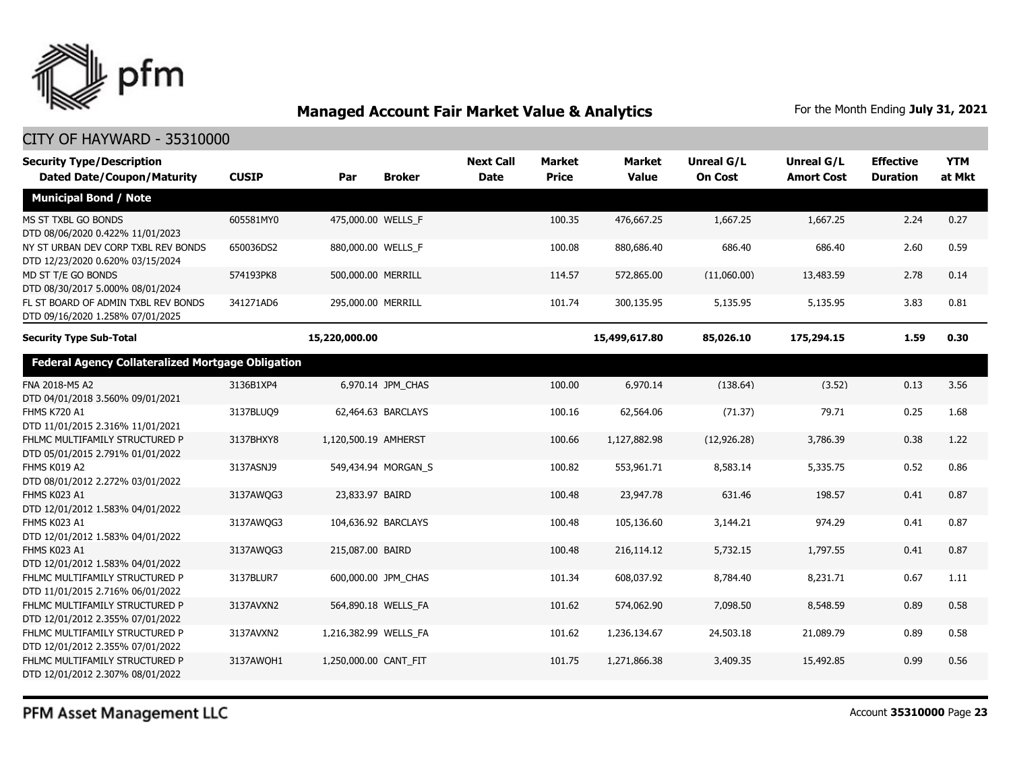

| <b>Security Type/Description</b><br><b>Dated Date/Coupon/Maturity</b>   | <b>CUSIP</b> | Par                   | <b>Broker</b>       | <b>Next Call</b><br><b>Date</b> | <b>Market</b><br><b>Price</b> | <b>Market</b><br><b>Value</b> | <b>Unreal G/L</b><br><b>On Cost</b> | Unreal G/L<br><b>Amort Cost</b> | <b>Effective</b><br><b>Duration</b> | <b>YTM</b><br>at Mkt |
|-------------------------------------------------------------------------|--------------|-----------------------|---------------------|---------------------------------|-------------------------------|-------------------------------|-------------------------------------|---------------------------------|-------------------------------------|----------------------|
| <b>Municipal Bond / Note</b>                                            |              |                       |                     |                                 |                               |                               |                                     |                                 |                                     |                      |
| MS ST TXBL GO BONDS<br>DTD 08/06/2020 0.422% 11/01/2023                 | 605581MY0    | 475,000.00 WELLS F    |                     |                                 | 100.35                        | 476,667.25                    | 1,667.25                            | 1,667.25                        | 2.24                                | 0.27                 |
| NY ST URBAN DEV CORP TXBL REV BONDS<br>DTD 12/23/2020 0.620% 03/15/2024 | 650036DS2    | 880,000.00 WELLS_F    |                     |                                 | 100.08                        | 880,686.40                    | 686.40                              | 686.40                          | 2.60                                | 0.59                 |
| MD ST T/E GO BONDS<br>DTD 08/30/2017 5.000% 08/01/2024                  | 574193PK8    | 500,000.00 MERRILL    |                     |                                 | 114.57                        | 572,865.00                    | (11,060.00)                         | 13,483.59                       | 2.78                                | 0.14                 |
| FL ST BOARD OF ADMIN TXBL REV BONDS<br>DTD 09/16/2020 1.258% 07/01/2025 | 341271AD6    | 295,000.00 MERRILL    |                     |                                 | 101.74                        | 300,135.95                    | 5,135.95                            | 5,135.95                        | 3.83                                | 0.81                 |
| <b>Security Type Sub-Total</b>                                          |              | 15,220,000.00         |                     |                                 |                               | 15,499,617.80                 | 85,026.10                           | 175,294.15                      | 1.59                                | 0.30                 |
| <b>Federal Agency Collateralized Mortgage Obligation</b>                |              |                       |                     |                                 |                               |                               |                                     |                                 |                                     |                      |
| FNA 2018-M5 A2<br>DTD 04/01/2018 3.560% 09/01/2021                      | 3136B1XP4    |                       | 6,970.14 JPM_CHAS   |                                 | 100.00                        | 6,970.14                      | (138.64)                            | (3.52)                          | 0.13                                | 3.56                 |
| <b>FHMS K720 A1</b><br>DTD 11/01/2015 2.316% 11/01/2021                 | 3137BLUO9    |                       | 62,464.63 BARCLAYS  |                                 | 100.16                        | 62,564.06                     | (71.37)                             | 79.71                           | 0.25                                | 1.68                 |
| FHLMC MULTIFAMILY STRUCTURED P<br>DTD 05/01/2015 2.791% 01/01/2022      | 3137BHXY8    | 1,120,500.19 AMHERST  |                     |                                 | 100.66                        | 1,127,882.98                  | (12, 926.28)                        | 3,786.39                        | 0.38                                | 1.22                 |
| FHMS K019 A2<br>DTD 08/01/2012 2.272% 03/01/2022                        | 3137ASNJ9    |                       | 549,434.94 MORGAN_S |                                 | 100.82                        | 553,961.71                    | 8,583.14                            | 5,335.75                        | 0.52                                | 0.86                 |
| FHMS K023 A1<br>DTD 12/01/2012 1.583% 04/01/2022                        | 3137AWQG3    | 23,833.97 BAIRD       |                     |                                 | 100.48                        | 23,947.78                     | 631.46                              | 198.57                          | 0.41                                | 0.87                 |
| FHMS K023 A1<br>DTD 12/01/2012 1.583% 04/01/2022                        | 3137AWQG3    | 104,636.92 BARCLAYS   |                     |                                 | 100.48                        | 105,136.60                    | 3,144.21                            | 974.29                          | 0.41                                | 0.87                 |
| <b>FHMS K023 A1</b><br>DTD 12/01/2012 1.583% 04/01/2022                 | 3137AWQG3    | 215,087.00 BAIRD      |                     |                                 | 100.48                        | 216,114.12                    | 5,732.15                            | 1,797.55                        | 0.41                                | 0.87                 |
| FHLMC MULTIFAMILY STRUCTURED P<br>DTD 11/01/2015 2.716% 06/01/2022      | 3137BLUR7    |                       | 600,000.00 JPM CHAS |                                 | 101.34                        | 608,037.92                    | 8,784.40                            | 8,231.71                        | 0.67                                | 1.11                 |
| FHLMC MULTIFAMILY STRUCTURED P<br>DTD 12/01/2012 2.355% 07/01/2022      | 3137AVXN2    | 564,890.18 WELLS FA   |                     |                                 | 101.62                        | 574,062.90                    | 7,098.50                            | 8,548.59                        | 0.89                                | 0.58                 |
| FHLMC MULTIFAMILY STRUCTURED P<br>DTD 12/01/2012 2.355% 07/01/2022      | 3137AVXN2    | 1,216,382.99 WELLS_FA |                     |                                 | 101.62                        | 1,236,134.67                  | 24,503.18                           | 21,089.79                       | 0.89                                | 0.58                 |
| FHLMC MULTIFAMILY STRUCTURED P<br>DTD 12/01/2012 2.307% 08/01/2022      | 3137AWOH1    | 1,250,000.00 CANT FIT |                     |                                 | 101.75                        | 1,271,866.38                  | 3,409.35                            | 15,492.85                       | 0.99                                | 0.56                 |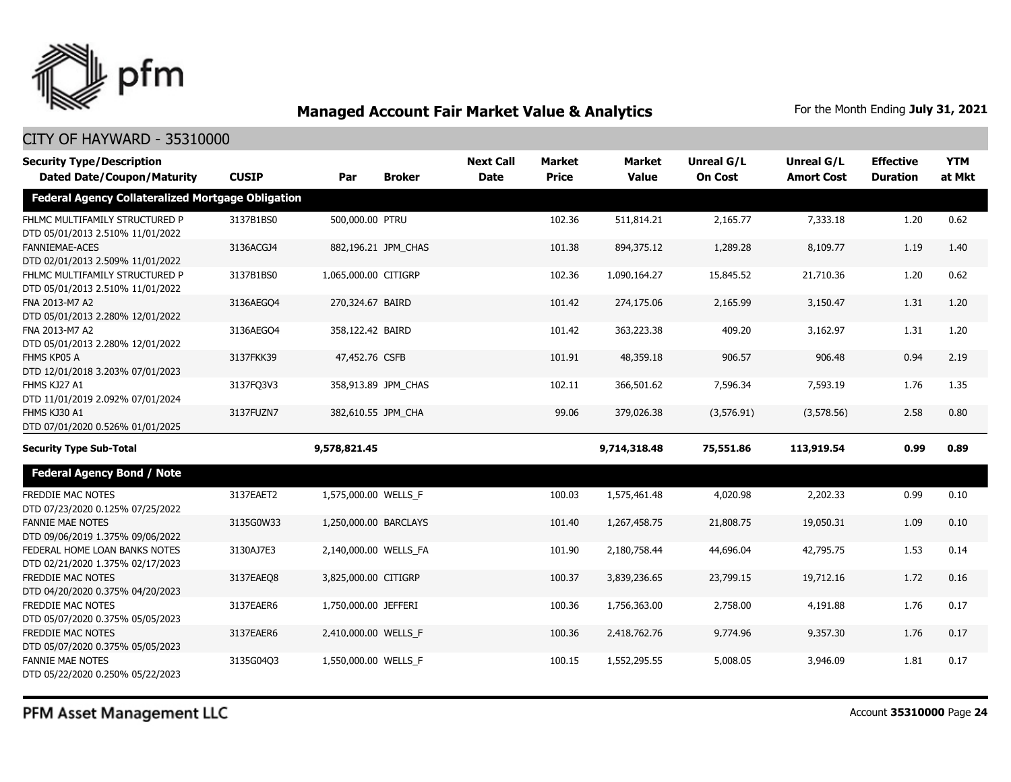

| <b>Security Type/Description</b>                                   |              |                       |                     | <b>Next Call</b> | <b>Market</b> | <b>Market</b> | <b>Unreal G/L</b> | Unreal G/L        | <b>Effective</b> | <b>YTM</b> |
|--------------------------------------------------------------------|--------------|-----------------------|---------------------|------------------|---------------|---------------|-------------------|-------------------|------------------|------------|
| <b>Dated Date/Coupon/Maturity</b>                                  | <b>CUSIP</b> | Par                   | <b>Broker</b>       | <b>Date</b>      | <b>Price</b>  | <b>Value</b>  | <b>On Cost</b>    | <b>Amort Cost</b> | <b>Duration</b>  | at Mkt     |
| <b>Federal Agency Collateralized Mortgage Obligation</b>           |              |                       |                     |                  |               |               |                   |                   |                  |            |
| FHLMC MULTIFAMILY STRUCTURED P<br>DTD 05/01/2013 2.510% 11/01/2022 | 3137B1BS0    | 500,000.00 PTRU       |                     |                  | 102.36        | 511,814.21    | 2,165.77          | 7,333.18          | 1.20             | 0.62       |
| <b>FANNIEMAE-ACES</b><br>DTD 02/01/2013 2.509% 11/01/2022          | 3136ACGJ4    |                       | 882,196.21 JPM_CHAS |                  | 101.38        | 894,375.12    | 1,289.28          | 8,109.77          | 1.19             | 1.40       |
| FHLMC MULTIFAMILY STRUCTURED P<br>DTD 05/01/2013 2.510% 11/01/2022 | 3137B1BS0    | 1,065,000.00 CITIGRP  |                     |                  | 102.36        | 1,090,164.27  | 15,845.52         | 21,710.36         | 1.20             | 0.62       |
| FNA 2013-M7 A2<br>DTD 05/01/2013 2.280% 12/01/2022                 | 3136AEGO4    | 270,324.67 BAIRD      |                     |                  | 101.42        | 274,175.06    | 2,165.99          | 3,150.47          | 1.31             | 1.20       |
| FNA 2013-M7 A2<br>DTD 05/01/2013 2.280% 12/01/2022                 | 3136AEGO4    | 358,122.42 BAIRD      |                     |                  | 101.42        | 363,223.38    | 409.20            | 3,162.97          | 1.31             | 1.20       |
| FHMS KP05 A<br>DTD 12/01/2018 3.203% 07/01/2023                    | 3137FKK39    | 47,452.76 CSFB        |                     |                  | 101.91        | 48,359.18     | 906.57            | 906.48            | 0.94             | 2.19       |
| FHMS KJ27 A1<br>DTD 11/01/2019 2.092% 07/01/2024                   | 3137FQ3V3    |                       | 358,913.89 JPM_CHAS |                  | 102.11        | 366,501.62    | 7,596.34          | 7,593.19          | 1.76             | 1.35       |
| FHMS KJ30 A1<br>DTD 07/01/2020 0.526% 01/01/2025                   | 3137FUZN7    | 382,610.55 JPM CHA    |                     |                  | 99.06         | 379,026.38    | (3,576.91)        | (3,578.56)        | 2.58             | 0.80       |
| <b>Security Type Sub-Total</b>                                     |              | 9,578,821.45          |                     |                  |               | 9,714,318.48  | 75,551.86         | 113,919.54        | 0.99             | 0.89       |
| <b>Federal Agency Bond / Note</b>                                  |              |                       |                     |                  |               |               |                   |                   |                  |            |
| <b>FREDDIE MAC NOTES</b><br>DTD 07/23/2020 0.125% 07/25/2022       | 3137EAET2    | 1,575,000.00 WELLS_F  |                     |                  | 100.03        | 1,575,461.48  | 4,020.98          | 2,202.33          | 0.99             | 0.10       |
| <b>FANNIE MAE NOTES</b><br>DTD 09/06/2019 1.375% 09/06/2022        | 3135G0W33    | 1,250,000.00 BARCLAYS |                     |                  | 101.40        | 1,267,458.75  | 21,808.75         | 19,050.31         | 1.09             | 0.10       |
| FEDERAL HOME LOAN BANKS NOTES<br>DTD 02/21/2020 1.375% 02/17/2023  | 3130AJ7E3    | 2,140,000.00 WELLS_FA |                     |                  | 101.90        | 2,180,758.44  | 44,696.04         | 42,795.75         | 1.53             | 0.14       |
| <b>FREDDIE MAC NOTES</b><br>DTD 04/20/2020 0.375% 04/20/2023       | 3137EAEO8    | 3,825,000.00 CITIGRP  |                     |                  | 100.37        | 3,839,236.65  | 23,799.15         | 19,712.16         | 1.72             | 0.16       |
| <b>FREDDIE MAC NOTES</b><br>DTD 05/07/2020 0.375% 05/05/2023       | 3137EAER6    | 1,750,000.00 JEFFERI  |                     |                  | 100.36        | 1,756,363.00  | 2,758.00          | 4,191.88          | 1.76             | 0.17       |
| FREDDIE MAC NOTES<br>DTD 05/07/2020 0.375% 05/05/2023              | 3137EAER6    | 2,410,000.00 WELLS_F  |                     |                  | 100.36        | 2,418,762.76  | 9,774.96          | 9,357.30          | 1.76             | 0.17       |
| <b>FANNIE MAE NOTES</b><br>DTD 05/22/2020 0.250% 05/22/2023        | 3135G04Q3    | 1,550,000.00 WELLS F  |                     |                  | 100.15        | 1,552,295.55  | 5,008.05          | 3,946.09          | 1.81             | 0.17       |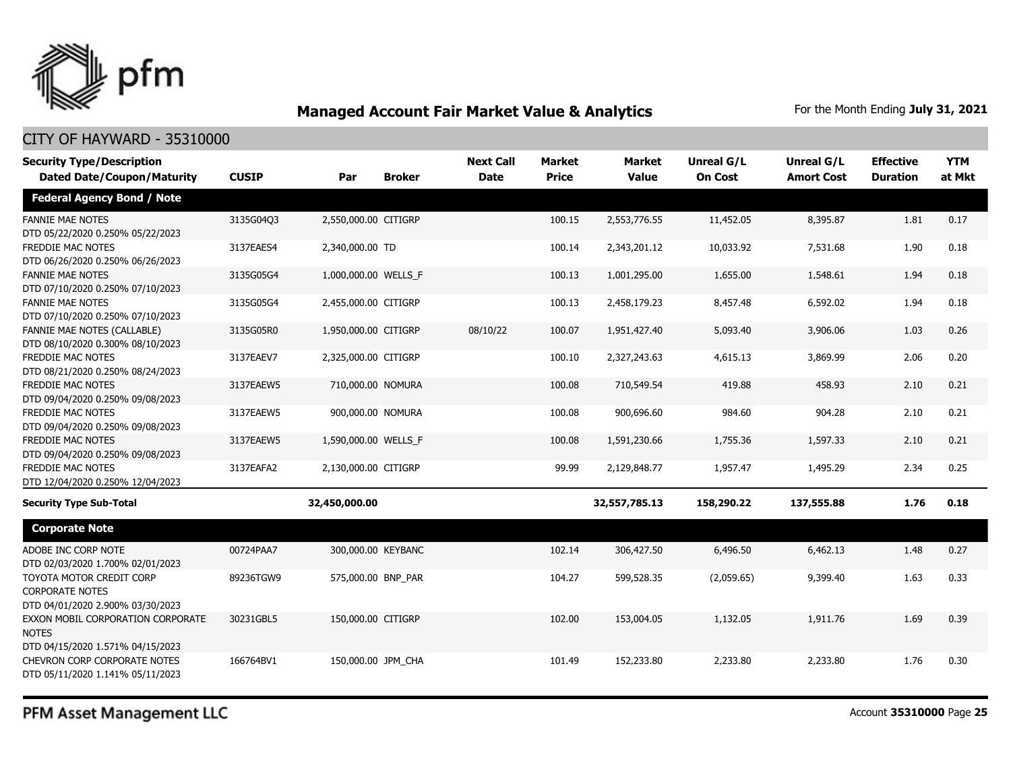

### CITY OF HAYWARD - 35310000

| <b>Security Type/Description</b>                                                       |              |                      |               | <b>Next Call</b> | <b>Market</b> | <b>Market</b> | <b>Unreal G/L</b> | Unreal G/L        | <b>Effective</b> | <b>YTM</b> |
|----------------------------------------------------------------------------------------|--------------|----------------------|---------------|------------------|---------------|---------------|-------------------|-------------------|------------------|------------|
| <b>Dated Date/Coupon/Maturity</b>                                                      | <b>CUSIP</b> | Par                  | <b>Broker</b> | <b>Date</b>      | <b>Price</b>  | <b>Value</b>  | <b>On Cost</b>    | <b>Amort Cost</b> | <b>Duration</b>  | at Mkt     |
| <b>Federal Agency Bond / Note</b>                                                      |              |                      |               |                  |               |               |                   |                   |                  |            |
| <b>FANNIE MAE NOTES</b><br>DTD 05/22/2020 0.250% 05/22/2023                            | 3135G04Q3    | 2,550,000.00 CITIGRP |               |                  | 100.15        | 2,553,776.55  | 11,452.05         | 8,395.87          | 1.81             | 0.17       |
| FREDDIE MAC NOTES<br>DTD 06/26/2020 0.250% 06/26/2023                                  | 3137EAES4    | 2,340,000.00 TD      |               |                  | 100.14        | 2,343,201.12  | 10,033.92         | 7,531.68          | 1.90             | 0.18       |
| <b>FANNIE MAE NOTES</b><br>DTD 07/10/2020 0.250% 07/10/2023                            | 3135G05G4    | 1,000,000.00 WELLS_F |               |                  | 100.13        | 1,001,295.00  | 1,655.00          | 1,548.61          | 1.94             | 0.18       |
| <b>FANNIE MAE NOTES</b><br>DTD 07/10/2020 0.250% 07/10/2023                            | 3135G05G4    | 2,455,000.00 CITIGRP |               |                  | 100.13        | 2,458,179.23  | 8,457.48          | 6,592.02          | 1.94             | 0.18       |
| <b>FANNIE MAE NOTES (CALLABLE)</b><br>DTD 08/10/2020 0.300% 08/10/2023                 | 3135G05R0    | 1,950,000.00 CITIGRP |               | 08/10/22         | 100.07        | 1,951,427.40  | 5,093.40          | 3,906.06          | 1.03             | 0.26       |
| <b>FREDDIE MAC NOTES</b><br>DTD 08/21/2020 0.250% 08/24/2023                           | 3137EAEV7    | 2,325,000.00 CITIGRP |               |                  | 100.10        | 2,327,243.63  | 4,615.13          | 3,869.99          | 2.06             | 0.20       |
| FREDDIE MAC NOTES<br>DTD 09/04/2020 0.250% 09/08/2023                                  | 3137EAEW5    | 710,000.00 NOMURA    |               |                  | 100.08        | 710,549.54    | 419.88            | 458.93            | 2.10             | 0.21       |
| FREDDIE MAC NOTES<br>DTD 09/04/2020 0.250% 09/08/2023                                  | 3137EAEW5    | 900,000.00 NOMURA    |               |                  | 100.08        | 900,696.60    | 984.60            | 904.28            | 2.10             | 0.21       |
| FREDDIE MAC NOTES<br>DTD 09/04/2020 0.250% 09/08/2023                                  | 3137EAEW5    | 1,590,000.00 WELLS_F |               |                  | 100.08        | 1,591,230.66  | 1,755.36          | 1,597.33          | 2.10             | 0.21       |
| <b>FREDDIE MAC NOTES</b><br>DTD 12/04/2020 0.250% 12/04/2023                           | 3137EAFA2    | 2,130,000.00 CITIGRP |               |                  | 99.99         | 2,129,848.77  | 1,957.47          | 1,495.29          | 2.34             | 0.25       |
| <b>Security Type Sub-Total</b>                                                         |              | 32,450,000.00        |               |                  |               | 32,557,785.13 | 158,290.22        | 137,555.88        | 1.76             | 0.18       |
| <b>Corporate Note</b>                                                                  |              |                      |               |                  |               |               |                   |                   |                  |            |
| ADOBE INC CORP NOTE<br>DTD 02/03/2020 1.700% 02/01/2023                                | 00724PAA7    | 300,000.00 KEYBANC   |               |                  | 102.14        | 306,427.50    | 6,496.50          | 6,462.13          | 1.48             | 0.27       |
| TOYOTA MOTOR CREDIT CORP<br><b>CORPORATE NOTES</b><br>DTD 04/01/2020 2.900% 03/30/2023 | 89236TGW9    | 575,000.00 BNP_PAR   |               |                  | 104.27        | 599,528.35    | (2,059.65)        | 9,399.40          | 1.63             | 0.33       |
| EXXON MOBIL CORPORATION CORPORATE<br><b>NOTES</b><br>DTD 04/15/2020 1.571% 04/15/2023  | 30231GBL5    | 150,000.00 CITIGRP   |               |                  | 102.00        | 153,004.05    | 1,132.05          | 1,911.76          | 1.69             | 0.39       |
| CHEVRON CORP CORPORATE NOTES<br>DTD 05/11/2020 1.141% 05/11/2023                       | 166764BV1    | 150,000.00 JPM CHA   |               |                  | 101.49        | 152,233.80    | 2,233.80          | 2,233.80          | 1.76             | 0.30       |

PFM Asset Management LLC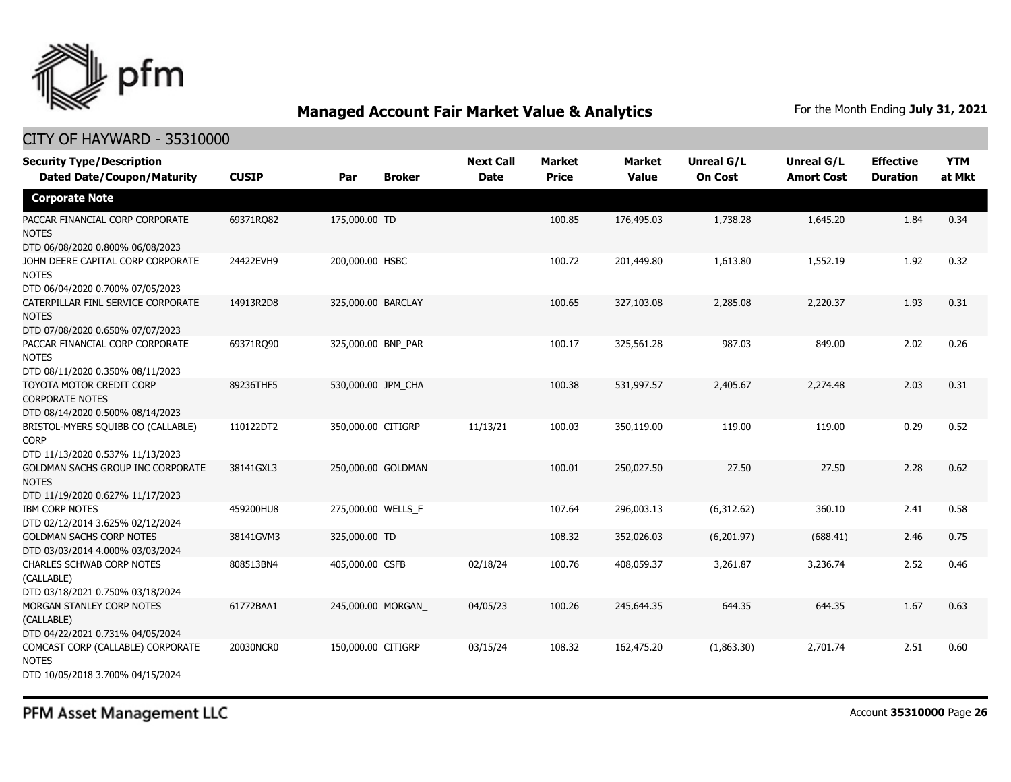

| <b>Security Type/Description</b>                                                       |              |                    |               | <b>Next Call</b> | <b>Market</b> | <b>Market</b> | <b>Unreal G/L</b> | Unreal G/L        | <b>Effective</b> | <b>YTM</b> |
|----------------------------------------------------------------------------------------|--------------|--------------------|---------------|------------------|---------------|---------------|-------------------|-------------------|------------------|------------|
| <b>Dated Date/Coupon/Maturity</b>                                                      | <b>CUSIP</b> | Par                | <b>Broker</b> | <b>Date</b>      | <b>Price</b>  | <b>Value</b>  | <b>On Cost</b>    | <b>Amort Cost</b> | <b>Duration</b>  | at Mkt     |
| <b>Corporate Note</b>                                                                  |              |                    |               |                  |               |               |                   |                   |                  |            |
| PACCAR FINANCIAL CORP CORPORATE<br><b>NOTES</b><br>DTD 06/08/2020 0.800% 06/08/2023    | 69371RO82    | 175,000.00 TD      |               |                  | 100.85        | 176,495.03    | 1,738.28          | 1,645.20          | 1.84             | 0.34       |
| JOHN DEERE CAPITAL CORP CORPORATE<br><b>NOTES</b><br>DTD 06/04/2020 0.700% 07/05/2023  | 24422EVH9    | 200,000.00 HSBC    |               |                  | 100.72        | 201,449.80    | 1,613.80          | 1,552.19          | 1.92             | 0.32       |
| CATERPILLAR FINL SERVICE CORPORATE<br><b>NOTES</b><br>DTD 07/08/2020 0.650% 07/07/2023 | 14913R2D8    | 325,000.00 BARCLAY |               |                  | 100.65        | 327,103.08    | 2,285.08          | 2,220.37          | 1.93             | 0.31       |
| PACCAR FINANCIAL CORP CORPORATE<br><b>NOTES</b><br>DTD 08/11/2020 0.350% 08/11/2023    | 69371RO90    | 325,000.00 BNP_PAR |               |                  | 100.17        | 325,561.28    | 987.03            | 849.00            | 2.02             | 0.26       |
| TOYOTA MOTOR CREDIT CORP<br><b>CORPORATE NOTES</b><br>DTD 08/14/2020 0.500% 08/14/2023 | 89236THF5    | 530,000.00 JPM_CHA |               |                  | 100.38        | 531,997.57    | 2,405.67          | 2,274.48          | 2.03             | 0.31       |
| BRISTOL-MYERS SQUIBB CO (CALLABLE)<br><b>CORP</b><br>DTD 11/13/2020 0.537% 11/13/2023  | 110122DT2    | 350,000.00 CITIGRP |               | 11/13/21         | 100.03        | 350,119.00    | 119.00            | 119.00            | 0.29             | 0.52       |
| GOLDMAN SACHS GROUP INC CORPORATE<br><b>NOTES</b><br>DTD 11/19/2020 0.627% 11/17/2023  | 38141GXL3    | 250,000.00 GOLDMAN |               |                  | 100.01        | 250,027.50    | 27.50             | 27.50             | 2.28             | 0.62       |
| <b>IBM CORP NOTES</b><br>DTD 02/12/2014 3.625% 02/12/2024                              | 459200HU8    | 275,000.00 WELLS_F |               |                  | 107.64        | 296,003.13    | (6,312.62)        | 360.10            | 2.41             | 0.58       |
| <b>GOLDMAN SACHS CORP NOTES</b><br>DTD 03/03/2014 4.000% 03/03/2024                    | 38141GVM3    | 325,000.00 TD      |               |                  | 108.32        | 352,026.03    | (6,201.97)        | (688.41)          | 2.46             | 0.75       |
| CHARLES SCHWAB CORP NOTES<br>(CALLABLE)<br>DTD 03/18/2021 0.750% 03/18/2024            | 808513BN4    | 405,000.00 CSFB    |               | 02/18/24         | 100.76        | 408,059.37    | 3,261.87          | 3,236.74          | 2.52             | 0.46       |
| MORGAN STANLEY CORP NOTES<br>(CALLABLE)<br>DTD 04/22/2021 0.731% 04/05/2024            | 61772BAA1    | 245,000.00 MORGAN  |               | 04/05/23         | 100.26        | 245,644.35    | 644.35            | 644.35            | 1.67             | 0.63       |
| COMCAST CORP (CALLABLE) CORPORATE<br><b>NOTES</b><br>DTD 10/05/2018 3.700% 04/15/2024  | 20030NCR0    | 150,000.00 CITIGRP |               | 03/15/24         | 108.32        | 162,475.20    | (1,863.30)        | 2,701.74          | 2.51             | 0.60       |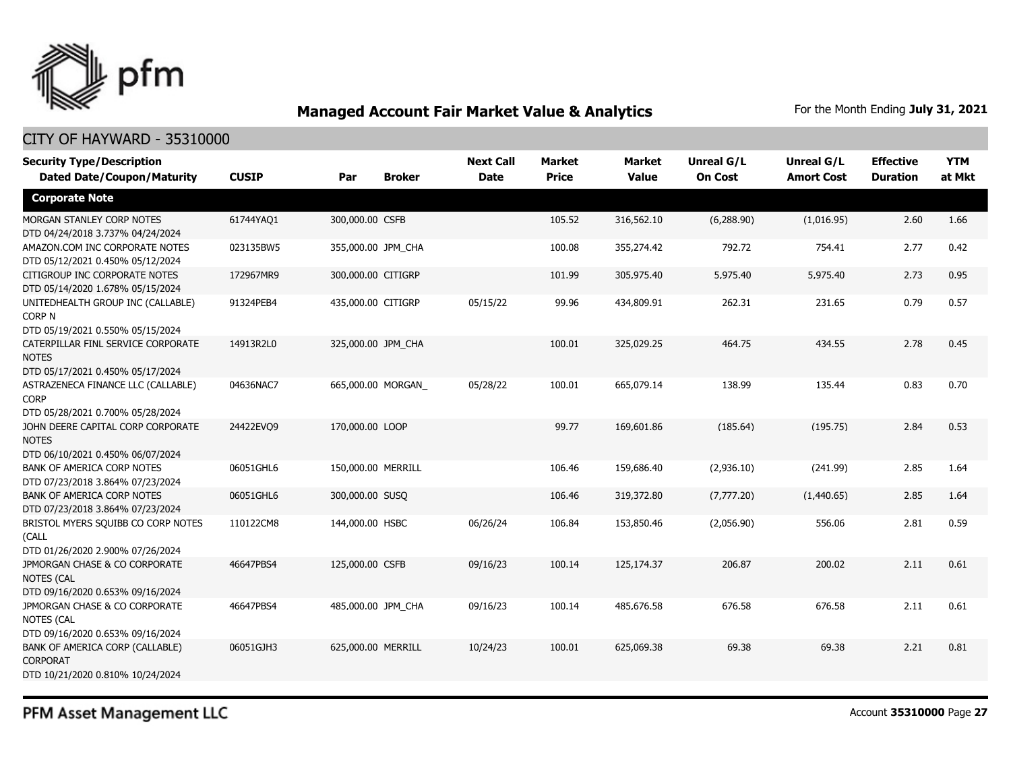

| <b>Security Type/Description</b>                                                       |              |                    |               | <b>Next Call</b> | <b>Market</b> | <b>Market</b> | <b>Unreal G/L</b> | Unreal G/L        | <b>Effective</b> | <b>YTM</b> |
|----------------------------------------------------------------------------------------|--------------|--------------------|---------------|------------------|---------------|---------------|-------------------|-------------------|------------------|------------|
| <b>Dated Date/Coupon/Maturity</b>                                                      | <b>CUSIP</b> | Par                | <b>Broker</b> | <b>Date</b>      | <b>Price</b>  | <b>Value</b>  | <b>On Cost</b>    | <b>Amort Cost</b> | <b>Duration</b>  | at Mkt     |
| <b>Corporate Note</b>                                                                  |              |                    |               |                  |               |               |                   |                   |                  |            |
| MORGAN STANLEY CORP NOTES<br>DTD 04/24/2018 3.737% 04/24/2024                          | 61744YAQ1    | 300,000.00 CSFB    |               |                  | 105.52        | 316,562.10    | (6,288.90)        | (1,016.95)        | 2.60             | 1.66       |
| AMAZON.COM INC CORPORATE NOTES<br>DTD 05/12/2021 0.450% 05/12/2024                     | 023135BW5    | 355,000.00 JPM_CHA |               |                  | 100.08        | 355,274.42    | 792.72            | 754.41            | 2.77             | 0.42       |
| CITIGROUP INC CORPORATE NOTES<br>DTD 05/14/2020 1.678% 05/15/2024                      | 172967MR9    | 300,000.00 CITIGRP |               |                  | 101.99        | 305,975.40    | 5,975.40          | 5,975.40          | 2.73             | 0.95       |
| UNITEDHEALTH GROUP INC (CALLABLE)<br><b>CORP N</b><br>DTD 05/19/2021 0.550% 05/15/2024 | 91324PEB4    | 435,000.00 CITIGRP |               | 05/15/22         | 99.96         | 434,809.91    | 262.31            | 231.65            | 0.79             | 0.57       |
| CATERPILLAR FINL SERVICE CORPORATE<br><b>NOTES</b><br>DTD 05/17/2021 0.450% 05/17/2024 | 14913R2L0    | 325,000.00 JPM_CHA |               |                  | 100.01        | 325,029.25    | 464.75            | 434.55            | 2.78             | 0.45       |
| ASTRAZENECA FINANCE LLC (CALLABLE)<br><b>CORP</b><br>DTD 05/28/2021 0.700% 05/28/2024  | 04636NAC7    | 665,000.00 MORGAN  |               | 05/28/22         | 100.01        | 665,079.14    | 138.99            | 135.44            | 0.83             | 0.70       |
| JOHN DEERE CAPITAL CORP CORPORATE<br><b>NOTES</b><br>DTD 06/10/2021 0.450% 06/07/2024  | 24422EVO9    | 170,000,00 LOOP    |               |                  | 99.77         | 169,601.86    | (185.64)          | (195.75)          | 2.84             | 0.53       |
| <b>BANK OF AMERICA CORP NOTES</b><br>DTD 07/23/2018 3.864% 07/23/2024                  | 06051GHL6    | 150,000.00 MERRILL |               |                  | 106.46        | 159,686.40    | (2,936.10)        | (241.99)          | 2.85             | 1.64       |
| <b>BANK OF AMERICA CORP NOTES</b><br>DTD 07/23/2018 3.864% 07/23/2024                  | 06051GHL6    | 300,000.00 SUSQ    |               |                  | 106.46        | 319,372.80    | (7,777.20)        | (1,440.65)        | 2.85             | 1.64       |
| BRISTOL MYERS SQUIBB CO CORP NOTES<br>(CALL<br>DTD 01/26/2020 2.900% 07/26/2024        | 110122CM8    | 144,000.00 HSBC    |               | 06/26/24         | 106.84        | 153,850.46    | (2,056.90)        | 556.06            | 2.81             | 0.59       |
| JPMORGAN CHASE & CO CORPORATE<br><b>NOTES (CAL</b><br>DTD 09/16/2020 0.653% 09/16/2024 | 46647PBS4    | 125,000.00 CSFB    |               | 09/16/23         | 100.14        | 125,174.37    | 206.87            | 200.02            | 2.11             | 0.61       |
| JPMORGAN CHASE & CO CORPORATE<br><b>NOTES (CAL</b><br>DTD 09/16/2020 0.653% 09/16/2024 | 46647PBS4    | 485,000.00 JPM CHA |               | 09/16/23         | 100.14        | 485,676.58    | 676.58            | 676.58            | 2.11             | 0.61       |
| BANK OF AMERICA CORP (CALLABLE)<br><b>CORPORAT</b><br>DTD 10/21/2020 0.810% 10/24/2024 | 06051GJH3    | 625,000.00 MERRILL |               | 10/24/23         | 100.01        | 625,069.38    | 69.38             | 69.38             | 2.21             | 0.81       |
|                                                                                        |              |                    |               |                  |               |               |                   |                   |                  |            |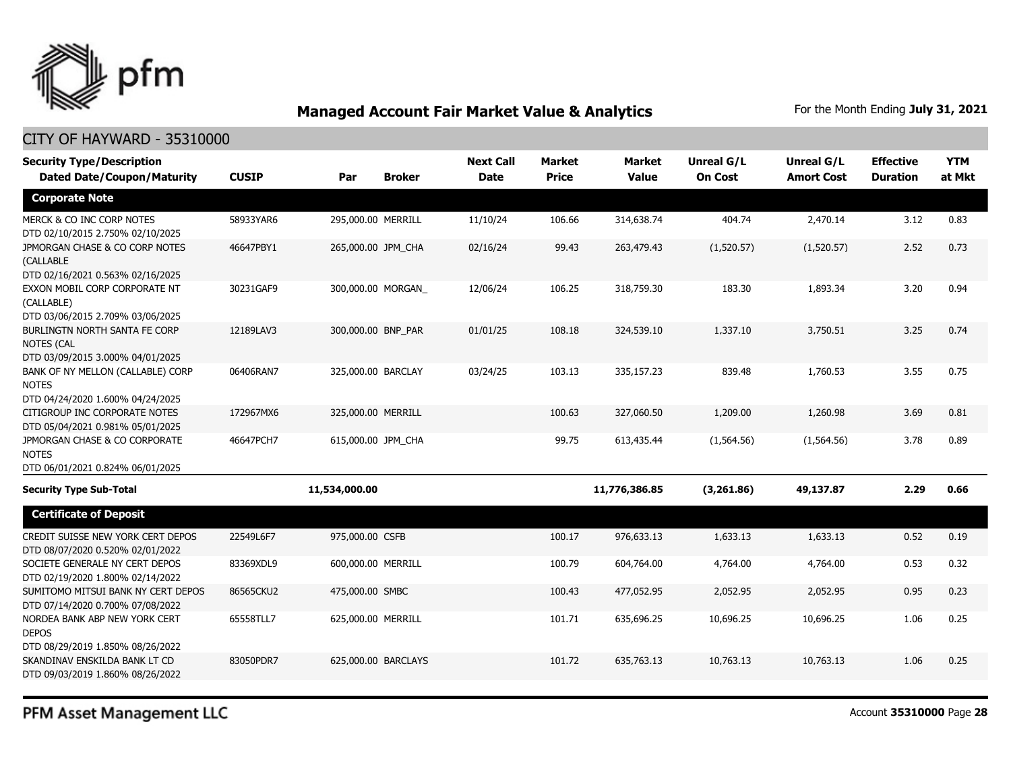

| <b>Security Type/Description</b><br><b>Dated Date/Coupon/Maturity</b>                  | <b>CUSIP</b> | Par                | <b>Broker</b>       | <b>Next Call</b><br><b>Date</b> | <b>Market</b><br><b>Price</b> | <b>Market</b><br><b>Value</b> | Unreal G/L<br><b>On Cost</b> | Unreal G/L<br><b>Amort Cost</b> | <b>Effective</b><br><b>Duration</b> | <b>YTM</b><br>at Mkt |
|----------------------------------------------------------------------------------------|--------------|--------------------|---------------------|---------------------------------|-------------------------------|-------------------------------|------------------------------|---------------------------------|-------------------------------------|----------------------|
| <b>Corporate Note</b>                                                                  |              |                    |                     |                                 |                               |                               |                              |                                 |                                     |                      |
| MERCK & CO INC CORP NOTES<br>DTD 02/10/2015 2.750% 02/10/2025                          | 58933YAR6    | 295,000.00 MERRILL |                     | 11/10/24                        | 106.66                        | 314,638.74                    | 404.74                       | 2,470.14                        | 3.12                                | 0.83                 |
| JPMORGAN CHASE & CO CORP NOTES<br><b>(CALLABLE</b><br>DTD 02/16/2021 0.563% 02/16/2025 | 46647PBY1    | 265,000.00 JPM CHA |                     | 02/16/24                        | 99.43                         | 263,479.43                    | (1,520.57)                   | (1,520.57)                      | 2.52                                | 0.73                 |
| EXXON MOBIL CORP CORPORATE NT<br>(CALLABLE)<br>DTD 03/06/2015 2.709% 03/06/2025        | 30231GAF9    |                    | 300,000.00 MORGAN   | 12/06/24                        | 106.25                        | 318,759.30                    | 183.30                       | 1,893.34                        | 3.20                                | 0.94                 |
| BURLINGTN NORTH SANTA FE CORP<br><b>NOTES (CAL</b><br>DTD 03/09/2015 3.000% 04/01/2025 | 12189LAV3    | 300,000.00 BNP_PAR |                     | 01/01/25                        | 108.18                        | 324,539.10                    | 1,337.10                     | 3,750.51                        | 3.25                                | 0.74                 |
| BANK OF NY MELLON (CALLABLE) CORP<br><b>NOTES</b><br>DTD 04/24/2020 1.600% 04/24/2025  | 06406RAN7    | 325,000.00 BARCLAY |                     | 03/24/25                        | 103.13                        | 335,157.23                    | 839.48                       | 1,760.53                        | 3.55                                | 0.75                 |
| CITIGROUP INC CORPORATE NOTES<br>DTD 05/04/2021 0.981% 05/01/2025                      | 172967MX6    | 325,000.00 MERRILL |                     |                                 | 100.63                        | 327,060.50                    | 1,209.00                     | 1,260.98                        | 3.69                                | 0.81                 |
| JPMORGAN CHASE & CO CORPORATE<br><b>NOTES</b><br>DTD 06/01/2021 0.824% 06/01/2025      | 46647PCH7    | 615,000.00 JPM_CHA |                     |                                 | 99.75                         | 613,435.44                    | (1, 564.56)                  | (1, 564.56)                     | 3.78                                | 0.89                 |
| <b>Security Type Sub-Total</b>                                                         |              | 11,534,000.00      |                     |                                 |                               | 11,776,386.85                 | (3,261.86)                   | 49,137.87                       | 2.29                                | 0.66                 |
| <b>Certificate of Deposit</b>                                                          |              |                    |                     |                                 |                               |                               |                              |                                 |                                     |                      |
| CREDIT SUISSE NEW YORK CERT DEPOS<br>DTD 08/07/2020 0.520% 02/01/2022                  | 22549L6F7    | 975,000.00 CSFB    |                     |                                 | 100.17                        | 976,633.13                    | 1,633.13                     | 1,633.13                        | 0.52                                | 0.19                 |
| SOCIETE GENERALE NY CERT DEPOS<br>DTD 02/19/2020 1.800% 02/14/2022                     | 83369XDL9    | 600,000.00 MERRILL |                     |                                 | 100.79                        | 604,764.00                    | 4,764.00                     | 4,764.00                        | 0.53                                | 0.32                 |
| SUMITOMO MITSUI BANK NY CERT DEPOS<br>DTD 07/14/2020 0.700% 07/08/2022                 | 86565CKU2    | 475,000.00 SMBC    |                     |                                 | 100.43                        | 477.052.95                    | 2,052.95                     | 2,052.95                        | 0.95                                | 0.23                 |
| NORDEA BANK ABP NEW YORK CERT<br><b>DEPOS</b><br>DTD 08/29/2019 1.850% 08/26/2022      | 65558TLL7    | 625,000.00 MERRILL |                     |                                 | 101.71                        | 635,696.25                    | 10,696.25                    | 10,696.25                       | 1.06                                | 0.25                 |
| SKANDINAV ENSKILDA BANK LT CD<br>DTD 09/03/2019 1.860% 08/26/2022                      | 83050PDR7    |                    | 625,000.00 BARCLAYS |                                 | 101.72                        | 635,763.13                    | 10,763.13                    | 10,763.13                       | 1.06                                | 0.25                 |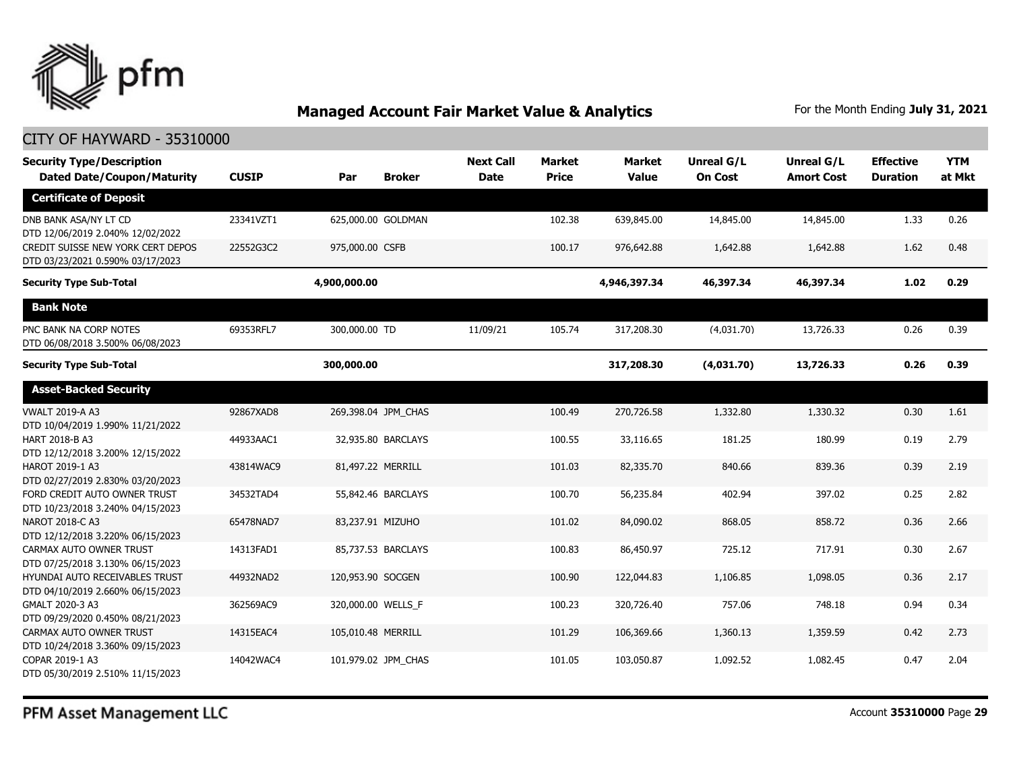

#### CITY OF HAYWARD - 35310000

| <b>Security Type/Description</b><br><b>Dated Date/Coupon/Maturity</b> | <b>CUSIP</b> | Par                | <b>Broker</b>       | <b>Next Call</b><br><b>Date</b> | <b>Market</b><br><b>Price</b> | <b>Market</b><br><b>Value</b> | <b>Unreal G/L</b><br><b>On Cost</b> | Unreal G/L<br><b>Amort Cost</b> | <b>Effective</b><br><b>Duration</b> | <b>YTM</b><br>at Mkt |
|-----------------------------------------------------------------------|--------------|--------------------|---------------------|---------------------------------|-------------------------------|-------------------------------|-------------------------------------|---------------------------------|-------------------------------------|----------------------|
| <b>Certificate of Deposit</b>                                         |              |                    |                     |                                 |                               |                               |                                     |                                 |                                     |                      |
| DNB BANK ASA/NY LT CD<br>DTD 12/06/2019 2.040% 12/02/2022             | 23341VZT1    |                    | 625,000.00 GOLDMAN  |                                 | 102.38                        | 639,845.00                    | 14,845.00                           | 14,845.00                       | 1.33                                | 0.26                 |
| CREDIT SUISSE NEW YORK CERT DEPOS<br>DTD 03/23/2021 0.590% 03/17/2023 | 22552G3C2    | 975,000.00 CSFB    |                     |                                 | 100.17                        | 976,642.88                    | 1,642.88                            | 1,642.88                        | 1.62                                | 0.48                 |
| <b>Security Type Sub-Total</b>                                        |              | 4,900,000.00       |                     |                                 |                               | 4,946,397.34                  | 46,397.34                           | 46,397.34                       | 1.02                                | 0.29                 |
| <b>Bank Note</b>                                                      |              |                    |                     |                                 |                               |                               |                                     |                                 |                                     |                      |
| PNC BANK NA CORP NOTES<br>DTD 06/08/2018 3.500% 06/08/2023            | 69353RFL7    | 300,000.00 TD      |                     | 11/09/21                        | 105.74                        | 317,208.30                    | (4,031.70)                          | 13,726.33                       | 0.26                                | 0.39                 |
| <b>Security Type Sub-Total</b>                                        |              | 300,000.00         |                     |                                 |                               | 317,208.30                    | (4,031.70)                          | 13,726.33                       | 0.26                                | 0.39                 |
| <b>Asset-Backed Security</b>                                          |              |                    |                     |                                 |                               |                               |                                     |                                 |                                     |                      |
| <b>VWALT 2019-A A3</b><br>DTD 10/04/2019 1.990% 11/21/2022            | 92867XAD8    |                    | 269,398.04 JPM_CHAS |                                 | 100.49                        | 270,726.58                    | 1,332.80                            | 1,330.32                        | 0.30                                | 1.61                 |
| HART 2018-B A3<br>DTD 12/12/2018 3.200% 12/15/2022                    | 44933AAC1    |                    | 32,935.80 BARCLAYS  |                                 | 100.55                        | 33,116.65                     | 181.25                              | 180.99                          | 0.19                                | 2.79                 |
| HAROT 2019-1 A3<br>DTD 02/27/2019 2.830% 03/20/2023                   | 43814WAC9    |                    | 81,497.22 MERRILL   |                                 | 101.03                        | 82,335.70                     | 840.66                              | 839.36                          | 0.39                                | 2.19                 |
| FORD CREDIT AUTO OWNER TRUST<br>DTD 10/23/2018 3.240% 04/15/2023      | 34532TAD4    |                    | 55,842.46 BARCLAYS  |                                 | 100.70                        | 56,235.84                     | 402.94                              | 397.02                          | 0.25                                | 2.82                 |
| NAROT 2018-C A3<br>DTD 12/12/2018 3.220% 06/15/2023                   | 65478NAD7    |                    | 83,237.91 MIZUHO    |                                 | 101.02                        | 84,090.02                     | 868.05                              | 858.72                          | 0.36                                | 2.66                 |
| CARMAX AUTO OWNER TRUST<br>DTD 07/25/2018 3.130% 06/15/2023           | 14313FAD1    |                    | 85,737.53 BARCLAYS  |                                 | 100.83                        | 86,450.97                     | 725.12                              | 717.91                          | 0.30                                | 2.67                 |
| HYUNDAI AUTO RECEIVABLES TRUST<br>DTD 04/10/2019 2.660% 06/15/2023    | 44932NAD2    | 120,953.90 SOCGEN  |                     |                                 | 100.90                        | 122,044.83                    | 1,106.85                            | 1,098.05                        | 0.36                                | 2.17                 |
| GMALT 2020-3 A3<br>DTD 09/29/2020 0.450% 08/21/2023                   | 362569AC9    |                    | 320,000.00 WELLS_F  |                                 | 100.23                        | 320,726.40                    | 757.06                              | 748.18                          | 0.94                                | 0.34                 |
| CARMAX AUTO OWNER TRUST<br>DTD 10/24/2018 3.360% 09/15/2023           | 14315EAC4    | 105,010.48 MERRILL |                     |                                 | 101.29                        | 106,369.66                    | 1,360.13                            | 1,359.59                        | 0.42                                | 2.73                 |
| COPAR 2019-1 A3<br>DTD 05/30/2019 2.510% 11/15/2023                   | 14042WAC4    |                    | 101,979.02 JPM CHAS |                                 | 101.05                        | 103,050.87                    | 1,092.52                            | 1,082.45                        | 0.47                                | 2.04                 |

PFM Asset Management LLC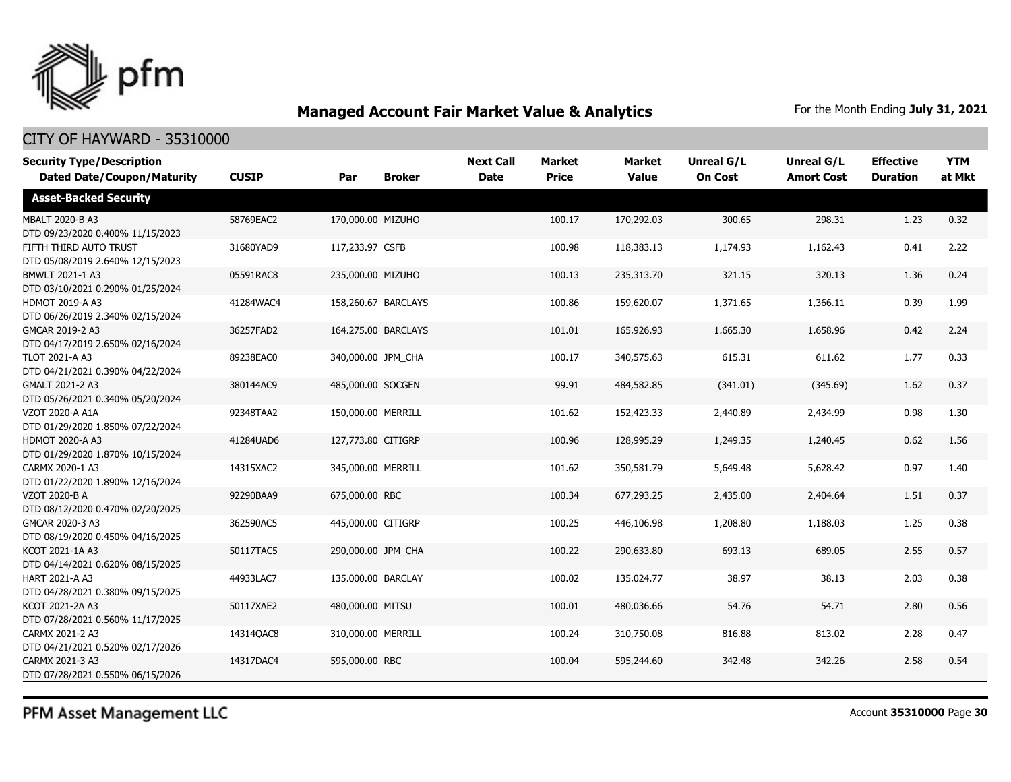

### CITY OF HAYWARD - 35310000

| <b>Security Type/Description</b><br><b>Dated Date/Coupon/Maturity</b> | <b>CUSIP</b> | Par                 | <b>Broker</b> | <b>Next Call</b><br><b>Date</b> | <b>Market</b><br><b>Price</b> | <b>Market</b><br><b>Value</b> | <b>Unreal G/L</b><br><b>On Cost</b> | Unreal G/L<br><b>Amort Cost</b> | <b>Effective</b><br><b>Duration</b> | <b>YTM</b><br>at Mkt |
|-----------------------------------------------------------------------|--------------|---------------------|---------------|---------------------------------|-------------------------------|-------------------------------|-------------------------------------|---------------------------------|-------------------------------------|----------------------|
| <b>Asset-Backed Security</b>                                          |              |                     |               |                                 |                               |                               |                                     |                                 |                                     |                      |
| MBALT 2020-B A3<br>DTD 09/23/2020 0.400% 11/15/2023                   | 58769EAC2    | 170,000.00 MIZUHO   |               |                                 | 100.17                        | 170,292.03                    | 300.65                              | 298.31                          | 1.23                                | 0.32                 |
| FIFTH THIRD AUTO TRUST<br>DTD 05/08/2019 2.640% 12/15/2023            | 31680YAD9    | 117,233.97 CSFB     |               |                                 | 100.98                        | 118,383.13                    | 1,174.93                            | 1,162.43                        | 0.41                                | 2.22                 |
| BMWLT 2021-1 A3<br>DTD 03/10/2021 0.290% 01/25/2024                   | 05591RAC8    | 235,000.00 MIZUHO   |               |                                 | 100.13                        | 235,313.70                    | 321.15                              | 320.13                          | 1.36                                | 0.24                 |
| <b>HDMOT 2019-A A3</b><br>DTD 06/26/2019 2.340% 02/15/2024            | 41284WAC4    | 158,260.67 BARCLAYS |               |                                 | 100.86                        | 159,620.07                    | 1,371.65                            | 1,366.11                        | 0.39                                | 1.99                 |
| GMCAR 2019-2 A3<br>DTD 04/17/2019 2.650% 02/16/2024                   | 36257FAD2    | 164,275.00 BARCLAYS |               |                                 | 101.01                        | 165,926.93                    | 1,665.30                            | 1,658.96                        | 0.42                                | 2.24                 |
| TLOT 2021-A A3<br>DTD 04/21/2021 0.390% 04/22/2024                    | 89238EAC0    | 340,000.00 JPM_CHA  |               |                                 | 100.17                        | 340,575.63                    | 615.31                              | 611.62                          | 1.77                                | 0.33                 |
| GMALT 2021-2 A3<br>DTD 05/26/2021 0.340% 05/20/2024                   | 380144AC9    | 485,000.00 SOCGEN   |               |                                 | 99.91                         | 484,582.85                    | (341.01)                            | (345.69)                        | 1.62                                | 0.37                 |
| VZOT 2020-A A1A<br>DTD 01/29/2020 1.850% 07/22/2024                   | 92348TAA2    | 150,000.00 MERRILL  |               |                                 | 101.62                        | 152,423.33                    | 2,440.89                            | 2,434.99                        | 0.98                                | 1.30                 |
| <b>HDMOT 2020-A A3</b><br>DTD 01/29/2020 1.870% 10/15/2024            | 41284UAD6    | 127,773.80 CITIGRP  |               |                                 | 100.96                        | 128,995.29                    | 1,249.35                            | 1,240.45                        | 0.62                                | 1.56                 |
| CARMX 2020-1 A3<br>DTD 01/22/2020 1.890% 12/16/2024                   | 14315XAC2    | 345,000.00 MERRILL  |               |                                 | 101.62                        | 350,581.79                    | 5,649.48                            | 5,628.42                        | 0.97                                | 1.40                 |
| VZOT 2020-B A<br>DTD 08/12/2020 0.470% 02/20/2025                     | 92290BAA9    | 675,000.00 RBC      |               |                                 | 100.34                        | 677,293.25                    | 2,435.00                            | 2,404.64                        | 1.51                                | 0.37                 |
| GMCAR 2020-3 A3<br>DTD 08/19/2020 0.450% 04/16/2025                   | 362590AC5    | 445,000.00 CITIGRP  |               |                                 | 100.25                        | 446,106.98                    | 1,208.80                            | 1,188.03                        | 1.25                                | 0.38                 |
| KCOT 2021-1A A3<br>DTD 04/14/2021 0.620% 08/15/2025                   | 50117TAC5    | 290,000.00 JPM_CHA  |               |                                 | 100.22                        | 290,633.80                    | 693.13                              | 689.05                          | 2.55                                | 0.57                 |
| HART 2021-A A3<br>DTD 04/28/2021 0.380% 09/15/2025                    | 44933LAC7    | 135,000.00 BARCLAY  |               |                                 | 100.02                        | 135,024.77                    | 38.97                               | 38.13                           | 2.03                                | 0.38                 |
| KCOT 2021-2A A3<br>DTD 07/28/2021 0.560% 11/17/2025                   | 50117XAE2    | 480,000.00 MITSU    |               |                                 | 100.01                        | 480,036.66                    | 54.76                               | 54.71                           | 2.80                                | 0.56                 |
| CARMX 2021-2 A3<br>DTD 04/21/2021 0.520% 02/17/2026                   | 14314QAC8    | 310,000.00 MERRILL  |               |                                 | 100.24                        | 310,750.08                    | 816.88                              | 813.02                          | 2.28                                | 0.47                 |
| CARMX 2021-3 A3<br>DTD 07/28/2021 0.550% 06/15/2026                   | 14317DAC4    | 595,000.00 RBC      |               |                                 | 100.04                        | 595,244.60                    | 342.48                              | 342.26                          | 2.58                                | 0.54                 |

PFM Asset Management LLC

Account **35310000** Page **30**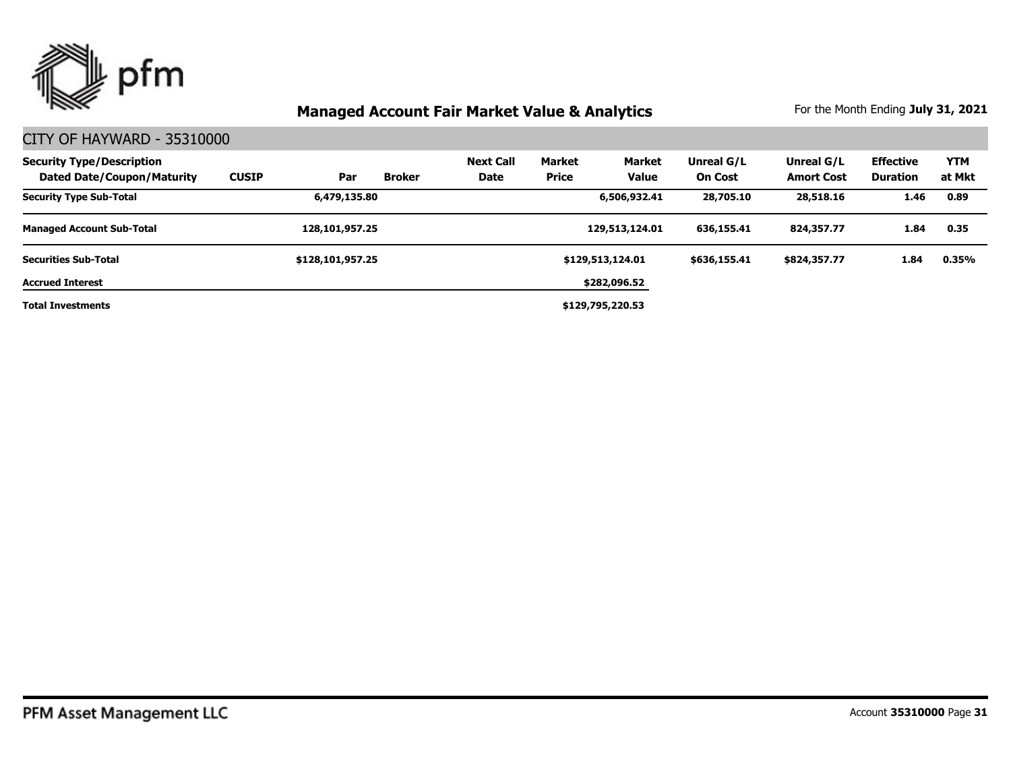

| <b>Security Type/Description</b><br>Dated Date/Coupon/Maturity | <b>CUSIP</b> | Par              | <b>Broker</b> | <b>Next Call</b><br>Date | <b>Market</b><br><b>Price</b> | Market<br><b>Value</b> | Unreal G/L<br><b>On Cost</b> | Unreal G/L<br><b>Amort Cost</b> | <b>Effective</b><br>Duration | <b>YTM</b><br>at Mkt |
|----------------------------------------------------------------|--------------|------------------|---------------|--------------------------|-------------------------------|------------------------|------------------------------|---------------------------------|------------------------------|----------------------|
| <b>Security Type Sub-Total</b>                                 |              | 6,479,135.80     |               |                          |                               | 6,506,932.41           | 28,705.10                    | 28,518.16                       | 1.46                         | 0.89                 |
| <b>Managed Account Sub-Total</b>                               |              | 128,101,957.25   |               |                          |                               | 129,513,124.01         | 636,155.41                   | 824,357.77                      | 1.84                         | 0.35                 |
| <b>Securities Sub-Total</b>                                    |              | \$128,101,957.25 |               |                          |                               | \$129,513,124.01       | \$636,155.41                 | \$824,357.77                    | 1.84                         | 0.35%                |
| <b>Accrued Interest</b>                                        |              |                  |               |                          |                               | \$282,096.52           |                              |                                 |                              |                      |
| <b>Total Investments</b>                                       |              |                  |               |                          |                               | \$129,795,220.53       |                              |                                 |                              |                      |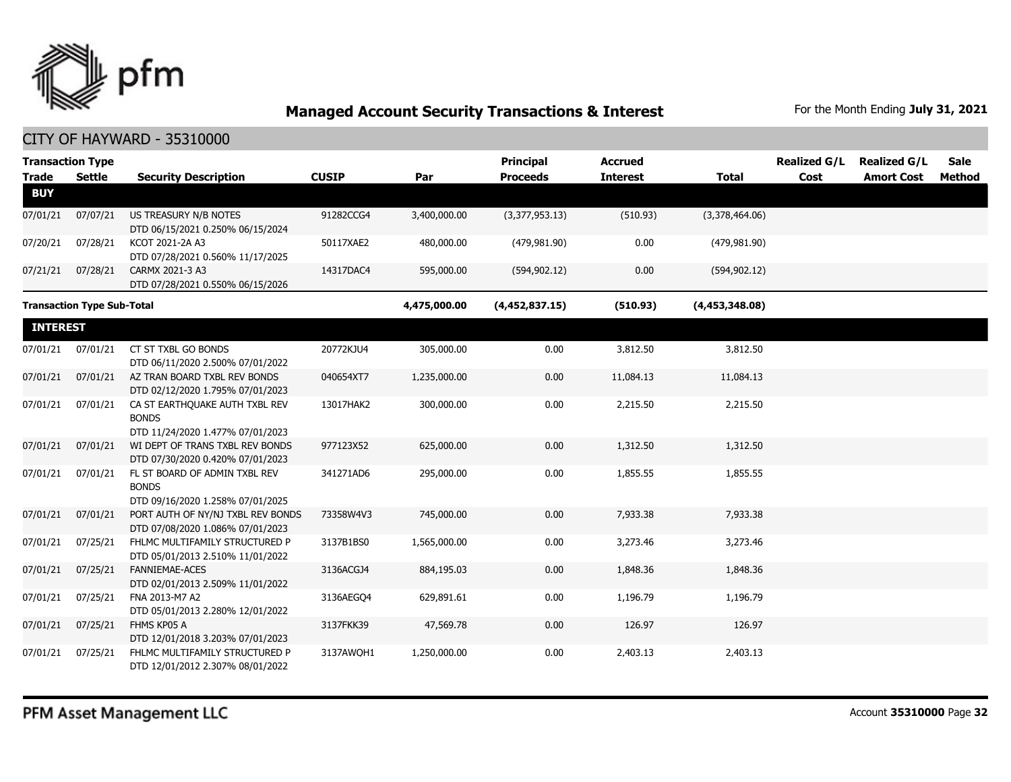

| <b>Trade</b>    | <b>Transaction Type</b><br>Settle | <b>Security Description</b>                                                        | <b>CUSIP</b> | Par          | <b>Principal</b><br><b>Proceeds</b> | <b>Accrued</b><br><b>Interest</b> | Total          | <b>Realized G/L</b><br>Cost | <b>Realized G/L</b><br><b>Amort Cost</b> | <b>Sale</b><br>Method |
|-----------------|-----------------------------------|------------------------------------------------------------------------------------|--------------|--------------|-------------------------------------|-----------------------------------|----------------|-----------------------------|------------------------------------------|-----------------------|
| <b>BUY</b>      |                                   |                                                                                    |              |              |                                     |                                   |                |                             |                                          |                       |
| 07/01/21        | 07/07/21                          | US TREASURY N/B NOTES<br>DTD 06/15/2021 0.250% 06/15/2024                          | 91282CCG4    | 3,400,000.00 | (3,377,953.13)                      | (510.93)                          | (3,378,464.06) |                             |                                          |                       |
| 07/20/21        | 07/28/21                          | KCOT 2021-2A A3<br>DTD 07/28/2021 0.560% 11/17/2025                                | 50117XAE2    | 480,000.00   | (479, 981.90)                       | 0.00                              | (479, 981.90)  |                             |                                          |                       |
| 07/21/21        | 07/28/21                          | CARMX 2021-3 A3<br>DTD 07/28/2021 0.550% 06/15/2026                                | 14317DAC4    | 595,000.00   | (594, 902.12)                       | 0.00                              | (594, 902.12)  |                             |                                          |                       |
|                 | <b>Transaction Type Sub-Total</b> |                                                                                    |              | 4,475,000.00 | (4,452,837.15)                      | (510.93)                          | (4,453,348.08) |                             |                                          |                       |
| <b>INTEREST</b> |                                   |                                                                                    |              |              |                                     |                                   |                |                             |                                          |                       |
| 07/01/21        | 07/01/21                          | CT ST TXBL GO BONDS<br>DTD 06/11/2020 2.500% 07/01/2022                            | 20772KJU4    | 305,000.00   | 0.00                                | 3,812.50                          | 3,812.50       |                             |                                          |                       |
| 07/01/21        | 07/01/21                          | AZ TRAN BOARD TXBL REV BONDS<br>DTD 02/12/2020 1.795% 07/01/2023                   | 040654XT7    | 1,235,000.00 | 0.00                                | 11,084.13                         | 11,084.13      |                             |                                          |                       |
| 07/01/21        | 07/01/21                          | CA ST EARTHOUAKE AUTH TXBL REV<br><b>BONDS</b><br>DTD 11/24/2020 1.477% 07/01/2023 | 13017HAK2    | 300,000.00   | 0.00                                | 2,215.50                          | 2,215.50       |                             |                                          |                       |
| 07/01/21        | 07/01/21                          | WI DEPT OF TRANS TXBL REV BONDS<br>DTD 07/30/2020 0.420% 07/01/2023                | 977123X52    | 625,000.00   | 0.00                                | 1,312.50                          | 1,312.50       |                             |                                          |                       |
| 07/01/21        | 07/01/21                          | FL ST BOARD OF ADMIN TXBL REV<br><b>BONDS</b><br>DTD 09/16/2020 1.258% 07/01/2025  | 341271AD6    | 295,000.00   | 0.00                                | 1,855.55                          | 1,855.55       |                             |                                          |                       |
| 07/01/21        | 07/01/21                          | PORT AUTH OF NY/NJ TXBL REV BONDS<br>DTD 07/08/2020 1.086% 07/01/2023              | 73358W4V3    | 745,000.00   | 0.00                                | 7,933.38                          | 7,933.38       |                             |                                          |                       |
| 07/01/21        | 07/25/21                          | FHLMC MULTIFAMILY STRUCTURED P<br>DTD 05/01/2013 2.510% 11/01/2022                 | 3137B1BS0    | 1,565,000.00 | 0.00                                | 3,273.46                          | 3,273.46       |                             |                                          |                       |
| 07/01/21        | 07/25/21                          | <b>FANNIEMAE-ACES</b><br>DTD 02/01/2013 2.509% 11/01/2022                          | 3136ACGJ4    | 884,195.03   | 0.00                                | 1,848.36                          | 1,848.36       |                             |                                          |                       |
| 07/01/21        | 07/25/21                          | FNA 2013-M7 A2<br>DTD 05/01/2013 2.280% 12/01/2022                                 | 3136AEGO4    | 629,891.61   | 0.00                                | 1,196.79                          | 1,196.79       |                             |                                          |                       |
| 07/01/21        | 07/25/21                          | FHMS KP05 A<br>DTD 12/01/2018 3.203% 07/01/2023                                    | 3137FKK39    | 47,569.78    | 0.00                                | 126.97                            | 126.97         |                             |                                          |                       |
| 07/01/21        | 07/25/21                          | FHLMC MULTIFAMILY STRUCTURED P<br>DTD 12/01/2012 2.307% 08/01/2022                 | 3137AWQH1    | 1,250,000.00 | 0.00                                | 2,403.13                          | 2,403.13       |                             |                                          |                       |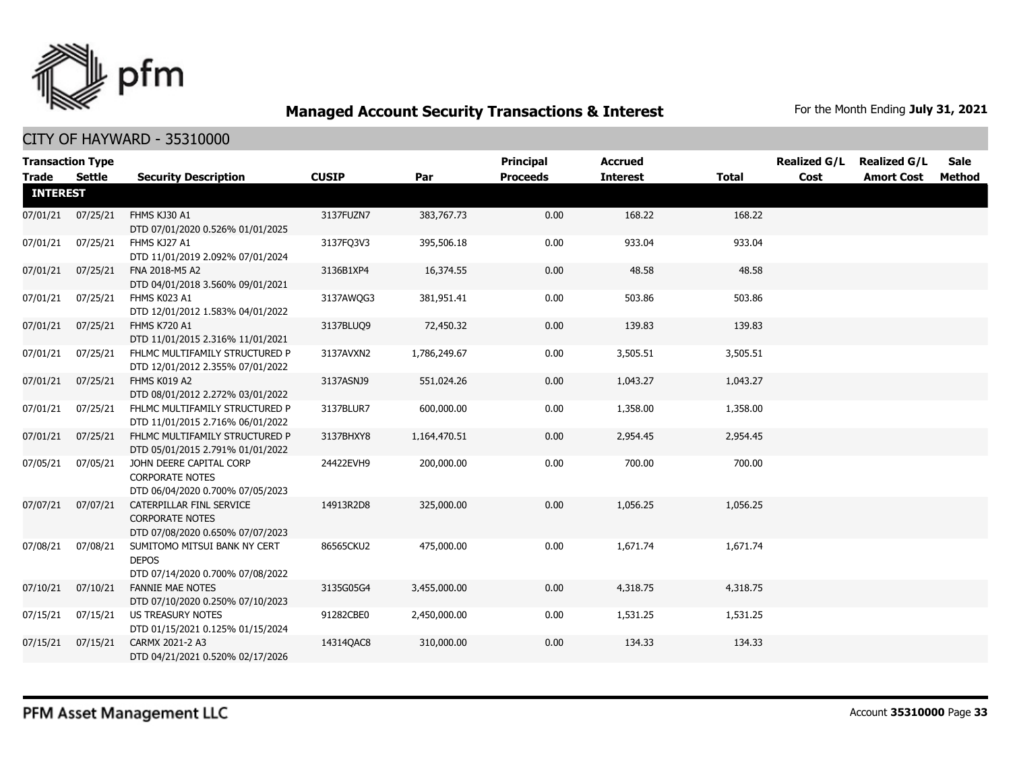

|                 | <b>Transaction Type</b> |                                                                                        |              |              | <b>Principal</b> | <b>Accrued</b>  |              | <b>Realized G/L</b> | <b>Realized G/L</b> | <b>Sale</b> |
|-----------------|-------------------------|----------------------------------------------------------------------------------------|--------------|--------------|------------------|-----------------|--------------|---------------------|---------------------|-------------|
| <b>Trade</b>    | Settle                  | <b>Security Description</b>                                                            | <b>CUSIP</b> | Par          | <b>Proceeds</b>  | <b>Interest</b> | <b>Total</b> | Cost                | <b>Amort Cost</b>   | Method      |
| <b>INTEREST</b> |                         |                                                                                        |              |              |                  |                 |              |                     |                     |             |
| 07/01/21        | 07/25/21                | FHMS KJ30 A1<br>DTD 07/01/2020 0.526% 01/01/2025                                       | 3137FUZN7    | 383,767.73   | 0.00             | 168.22          | 168.22       |                     |                     |             |
| 07/01/21        | 07/25/21                | FHMS KJ27 A1<br>DTD 11/01/2019 2.092% 07/01/2024                                       | 3137FO3V3    | 395,506.18   | 0.00             | 933.04          | 933.04       |                     |                     |             |
| 07/01/21        | 07/25/21                | FNA 2018-M5 A2<br>DTD 04/01/2018 3.560% 09/01/2021                                     | 3136B1XP4    | 16,374.55    | 0.00             | 48.58           | 48.58        |                     |                     |             |
| 07/01/21        | 07/25/21                | FHMS K023 A1<br>DTD 12/01/2012 1.583% 04/01/2022                                       | 3137AWQG3    | 381,951.41   | 0.00             | 503.86          | 503.86       |                     |                     |             |
| 07/01/21        | 07/25/21                | FHMS K720 A1<br>DTD 11/01/2015 2.316% 11/01/2021                                       | 3137BLUQ9    | 72,450.32    | 0.00             | 139.83          | 139.83       |                     |                     |             |
| 07/01/21        | 07/25/21                | FHLMC MULTIFAMILY STRUCTURED P<br>DTD 12/01/2012 2.355% 07/01/2022                     | 3137AVXN2    | 1,786,249.67 | 0.00             | 3,505.51        | 3,505.51     |                     |                     |             |
| 07/01/21        | 07/25/21                | FHMS K019 A2<br>DTD 08/01/2012 2.272% 03/01/2022                                       | 3137ASNJ9    | 551,024.26   | 0.00             | 1,043.27        | 1,043.27     |                     |                     |             |
| 07/01/21        | 07/25/21                | FHLMC MULTIFAMILY STRUCTURED P<br>DTD 11/01/2015 2.716% 06/01/2022                     | 3137BLUR7    | 600,000.00   | 0.00             | 1,358.00        | 1,358.00     |                     |                     |             |
| 07/01/21        | 07/25/21                | FHLMC MULTIFAMILY STRUCTURED P<br>DTD 05/01/2015 2.791% 01/01/2022                     | 3137BHXY8    | 1,164,470.51 | 0.00             | 2,954.45        | 2,954.45     |                     |                     |             |
| 07/05/21        | 07/05/21                | JOHN DEERE CAPITAL CORP<br><b>CORPORATE NOTES</b><br>DTD 06/04/2020 0.700% 07/05/2023  | 24422EVH9    | 200,000.00   | 0.00             | 700.00          | 700.00       |                     |                     |             |
| 07/07/21        | 07/07/21                | CATERPILLAR FINL SERVICE<br><b>CORPORATE NOTES</b><br>DTD 07/08/2020 0.650% 07/07/2023 | 14913R2D8    | 325,000.00   | 0.00             | 1,056.25        | 1,056.25     |                     |                     |             |
| 07/08/21        | 07/08/21                | SUMITOMO MITSUI BANK NY CERT<br><b>DEPOS</b><br>DTD 07/14/2020 0.700% 07/08/2022       | 86565CKU2    | 475,000.00   | 0.00             | 1,671.74        | 1,671.74     |                     |                     |             |
| 07/10/21        | 07/10/21                | <b>FANNIE MAE NOTES</b><br>DTD 07/10/2020 0.250% 07/10/2023                            | 3135G05G4    | 3,455,000.00 | 0.00             | 4,318.75        | 4,318.75     |                     |                     |             |
| 07/15/21        | 07/15/21                | <b>US TREASURY NOTES</b><br>DTD 01/15/2021 0.125% 01/15/2024                           | 91282CBE0    | 2,450,000.00 | 0.00             | 1,531.25        | 1,531.25     |                     |                     |             |
| 07/15/21        | 07/15/21                | CARMX 2021-2 A3<br>DTD 04/21/2021 0.520% 02/17/2026                                    | 14314QAC8    | 310,000.00   | 0.00             | 134.33          | 134.33       |                     |                     |             |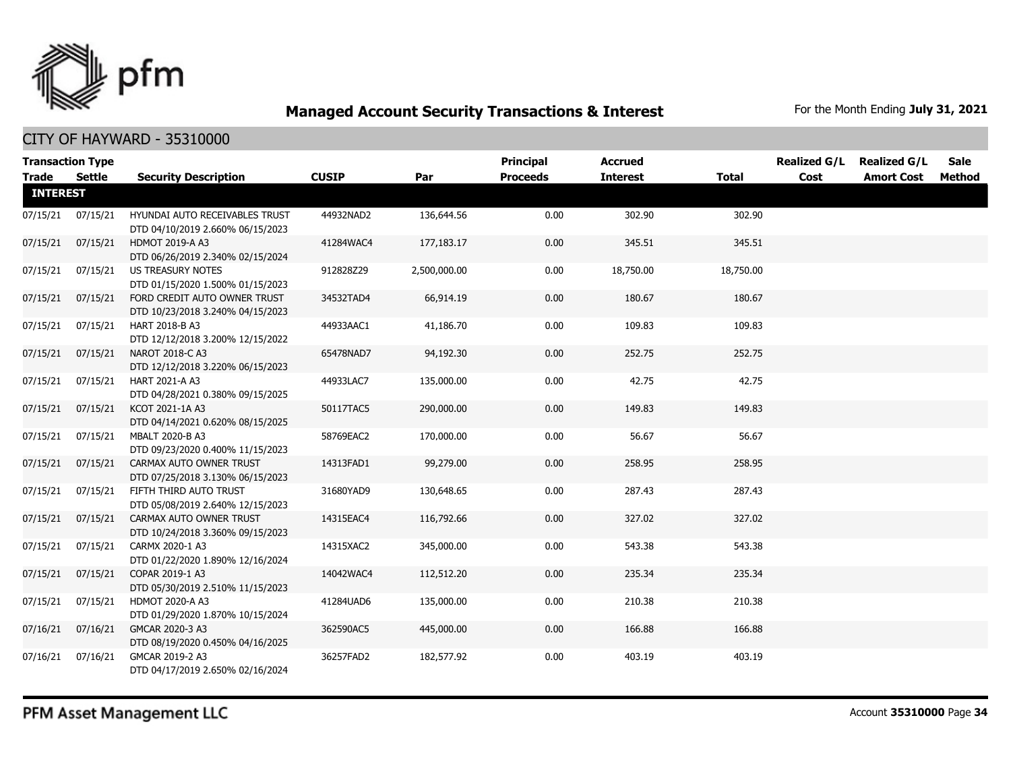

| <b>Transaction Type</b><br><b>Trade</b> | <b>Settle</b> | <b>Security Description</b>                                        | <b>CUSIP</b> | Par          | <b>Principal</b><br><b>Proceeds</b> | <b>Accrued</b><br><b>Interest</b> | <b>Total</b> | <b>Realized G/L</b><br>Cost | <b>Realized G/L</b><br><b>Amort Cost</b> | <b>Sale</b><br>Method |
|-----------------------------------------|---------------|--------------------------------------------------------------------|--------------|--------------|-------------------------------------|-----------------------------------|--------------|-----------------------------|------------------------------------------|-----------------------|
| <b>INTEREST</b>                         |               |                                                                    |              |              |                                     |                                   |              |                             |                                          |                       |
| 07/15/21                                | 07/15/21      | HYUNDAI AUTO RECEIVABLES TRUST<br>DTD 04/10/2019 2.660% 06/15/2023 | 44932NAD2    | 136,644.56   | 0.00                                | 302.90                            | 302.90       |                             |                                          |                       |
| 07/15/21                                | 07/15/21      | <b>HDMOT 2019-A A3</b><br>DTD 06/26/2019 2.340% 02/15/2024         | 41284WAC4    | 177,183.17   | 0.00                                | 345.51                            | 345.51       |                             |                                          |                       |
| 07/15/21                                | 07/15/21      | US TREASURY NOTES<br>DTD 01/15/2020 1.500% 01/15/2023              | 912828Z29    | 2,500,000.00 | 0.00                                | 18,750.00                         | 18,750.00    |                             |                                          |                       |
| 07/15/21                                | 07/15/21      | FORD CREDIT AUTO OWNER TRUST<br>DTD 10/23/2018 3.240% 04/15/2023   | 34532TAD4    | 66,914.19    | 0.00                                | 180.67                            | 180.67       |                             |                                          |                       |
| 07/15/21                                | 07/15/21      | HART 2018-B A3<br>DTD 12/12/2018 3.200% 12/15/2022                 | 44933AAC1    | 41,186.70    | 0.00                                | 109.83                            | 109.83       |                             |                                          |                       |
| 07/15/21                                | 07/15/21      | NAROT 2018-C A3<br>DTD 12/12/2018 3.220% 06/15/2023                | 65478NAD7    | 94,192.30    | 0.00                                | 252.75                            | 252.75       |                             |                                          |                       |
| 07/15/21                                | 07/15/21      | HART 2021-A A3<br>DTD 04/28/2021 0.380% 09/15/2025                 | 44933LAC7    | 135,000.00   | 0.00                                | 42.75                             | 42.75        |                             |                                          |                       |
| 07/15/21                                | 07/15/21      | KCOT 2021-1A A3<br>DTD 04/14/2021 0.620% 08/15/2025                | 50117TAC5    | 290,000.00   | 0.00                                | 149.83                            | 149.83       |                             |                                          |                       |
| 07/15/21                                | 07/15/21      | MBALT 2020-B A3<br>DTD 09/23/2020 0.400% 11/15/2023                | 58769EAC2    | 170,000.00   | 0.00                                | 56.67                             | 56.67        |                             |                                          |                       |
| 07/15/21                                | 07/15/21      | CARMAX AUTO OWNER TRUST<br>DTD 07/25/2018 3.130% 06/15/2023        | 14313FAD1    | 99,279.00    | 0.00                                | 258.95                            | 258.95       |                             |                                          |                       |
| 07/15/21                                | 07/15/21      | FIFTH THIRD AUTO TRUST<br>DTD 05/08/2019 2.640% 12/15/2023         | 31680YAD9    | 130,648.65   | 0.00                                | 287.43                            | 287.43       |                             |                                          |                       |
| 07/15/21                                | 07/15/21      | CARMAX AUTO OWNER TRUST<br>DTD 10/24/2018 3.360% 09/15/2023        | 14315EAC4    | 116,792.66   | 0.00                                | 327.02                            | 327.02       |                             |                                          |                       |
| 07/15/21                                | 07/15/21      | CARMX 2020-1 A3<br>DTD 01/22/2020 1.890% 12/16/2024                | 14315XAC2    | 345,000.00   | 0.00                                | 543.38                            | 543.38       |                             |                                          |                       |
| 07/15/21                                | 07/15/21      | COPAR 2019-1 A3<br>DTD 05/30/2019 2.510% 11/15/2023                | 14042WAC4    | 112,512.20   | 0.00                                | 235.34                            | 235.34       |                             |                                          |                       |
| 07/15/21                                | 07/15/21      | <b>HDMOT 2020-A A3</b><br>DTD 01/29/2020 1.870% 10/15/2024         | 41284UAD6    | 135,000.00   | 0.00                                | 210.38                            | 210.38       |                             |                                          |                       |
| 07/16/21                                | 07/16/21      | GMCAR 2020-3 A3<br>DTD 08/19/2020 0.450% 04/16/2025                | 362590AC5    | 445,000.00   | 0.00                                | 166.88                            | 166.88       |                             |                                          |                       |
| 07/16/21                                | 07/16/21      | GMCAR 2019-2 A3<br>DTD 04/17/2019 2.650% 02/16/2024                | 36257FAD2    | 182,577.92   | 0.00                                | 403.19                            | 403.19       |                             |                                          |                       |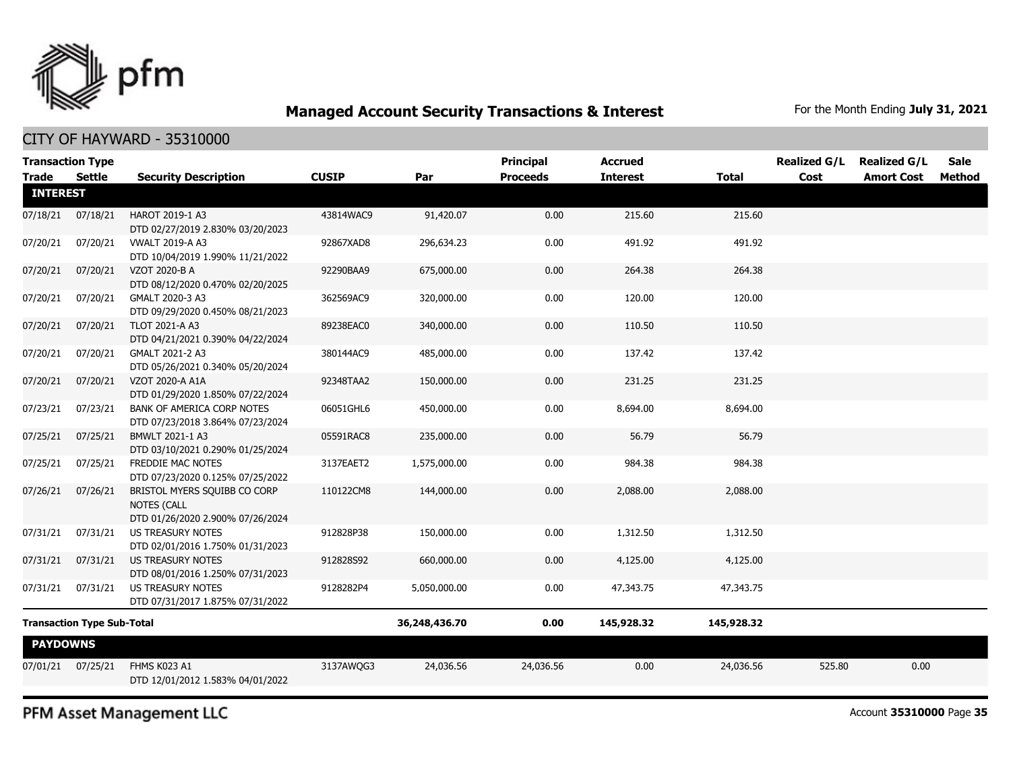

#### CITY OF HAYWARD - 35310000

|                                   | <b>Transaction Type</b> |                                                                                        |               |              | <b>Principal</b> | <b>Accrued</b>  |              | <b>Realized G/L</b> | <b>Realized G/L</b> | Sale   |
|-----------------------------------|-------------------------|----------------------------------------------------------------------------------------|---------------|--------------|------------------|-----------------|--------------|---------------------|---------------------|--------|
| <b>Trade</b><br><b>INTEREST</b>   | <b>Settle</b>           | <b>Security Description</b>                                                            | <b>CUSIP</b>  | Par          | <b>Proceeds</b>  | <b>Interest</b> | <b>Total</b> | Cost                | <b>Amort Cost</b>   | Method |
| 07/18/21                          | 07/18/21                | HAROT 2019-1 A3<br>DTD 02/27/2019 2.830% 03/20/2023                                    | 43814WAC9     | 91,420.07    | 0.00             | 215.60          | 215.60       |                     |                     |        |
| 07/20/21                          | 07/20/21                | <b>VWALT 2019-A A3</b><br>DTD 10/04/2019 1.990% 11/21/2022                             | 92867XAD8     | 296,634.23   | 0.00             | 491.92          | 491.92       |                     |                     |        |
| 07/20/21                          | 07/20/21                | VZOT 2020-B A<br>DTD 08/12/2020 0.470% 02/20/2025                                      | 92290BAA9     | 675,000.00   | 0.00             | 264.38          | 264.38       |                     |                     |        |
| 07/20/21                          | 07/20/21                | GMALT 2020-3 A3<br>DTD 09/29/2020 0.450% 08/21/2023                                    | 362569AC9     | 320,000.00   | 0.00             | 120.00          | 120.00       |                     |                     |        |
| 07/20/21                          | 07/20/21                | <b>TLOT 2021-A A3</b><br>DTD 04/21/2021 0.390% 04/22/2024                              | 89238EAC0     | 340,000.00   | 0.00             | 110.50          | 110.50       |                     |                     |        |
| 07/20/21                          | 07/20/21                | GMALT 2021-2 A3<br>DTD 05/26/2021 0.340% 05/20/2024                                    | 380144AC9     | 485,000.00   | 0.00             | 137.42          | 137.42       |                     |                     |        |
| 07/20/21                          | 07/20/21                | VZOT 2020-A A1A<br>DTD 01/29/2020 1.850% 07/22/2024                                    | 92348TAA2     | 150,000.00   | 0.00             | 231.25          | 231.25       |                     |                     |        |
| 07/23/21                          | 07/23/21                | <b>BANK OF AMERICA CORP NOTES</b><br>DTD 07/23/2018 3.864% 07/23/2024                  | 06051GHL6     | 450,000.00   | 0.00             | 8,694.00        | 8,694.00     |                     |                     |        |
| 07/25/21                          | 07/25/21                | BMWLT 2021-1 A3<br>DTD 03/10/2021 0.290% 01/25/2024                                    | 05591RAC8     | 235,000.00   | 0.00             | 56.79           | 56.79        |                     |                     |        |
| 07/25/21                          | 07/25/21                | FREDDIE MAC NOTES<br>DTD 07/23/2020 0.125% 07/25/2022                                  | 3137EAET2     | 1,575,000.00 | 0.00             | 984.38          | 984.38       |                     |                     |        |
| 07/26/21                          | 07/26/21                | BRISTOL MYERS SQUIBB CO CORP<br><b>NOTES (CALL</b><br>DTD 01/26/2020 2.900% 07/26/2024 | 110122CM8     | 144,000.00   | 0.00             | 2,088.00        | 2,088.00     |                     |                     |        |
| 07/31/21                          | 07/31/21                | <b>US TREASURY NOTES</b><br>DTD 02/01/2016 1.750% 01/31/2023                           | 912828P38     | 150,000.00   | 0.00             | 1,312.50        | 1,312.50     |                     |                     |        |
| 07/31/21                          | 07/31/21                | <b>US TREASURY NOTES</b><br>DTD 08/01/2016 1.250% 07/31/2023                           | 912828S92     | 660,000.00   | 0.00             | 4,125.00        | 4,125.00     |                     |                     |        |
| 07/31/21                          | 07/31/21                | <b>US TREASURY NOTES</b><br>DTD 07/31/2017 1.875% 07/31/2022                           | 9128282P4     | 5,050,000.00 | 0.00             | 47,343.75       | 47,343.75    |                     |                     |        |
| <b>Transaction Type Sub-Total</b> |                         |                                                                                        | 36,248,436.70 | 0.00         | 145,928.32       | 145,928.32      |              |                     |                     |        |
| <b>PAYDOWNS</b>                   |                         |                                                                                        |               |              |                  |                 |              |                     |                     |        |
| 07/01/21                          | 07/25/21                | FHMS K023 A1<br>DTD 12/01/2012 1.583% 04/01/2022                                       | 3137AWQG3     | 24,036.56    | 24,036.56        | 0.00            | 24,036.56    | 525.80              | 0.00                |        |

PFM Asset Management LLC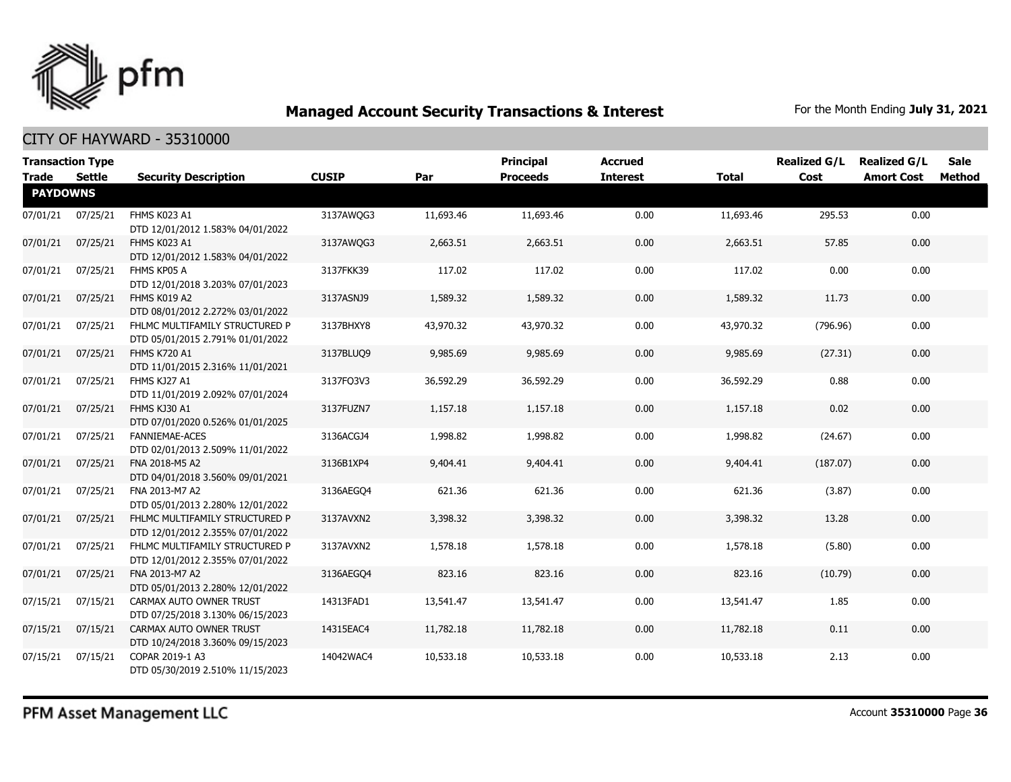

| <b>Transaction Type</b><br><b>Trade</b> | Settle   | <b>Security Description</b>                                        | <b>CUSIP</b> | Par       | Principal<br><b>Proceeds</b> | <b>Accrued</b><br><b>Interest</b> | <b>Total</b> | <b>Realized G/L</b><br>Cost | <b>Realized G/L</b><br><b>Amort Cost</b> | <b>Sale</b><br><b>Method</b> |
|-----------------------------------------|----------|--------------------------------------------------------------------|--------------|-----------|------------------------------|-----------------------------------|--------------|-----------------------------|------------------------------------------|------------------------------|
| <b>PAYDOWNS</b>                         |          |                                                                    |              |           |                              |                                   |              |                             |                                          |                              |
| 07/01/21                                | 07/25/21 | FHMS K023 A1<br>DTD 12/01/2012 1.583% 04/01/2022                   | 3137AWQG3    | 11,693.46 | 11,693.46                    | 0.00                              | 11,693.46    | 295.53                      | 0.00                                     |                              |
| 07/01/21                                | 07/25/21 | FHMS K023 A1<br>DTD 12/01/2012 1.583% 04/01/2022                   | 3137AWQG3    | 2,663.51  | 2,663.51                     | 0.00                              | 2,663.51     | 57.85                       | 0.00                                     |                              |
| 07/01/21                                | 07/25/21 | FHMS KP05 A<br>DTD 12/01/2018 3.203% 07/01/2023                    | 3137FKK39    | 117.02    | 117.02                       | 0.00                              | 117.02       | 0.00                        | 0.00                                     |                              |
| 07/01/21                                | 07/25/21 | FHMS K019 A2<br>DTD 08/01/2012 2.272% 03/01/2022                   | 3137ASNJ9    | 1,589.32  | 1,589.32                     | 0.00                              | 1,589.32     | 11.73                       | 0.00                                     |                              |
| 07/01/21                                | 07/25/21 | FHLMC MULTIFAMILY STRUCTURED P<br>DTD 05/01/2015 2.791% 01/01/2022 | 3137BHXY8    | 43,970.32 | 43,970.32                    | 0.00                              | 43,970.32    | (796.96)                    | 0.00                                     |                              |
| 07/01/21                                | 07/25/21 | <b>FHMS K720 A1</b><br>DTD 11/01/2015 2.316% 11/01/2021            | 3137BLUQ9    | 9,985.69  | 9,985.69                     | 0.00                              | 9,985.69     | (27.31)                     | 0.00                                     |                              |
| 07/01/21                                | 07/25/21 | FHMS KJ27 A1<br>DTD 11/01/2019 2.092% 07/01/2024                   | 3137FQ3V3    | 36,592.29 | 36,592.29                    | 0.00                              | 36,592.29    | 0.88                        | 0.00                                     |                              |
| 07/01/21                                | 07/25/21 | FHMS KJ30 A1<br>DTD 07/01/2020 0.526% 01/01/2025                   | 3137FUZN7    | 1,157.18  | 1,157.18                     | 0.00                              | 1,157.18     | 0.02                        | 0.00                                     |                              |
| 07/01/21                                | 07/25/21 | <b>FANNIEMAE-ACES</b><br>DTD 02/01/2013 2.509% 11/01/2022          | 3136ACGJ4    | 1,998.82  | 1,998.82                     | 0.00                              | 1,998.82     | (24.67)                     | 0.00                                     |                              |
| 07/01/21                                | 07/25/21 | FNA 2018-M5 A2<br>DTD 04/01/2018 3.560% 09/01/2021                 | 3136B1XP4    | 9,404.41  | 9,404.41                     | 0.00                              | 9,404.41     | (187.07)                    | 0.00                                     |                              |
| 07/01/21                                | 07/25/21 | FNA 2013-M7 A2<br>DTD 05/01/2013 2.280% 12/01/2022                 | 3136AEGO4    | 621.36    | 621.36                       | 0.00                              | 621.36       | (3.87)                      | 0.00                                     |                              |
| 07/01/21                                | 07/25/21 | FHLMC MULTIFAMILY STRUCTURED P<br>DTD 12/01/2012 2.355% 07/01/2022 | 3137AVXN2    | 3,398.32  | 3,398.32                     | 0.00                              | 3,398.32     | 13.28                       | 0.00                                     |                              |
| 07/01/21                                | 07/25/21 | FHLMC MULTIFAMILY STRUCTURED P<br>DTD 12/01/2012 2.355% 07/01/2022 | 3137AVXN2    | 1,578.18  | 1,578.18                     | 0.00                              | 1,578.18     | (5.80)                      | 0.00                                     |                              |
| 07/01/21                                | 07/25/21 | FNA 2013-M7 A2<br>DTD 05/01/2013 2.280% 12/01/2022                 | 3136AEGQ4    | 823.16    | 823.16                       | 0.00                              | 823.16       | (10.79)                     | 0.00                                     |                              |
| 07/15/21                                | 07/15/21 | CARMAX AUTO OWNER TRUST<br>DTD 07/25/2018 3.130% 06/15/2023        | 14313FAD1    | 13,541.47 | 13,541.47                    | 0.00                              | 13,541.47    | 1.85                        | 0.00                                     |                              |
| 07/15/21                                | 07/15/21 | CARMAX AUTO OWNER TRUST<br>DTD 10/24/2018 3.360% 09/15/2023        | 14315EAC4    | 11,782.18 | 11,782.18                    | 0.00                              | 11,782.18    | 0.11                        | 0.00                                     |                              |
| 07/15/21                                | 07/15/21 | COPAR 2019-1 A3<br>DTD 05/30/2019 2.510% 11/15/2023                | 14042WAC4    | 10,533.18 | 10,533.18                    | 0.00                              | 10,533.18    | 2.13                        | 0.00                                     |                              |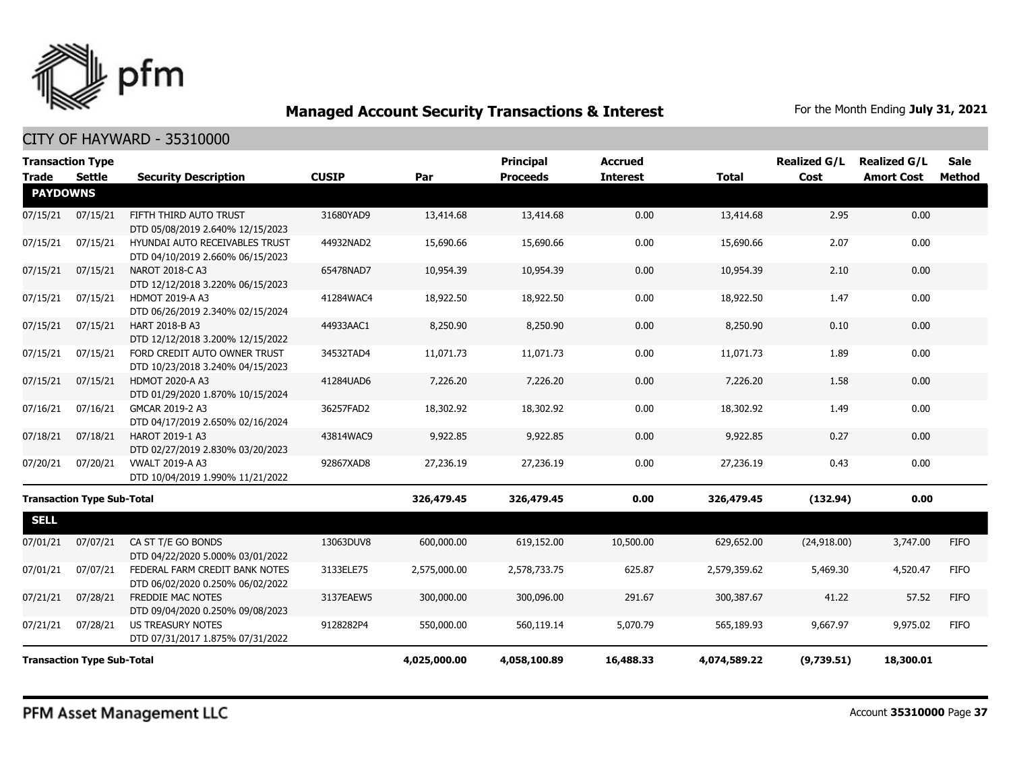

| <b>Transaction Type</b> |                                   |                                                                    |              |              | <b>Principal</b> | <b>Accrued</b>  |              | <b>Realized G/L</b> | <b>Realized G/L</b> | <b>Sale</b> |
|-------------------------|-----------------------------------|--------------------------------------------------------------------|--------------|--------------|------------------|-----------------|--------------|---------------------|---------------------|-------------|
| Trade                   | <b>Settle</b>                     | <b>Security Description</b>                                        | <b>CUSIP</b> | Par          | <b>Proceeds</b>  | <b>Interest</b> | <b>Total</b> | Cost                | <b>Amort Cost</b>   | Method      |
| <b>PAYDOWNS</b>         |                                   |                                                                    |              |              |                  |                 |              |                     |                     |             |
| 07/15/21                | 07/15/21                          | FIFTH THIRD AUTO TRUST<br>DTD 05/08/2019 2.640% 12/15/2023         | 31680YAD9    | 13,414.68    | 13,414.68        | 0.00            | 13,414.68    | 2.95                | 0.00                |             |
| 07/15/21                | 07/15/21                          | HYUNDAI AUTO RECEIVABLES TRUST<br>DTD 04/10/2019 2.660% 06/15/2023 | 44932NAD2    | 15,690.66    | 15,690.66        | 0.00            | 15,690.66    | 2.07                | 0.00                |             |
| 07/15/21                | 07/15/21                          | NAROT 2018-C A3<br>DTD 12/12/2018 3.220% 06/15/2023                | 65478NAD7    | 10,954.39    | 10,954.39        | 0.00            | 10,954.39    | 2.10                | 0.00                |             |
| 07/15/21                | 07/15/21                          | HDMOT 2019-A A3<br>DTD 06/26/2019 2.340% 02/15/2024                | 41284WAC4    | 18,922.50    | 18,922.50        | 0.00            | 18,922.50    | 1.47                | 0.00                |             |
| 07/15/21                | 07/15/21                          | HART 2018-B A3<br>DTD 12/12/2018 3.200% 12/15/2022                 | 44933AAC1    | 8,250.90     | 8,250.90         | 0.00            | 8,250.90     | 0.10                | 0.00                |             |
| 07/15/21                | 07/15/21                          | FORD CREDIT AUTO OWNER TRUST<br>DTD 10/23/2018 3.240% 04/15/2023   | 34532TAD4    | 11,071.73    | 11,071.73        | 0.00            | 11,071.73    | 1.89                | 0.00                |             |
| 07/15/21                | 07/15/21                          | HDMOT 2020-A A3<br>DTD 01/29/2020 1.870% 10/15/2024                | 41284UAD6    | 7,226.20     | 7,226.20         | 0.00            | 7,226.20     | 1.58                | 0.00                |             |
| 07/16/21                | 07/16/21                          | GMCAR 2019-2 A3<br>DTD 04/17/2019 2.650% 02/16/2024                | 36257FAD2    | 18,302.92    | 18,302.92        | 0.00            | 18,302.92    | 1.49                | 0.00                |             |
| 07/18/21                | 07/18/21                          | HAROT 2019-1 A3<br>DTD 02/27/2019 2.830% 03/20/2023                | 43814WAC9    | 9,922.85     | 9,922.85         | 0.00            | 9,922.85     | 0.27                | 0.00                |             |
| 07/20/21                | 07/20/21                          | <b>VWALT 2019-A A3</b><br>DTD 10/04/2019 1.990% 11/21/2022         | 92867XAD8    | 27,236.19    | 27,236.19        | 0.00            | 27,236.19    | 0.43                | 0.00                |             |
|                         | <b>Transaction Type Sub-Total</b> |                                                                    |              | 326,479.45   | 326,479.45       | 0.00            | 326,479.45   | (132.94)            | 0.00                |             |
| <b>SELL</b>             |                                   |                                                                    |              |              |                  |                 |              |                     |                     |             |
| 07/01/21                | 07/07/21                          | CA ST T/E GO BONDS<br>DTD 04/22/2020 5.000% 03/01/2022             | 13063DUV8    | 600,000.00   | 619,152.00       | 10,500.00       | 629,652.00   | (24,918.00)         | 3,747.00            | <b>FIFO</b> |
| 07/01/21                | 07/07/21                          | FEDERAL FARM CREDIT BANK NOTES<br>DTD 06/02/2020 0.250% 06/02/2022 | 3133ELE75    | 2,575,000.00 | 2,578,733.75     | 625.87          | 2,579,359.62 | 5,469.30            | 4,520.47            | <b>FIFO</b> |
| 07/21/21                | 07/28/21                          | FREDDIE MAC NOTES<br>DTD 09/04/2020 0.250% 09/08/2023              | 3137EAEW5    | 300,000.00   | 300,096.00       | 291.67          | 300,387.67   | 41.22               | 57.52               | <b>FIFO</b> |
| 07/21/21                | 07/28/21                          | <b>US TREASURY NOTES</b><br>DTD 07/31/2017 1.875% 07/31/2022       | 9128282P4    | 550,000.00   | 560,119.14       | 5,070.79        | 565,189.93   | 9,667.97            | 9,975.02            | <b>FIFO</b> |
|                         | <b>Transaction Type Sub-Total</b> |                                                                    |              |              | 4,058,100.89     | 16,488.33       | 4,074,589.22 | (9,739.51)          | 18,300.01           |             |